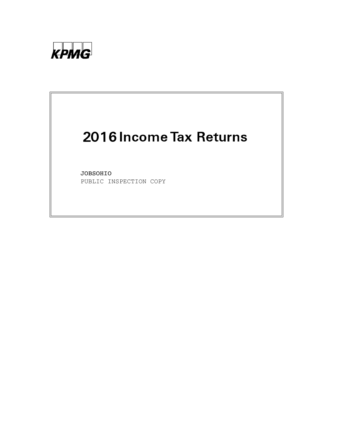

# 2016 Income Tax Returns

JOBSOHIO PUBLIC INSPECTION COPY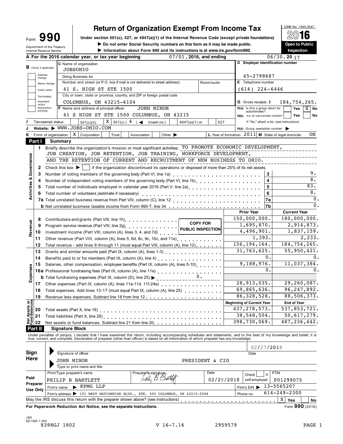# **Return of Organization Exempt From Income Tax**<br>
section 501(c), 527, or 4947(a)(1) of the Internal Revenue Code (except private foundations)

Form 990 **Definition of the Internal Revenue Code (except private foundations)** 2016 Form **OU DESCURITED BUX CONTACT PROPER IN THE SOCIAL SECURITED**<br>Department of the Treasury **Depen to Public → Department of the Internal Revenue Code (except private foundations)** Internal Revenue Service III **Dependent Construction about Form 990** and its instructions is at *www.irs.gov/form990*<br>
Information about Form 990 and its instructions is at *www.irs.gov/form990*<br>
Inspection



|                                        |                               | Internal Revenue Service                                                                                                                                                                                                                                                                                            |                                                                                                                                                                                                                                           |  |                                                     |  |       |  |                                                                                   |            |                             | $\blacktriangleright$ information about Form 990 and its instructions is at <i>www.irs.gov/form990.</i>                                    |                 |            |                                     |                   |            | inspection                                                                                                                                                                 |  |  |
|----------------------------------------|-------------------------------|---------------------------------------------------------------------------------------------------------------------------------------------------------------------------------------------------------------------------------------------------------------------------------------------------------------------|-------------------------------------------------------------------------------------------------------------------------------------------------------------------------------------------------------------------------------------------|--|-----------------------------------------------------|--|-------|--|-----------------------------------------------------------------------------------|------------|-----------------------------|--------------------------------------------------------------------------------------------------------------------------------------------|-----------------|------------|-------------------------------------|-------------------|------------|----------------------------------------------------------------------------------------------------------------------------------------------------------------------------|--|--|
|                                        |                               |                                                                                                                                                                                                                                                                                                                     |                                                                                                                                                                                                                                           |  | A For the 2016 calendar year, or tax year beginning |  |       |  |                                                                                   |            |                             | $07/01$ , 2016, and ending                                                                                                                 |                 |            |                                     |                   |            | 06/30, 2017                                                                                                                                                                |  |  |
|                                        | <b>B</b> Check if applicable: |                                                                                                                                                                                                                                                                                                                     |                                                                                                                                                                                                                                           |  | C Name of organization<br>JOBSOHIO                  |  |       |  |                                                                                   |            |                             |                                                                                                                                            |                 |            |                                     |                   |            | D Employer identification number                                                                                                                                           |  |  |
|                                        | Address<br>change             |                                                                                                                                                                                                                                                                                                                     |                                                                                                                                                                                                                                           |  | Doing Business As                                   |  |       |  |                                                                                   |            |                             |                                                                                                                                            |                 |            |                                     |                   | 45-2798687 |                                                                                                                                                                            |  |  |
|                                        |                               | Name change                                                                                                                                                                                                                                                                                                         |                                                                                                                                                                                                                                           |  |                                                     |  |       |  | Number and street (or P.O. box if mail is not delivered to street address)        |            |                             |                                                                                                                                            | Room/suite      |            | E Telephone number                  |                   |            |                                                                                                                                                                            |  |  |
|                                        |                               | Initial return                                                                                                                                                                                                                                                                                                      |                                                                                                                                                                                                                                           |  | 41 S. HIGH ST STE 1500                              |  |       |  |                                                                                   |            |                             |                                                                                                                                            |                 |            | $(614)$ 224-6446                    |                   |            |                                                                                                                                                                            |  |  |
|                                        | Terminated                    |                                                                                                                                                                                                                                                                                                                     |                                                                                                                                                                                                                                           |  |                                                     |  |       |  | City or town, state or province, country, and ZIP or foreign postal code          |            |                             |                                                                                                                                            |                 |            |                                     |                   |            |                                                                                                                                                                            |  |  |
|                                        | Amended                       |                                                                                                                                                                                                                                                                                                                     |                                                                                                                                                                                                                                           |  | COLUMBUS, OH 43215-6104                             |  |       |  |                                                                                   |            |                             |                                                                                                                                            |                 |            | <b>G</b> Gross receipts \$          |                   |            | 184,754,265.                                                                                                                                                               |  |  |
|                                        | return<br>Application         |                                                                                                                                                                                                                                                                                                                     |                                                                                                                                                                                                                                           |  | F Name and address of principal officer:            |  |       |  |                                                                                   | JOHN MINOR |                             |                                                                                                                                            |                 |            | H(a) Is this a group return for     |                   |            | Yes<br>$X \mid$ No                                                                                                                                                         |  |  |
|                                        | pending                       |                                                                                                                                                                                                                                                                                                                     |                                                                                                                                                                                                                                           |  |                                                     |  |       |  | 41 S HIGH ST STE 1500 COLUMBUS, OH 43215                                          |            |                             |                                                                                                                                            |                 |            | H(b) Are all subordinates included? | subordinates?     |            | Yes<br>No                                                                                                                                                                  |  |  |
|                                        |                               | Tax-exempt status:                                                                                                                                                                                                                                                                                                  |                                                                                                                                                                                                                                           |  | 501(c)(3)                                           |  |       |  | $X \mid 501(c) (4)$ (insert no.)                                                  |            |                             | 4947(a)(1) or                                                                                                                              |                 | 527        |                                     |                   |            | If "No," attach a list. (see instructions)                                                                                                                                 |  |  |
|                                        |                               |                                                                                                                                                                                                                                                                                                                     |                                                                                                                                                                                                                                           |  | Website: WWW.JOBS-OHIO.COM                          |  |       |  |                                                                                   |            |                             |                                                                                                                                            |                 |            |                                     |                   |            | $H(c)$ Group exemption number                                                                                                                                              |  |  |
| ĸ.                                     |                               |                                                                                                                                                                                                                                                                                                                     |                                                                                                                                                                                                                                           |  | Form of organization: $X \mid$ Corporation          |  | Trust |  | Association                                                                       |            | Other $\blacktriangleright$ |                                                                                                                                            |                 |            |                                     |                   |            | L Year of formation: $2011$ M State of legal domicile:<br>OH                                                                                                               |  |  |
|                                        | Part I                        |                                                                                                                                                                                                                                                                                                                     | Summary                                                                                                                                                                                                                                   |  |                                                     |  |       |  |                                                                                   |            |                             |                                                                                                                                            |                 |            |                                     |                   |            |                                                                                                                                                                            |  |  |
|                                        | 1.                            |                                                                                                                                                                                                                                                                                                                     |                                                                                                                                                                                                                                           |  |                                                     |  |       |  |                                                                                   |            |                             | Briefly describe the organization's mission or most significant activities: TO PROMOTE ECONOMIC DEVELOPMENT,                               |                 |            |                                     |                   |            |                                                                                                                                                                            |  |  |
|                                        |                               |                                                                                                                                                                                                                                                                                                                     |                                                                                                                                                                                                                                           |  |                                                     |  |       |  |                                                                                   |            |                             | JOB CREATION, JOB RETENTION, JOB TRAINING, WORKFORCE DEVELOPMENT,                                                                          |                 |            |                                     |                   |            |                                                                                                                                                                            |  |  |
|                                        |                               |                                                                                                                                                                                                                                                                                                                     |                                                                                                                                                                                                                                           |  |                                                     |  |       |  |                                                                                   |            |                             | AND THE RETENTION OF CURRENT AND RECRUITMENT OF NEW BUSINESS TO OHIO.                                                                      |                 |            |                                     |                   |            |                                                                                                                                                                            |  |  |
| & Governance                           | 2                             |                                                                                                                                                                                                                                                                                                                     |                                                                                                                                                                                                                                           |  |                                                     |  |       |  |                                                                                   |            |                             | Check this box $\blacktriangleright$   if the organization discontinued its operations or disposed of more than 25% of its net assets.     |                 |            |                                     |                   |            |                                                                                                                                                                            |  |  |
|                                        | 3                             |                                                                                                                                                                                                                                                                                                                     |                                                                                                                                                                                                                                           |  |                                                     |  |       |  |                                                                                   |            |                             |                                                                                                                                            |                 |            |                                     |                   | 3          | 9.                                                                                                                                                                         |  |  |
|                                        | 4                             |                                                                                                                                                                                                                                                                                                                     |                                                                                                                                                                                                                                           |  |                                                     |  |       |  |                                                                                   |            |                             | Number of independent voting members of the governing body (Part VI, line 1b)                                                              |                 |            |                                     |                   | 4          | 8.                                                                                                                                                                         |  |  |
|                                        |                               |                                                                                                                                                                                                                                                                                                                     |                                                                                                                                                                                                                                           |  |                                                     |  |       |  |                                                                                   |            |                             |                                                                                                                                            |                 |            |                                     |                   | 5          | 83.                                                                                                                                                                        |  |  |
|                                        | 5                             |                                                                                                                                                                                                                                                                                                                     |                                                                                                                                                                                                                                           |  |                                                     |  |       |  |                                                                                   |            |                             |                                                                                                                                            |                 |            |                                     |                   | 6          | 8.                                                                                                                                                                         |  |  |
| Activities                             | 6                             |                                                                                                                                                                                                                                                                                                                     |                                                                                                                                                                                                                                           |  | Total number of volunteers (estimate if necessary)  |  |       |  |                                                                                   |            |                             |                                                                                                                                            |                 |            |                                     |                   | 7a         | $\mathbf 0$                                                                                                                                                                |  |  |
|                                        |                               |                                                                                                                                                                                                                                                                                                                     |                                                                                                                                                                                                                                           |  |                                                     |  |       |  |                                                                                   |            |                             |                                                                                                                                            |                 |            |                                     |                   |            | $\mathbf{0}$                                                                                                                                                               |  |  |
|                                        |                               |                                                                                                                                                                                                                                                                                                                     |                                                                                                                                                                                                                                           |  |                                                     |  |       |  |                                                                                   |            |                             |                                                                                                                                            |                 |            | <b>Prior Year</b>                   |                   | 7b         | <b>Current Year</b>                                                                                                                                                        |  |  |
|                                        |                               |                                                                                                                                                                                                                                                                                                                     |                                                                                                                                                                                                                                           |  |                                                     |  |       |  |                                                                                   |            |                             |                                                                                                                                            |                 |            | 150,000,000.                        |                   |            | 180,000,000.                                                                                                                                                               |  |  |
|                                        | 8                             |                                                                                                                                                                                                                                                                                                                     |                                                                                                                                                                                                                                           |  |                                                     |  |       |  | Contributions and grants (Part VIII, line 1h).                                    |            |                             |                                                                                                                                            | <b>COPY FOR</b> |            | 1,695,870.                          |                   |            | 2,914,873.                                                                                                                                                                 |  |  |
| Revenue                                | 9                             |                                                                                                                                                                                                                                                                                                                     |                                                                                                                                                                                                                                           |  |                                                     |  |       |  |                                                                                   |            |                             | Program service revenue (Part VIII, line 2g)<br>Program service revenue (Part VIII, line 2g)                                               |                 |            | 4,496,901.                          |                   |            | 1,837,159.                                                                                                                                                                 |  |  |
|                                        | 10                            |                                                                                                                                                                                                                                                                                                                     |                                                                                                                                                                                                                                           |  |                                                     |  |       |  | Investment income (Part VIII, column (A), lines 3, 4, and 7d)                     |            |                             |                                                                                                                                            |                 |            |                                     | 1,393.            |            | 2, 233.                                                                                                                                                                    |  |  |
|                                        | 11                            |                                                                                                                                                                                                                                                                                                                     |                                                                                                                                                                                                                                           |  |                                                     |  |       |  |                                                                                   |            |                             | Other revenue (Part VIII, column (A), lines 5, 6d, 8c, 9c, 10c, and 11e)                                                                   |                 |            | 156, 194, 164.                      |                   |            | 184, 754, 265.                                                                                                                                                             |  |  |
|                                        | 12                            |                                                                                                                                                                                                                                                                                                                     |                                                                                                                                                                                                                                           |  |                                                     |  |       |  |                                                                                   |            |                             | Total revenue - add lines 8 through 11 (must equal Part VIII, column (A), line 12)                                                         |                 |            | 31,763,625.                         |                   |            | 55, 950, 421.                                                                                                                                                              |  |  |
|                                        | 13                            |                                                                                                                                                                                                                                                                                                                     |                                                                                                                                                                                                                                           |  |                                                     |  |       |  |                                                                                   |            |                             | Grants and similar amounts paid (Part IX, column (A), lines 1-3)                                                                           |                 |            |                                     |                   | 0.         |                                                                                                                                                                            |  |  |
|                                        | 14                            | Benefits paid to or for members (Part IX, column (A), line 4) [10] cases and the set of the set of the set of the set of the set of the set of the set of the set of the set of the set of the set of the set of the set of th<br>Salaries, other compensation, employee benefits (Part IX, column (A), lines 5-10) |                                                                                                                                                                                                                                           |  |                                                     |  |       |  |                                                                                   |            |                             |                                                                                                                                            | 9,188,976.      |            |                                     |                   |            |                                                                                                                                                                            |  |  |
|                                        | 15                            |                                                                                                                                                                                                                                                                                                                     |                                                                                                                                                                                                                                           |  |                                                     |  |       |  |                                                                                   |            |                             |                                                                                                                                            | 0.              |            |                                     | 11,037,384.<br>0. |            |                                                                                                                                                                            |  |  |
| Expenses                               |                               |                                                                                                                                                                                                                                                                                                                     | 16a Professional fundraising fees (Part IX, column (A), line 11e)<br>16a Professional fundraising fees (Part IX, column (A), line 11e)<br>10.<br><b>b</b> Total fundraising expenses (Part IX, column (D), line 25) $\blacktriangleright$ |  |                                                     |  |       |  |                                                                                   |            |                             |                                                                                                                                            |                 |            |                                     |                   |            |                                                                                                                                                                            |  |  |
|                                        |                               |                                                                                                                                                                                                                                                                                                                     |                                                                                                                                                                                                                                           |  |                                                     |  |       |  |                                                                                   |            |                             |                                                                                                                                            |                 |            |                                     |                   |            | 29, 260, 087.                                                                                                                                                              |  |  |
|                                        | 17                            |                                                                                                                                                                                                                                                                                                                     |                                                                                                                                                                                                                                           |  |                                                     |  |       |  |                                                                                   |            |                             | Other expenses (Part IX, column (A), lines 11a-11d, 11f-24e) [11]                                                                          |                 |            | 28,913,035.                         |                   |            |                                                                                                                                                                            |  |  |
|                                        | 18                            |                                                                                                                                                                                                                                                                                                                     |                                                                                                                                                                                                                                           |  |                                                     |  |       |  |                                                                                   |            |                             | Total expenses. Add lines 13-17 (must equal Part IX, column (A), line 25)                                                                  |                 |            | 69,865,636.                         |                   |            | 96, 247, 892.                                                                                                                                                              |  |  |
|                                        | 19                            |                                                                                                                                                                                                                                                                                                                     |                                                                                                                                                                                                                                           |  |                                                     |  |       |  |                                                                                   |            |                             |                                                                                                                                            |                 |            | 86, 328, 528.                       |                   |            | 88, 506, 373.                                                                                                                                                              |  |  |
| <b>Net Assets or<br/>Fund Balances</b> |                               |                                                                                                                                                                                                                                                                                                                     |                                                                                                                                                                                                                                           |  |                                                     |  |       |  |                                                                                   |            |                             |                                                                                                                                            |                 |            | <b>Beginning of Current Year</b>    |                   |            | <b>End of Year</b>                                                                                                                                                         |  |  |
|                                        | 20                            |                                                                                                                                                                                                                                                                                                                     |                                                                                                                                                                                                                                           |  | Total assets (Part X, line 16)                      |  |       |  |                                                                                   |            |                             |                                                                                                                                            |                 |            | 437,278,573.<br>38,548,504.         |                   |            | 537,853,721.<br>50,617,279.                                                                                                                                                |  |  |
|                                        | 21                            |                                                                                                                                                                                                                                                                                                                     |                                                                                                                                                                                                                                           |  | Total liabilities (Part X, line 26) [100]           |  |       |  |                                                                                   |            |                             |                                                                                                                                            |                 |            | 398,730,069.                        |                   |            | 487, 236, 442.                                                                                                                                                             |  |  |
|                                        | 22                            |                                                                                                                                                                                                                                                                                                                     |                                                                                                                                                                                                                                           |  |                                                     |  |       |  | Net assets or fund balances. Subtract line 21 from line 20                        |            |                             |                                                                                                                                            |                 |            |                                     |                   |            |                                                                                                                                                                            |  |  |
|                                        | Part II                       |                                                                                                                                                                                                                                                                                                                     | <b>Signature Block</b>                                                                                                                                                                                                                    |  |                                                     |  |       |  |                                                                                   |            |                             |                                                                                                                                            |                 |            |                                     |                   |            |                                                                                                                                                                            |  |  |
|                                        |                               |                                                                                                                                                                                                                                                                                                                     |                                                                                                                                                                                                                                           |  |                                                     |  |       |  |                                                                                   |            |                             | true, correct, and complete. Declaration of preparer (other than officer) is based on all information of which preparer has any knowledge. |                 |            |                                     |                   |            | Under penalties of perjury, I declare that I have examined this return, including accompanying schedules and statements, and to the best of my knowledge and belief, it is |  |  |
|                                        |                               |                                                                                                                                                                                                                                                                                                                     |                                                                                                                                                                                                                                           |  |                                                     |  |       |  |                                                                                   |            |                             |                                                                                                                                            |                 |            |                                     |                   | 02/27/2018 |                                                                                                                                                                            |  |  |
| Sign                                   |                               |                                                                                                                                                                                                                                                                                                                     | Signature of officer                                                                                                                                                                                                                      |  |                                                     |  |       |  |                                                                                   |            |                             |                                                                                                                                            |                 |            |                                     | Date              |            |                                                                                                                                                                            |  |  |
| Here                                   |                               |                                                                                                                                                                                                                                                                                                                     | JOHN MINOR                                                                                                                                                                                                                                |  |                                                     |  |       |  |                                                                                   |            |                             | PRESIDENT & CIO                                                                                                                            |                 |            |                                     |                   |            |                                                                                                                                                                            |  |  |
|                                        |                               |                                                                                                                                                                                                                                                                                                                     |                                                                                                                                                                                                                                           |  | Type or print name and title                        |  |       |  |                                                                                   |            |                             |                                                                                                                                            |                 |            |                                     |                   |            |                                                                                                                                                                            |  |  |
|                                        |                               |                                                                                                                                                                                                                                                                                                                     |                                                                                                                                                                                                                                           |  | Print/Type preparer's name                          |  |       |  | Preparer's signature                                                              |            |                             |                                                                                                                                            | Date            |            | Check                               |                   | if         | <b>PTIN</b>                                                                                                                                                                |  |  |
| Paid                                   |                               |                                                                                                                                                                                                                                                                                                                     |                                                                                                                                                                                                                                           |  | PHILIP B BARTLETT                                   |  |       |  |                                                                                   |            |                             |                                                                                                                                            |                 | 02/28/2018 |                                     | self-employed     |            | P01299075                                                                                                                                                                  |  |  |
|                                        | Preparer                      |                                                                                                                                                                                                                                                                                                                     | Firm's name                                                                                                                                                                                                                               |  | KPMG LLP                                            |  |       |  |                                                                                   |            |                             |                                                                                                                                            |                 |            | Firm's $EIN$                        |                   |            | 13-5565207                                                                                                                                                                 |  |  |
|                                        | <b>Use Only</b>               |                                                                                                                                                                                                                                                                                                                     |                                                                                                                                                                                                                                           |  |                                                     |  |       |  |                                                                                   |            |                             | Firm's address > 191 WEST NATIONWIDE BLVD., STE. 500 COLUMBUS, OH 43215-2568                                                               |                 |            | Phone no.                           |                   |            | $614 - 249 - 2300$                                                                                                                                                         |  |  |
|                                        |                               |                                                                                                                                                                                                                                                                                                                     |                                                                                                                                                                                                                                           |  |                                                     |  |       |  | May the IRS discuss this return with the preparer shown above? (see instructions) |            |                             |                                                                                                                                            |                 |            |                                     |                   |            | Χ<br>Yes<br>No                                                                                                                                                             |  |  |
|                                        |                               |                                                                                                                                                                                                                                                                                                                     |                                                                                                                                                                                                                                           |  |                                                     |  |       |  |                                                                                   |            |                             |                                                                                                                                            |                 |            |                                     |                   |            |                                                                                                                                                                            |  |  |

**For Paperwork Reduction Act Notice, see the separate instructions. Form 990** (2016) **Form 990** (2016)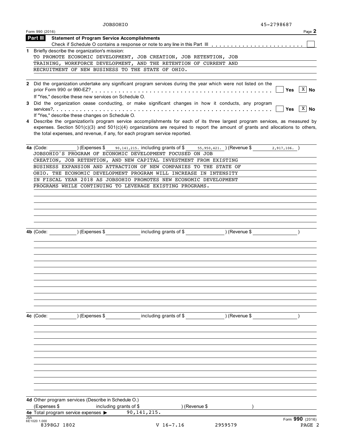|     | <b>JOBSOHIO</b>                                                                                                                                                                                                                                                    |                                                                                                 | 45-2798687 |                          |
|-----|--------------------------------------------------------------------------------------------------------------------------------------------------------------------------------------------------------------------------------------------------------------------|-------------------------------------------------------------------------------------------------|------------|--------------------------|
|     | Form 990 (2016)                                                                                                                                                                                                                                                    |                                                                                                 |            | Page 2                   |
|     | Part III<br><b>Statement of Program Service Accomplishments</b>                                                                                                                                                                                                    |                                                                                                 |            |                          |
|     |                                                                                                                                                                                                                                                                    |                                                                                                 |            |                          |
|     | 1 Briefly describe the organization's mission:                                                                                                                                                                                                                     |                                                                                                 |            |                          |
|     | TO PROMOTE ECONOMIC DEVELOPMENT, JOB CREATION, JOB RETENTION, JOB                                                                                                                                                                                                  |                                                                                                 |            |                          |
|     | TRAINING, WORKFORCE DEVELOPMENT, AND THE RETENTION OF CURRENT AND                                                                                                                                                                                                  |                                                                                                 |            |                          |
|     | RECRUITMENT OF NEW BUSINESS TO THE STATE OF OHIO.                                                                                                                                                                                                                  |                                                                                                 |            |                          |
|     | 2 Did the organization undertake any significant program services during the year which were not listed on the                                                                                                                                                     |                                                                                                 |            |                          |
|     |                                                                                                                                                                                                                                                                    |                                                                                                 |            | $\overline{X}$ No<br>Yes |
|     | If "Yes," describe these new services on Schedule O.                                                                                                                                                                                                               |                                                                                                 |            |                          |
|     | 3 Did the organization cease conducting, or make significant changes in how it conducts, any program                                                                                                                                                               |                                                                                                 |            |                          |
|     |                                                                                                                                                                                                                                                                    |                                                                                                 |            | $X \mid N$ o<br>Yes      |
|     | If "Yes," describe these changes on Schedule O.                                                                                                                                                                                                                    |                                                                                                 |            |                          |
|     | 4 Describe the organization's program service accomplishments for each of its three largest program services, as measured by<br>expenses. Section $501(c)(3)$ and $501(c)(4)$ organizations are required to report the amount of grants and allocations to others, |                                                                                                 |            |                          |
|     | the total expenses, and revenue, if any, for each program service reported.                                                                                                                                                                                        |                                                                                                 |            |                          |
|     | 4a (Code:                                                                                                                                                                                                                                                          | (Expenses \$ $90,141,215$ . including grants of \$ $55,950,421$ . ) (Revenue \$ $2,917,106$ . ) |            |                          |
|     | JOBSOHIO'S PROGRAM OF ECONOMIC DEVELOPMENT FOCUSED ON JOB                                                                                                                                                                                                          |                                                                                                 |            |                          |
|     | CREATION, JOB RETENTION, AND NEW CAPITAL INVESTMENT FROM EXISTING                                                                                                                                                                                                  |                                                                                                 |            |                          |
|     | BUSINESS EXPANSION AND ATTRACTION OF NEW COMPANIES TO THE STATE OF                                                                                                                                                                                                 |                                                                                                 |            |                          |
|     | OHIO. THE ECONOMIC DEVELOPMENT PROGRAM WILL INCREASE IN INTENSITY                                                                                                                                                                                                  |                                                                                                 |            |                          |
|     | IN FISCAL YEAR 2018 AS JOBSOHIO PROMOTES NEW ECONOMIC DEVELOPMENT                                                                                                                                                                                                  |                                                                                                 |            |                          |
|     | PROGRAMS WHILE CONTINUING TO LEVERAGE EXISTING PROGRAMS.                                                                                                                                                                                                           |                                                                                                 |            |                          |
|     |                                                                                                                                                                                                                                                                    |                                                                                                 |            |                          |
|     |                                                                                                                                                                                                                                                                    |                                                                                                 |            |                          |
|     |                                                                                                                                                                                                                                                                    |                                                                                                 |            |                          |
|     |                                                                                                                                                                                                                                                                    |                                                                                                 |            |                          |
|     |                                                                                                                                                                                                                                                                    |                                                                                                 |            |                          |
|     |                                                                                                                                                                                                                                                                    |                                                                                                 |            |                          |
|     | 4b (Code: $(3, 4)$ (Expenses \$ including grants of \$ ) (Revenue \$ )                                                                                                                                                                                             |                                                                                                 |            |                          |
|     |                                                                                                                                                                                                                                                                    |                                                                                                 |            |                          |
|     |                                                                                                                                                                                                                                                                    |                                                                                                 |            |                          |
|     |                                                                                                                                                                                                                                                                    |                                                                                                 |            |                          |
|     |                                                                                                                                                                                                                                                                    |                                                                                                 |            |                          |
|     |                                                                                                                                                                                                                                                                    |                                                                                                 |            |                          |
|     |                                                                                                                                                                                                                                                                    |                                                                                                 |            |                          |
|     |                                                                                                                                                                                                                                                                    |                                                                                                 |            |                          |
|     |                                                                                                                                                                                                                                                                    |                                                                                                 |            |                          |
|     |                                                                                                                                                                                                                                                                    |                                                                                                 |            |                          |
|     |                                                                                                                                                                                                                                                                    |                                                                                                 |            |                          |
|     | 4c (Code: ) (Expenses \$ including grants of \$ ) (Revenue \$                                                                                                                                                                                                      |                                                                                                 |            |                          |
|     |                                                                                                                                                                                                                                                                    |                                                                                                 |            |                          |
|     |                                                                                                                                                                                                                                                                    |                                                                                                 |            |                          |
|     |                                                                                                                                                                                                                                                                    |                                                                                                 |            |                          |
|     |                                                                                                                                                                                                                                                                    |                                                                                                 |            |                          |
|     |                                                                                                                                                                                                                                                                    |                                                                                                 |            |                          |
|     |                                                                                                                                                                                                                                                                    |                                                                                                 |            |                          |
|     |                                                                                                                                                                                                                                                                    |                                                                                                 |            |                          |
|     |                                                                                                                                                                                                                                                                    |                                                                                                 |            |                          |
|     | 4d Other program services (Describe in Schedule O.)<br>(Expenses \$                                                                                                                                                                                                | ) (Revenue \$                                                                                   |            |                          |
|     | including grants of \$<br>4e Total program service expenses >                                                                                                                                                                                                      | 90, 141, 215.                                                                                   |            |                          |
| JSA | 6E1020 1.000                                                                                                                                                                                                                                                       |                                                                                                 |            | Form 990 (2016)          |
|     | 8398GJ 1802                                                                                                                                                                                                                                                        | $V$ 16-7.16                                                                                     | 2959579    | PAGE 2                   |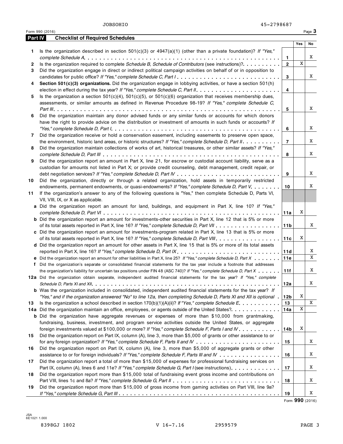Form 990 (2016) Page **3**

| <b>Part IV</b> | <b>Checklist of Required Schedules</b>                                                                                    |                 |     |    |
|----------------|---------------------------------------------------------------------------------------------------------------------------|-----------------|-----|----|
|                |                                                                                                                           |                 | Yes | No |
| 1              | Is the organization described in section $501(c)(3)$ or $4947(a)(1)$ (other than a private foundation)? If "Yes,"         |                 |     |    |
|                |                                                                                                                           | 1.              |     | X  |
| 2              | Is the organization required to complete Schedule B, Schedule of Contributors (see instructions)?                         | $\overline{2}$  | X   |    |
| 3              | Did the organization engage in direct or indirect political campaign activities on behalf of or in opposition to          |                 |     |    |
|                | candidates for public office? If "Yes," complete Schedule C, Part I.                                                      | 3               |     | X  |
| 4              | Section 501(c)(3) organizations. Did the organization engage in lobbying activities, or have a section 501(h)             |                 |     |    |
|                |                                                                                                                           | 4               |     |    |
| 5              | Is the organization a section $501(c)(4)$ , $501(c)(5)$ , or $501(c)(6)$ organization that receives membership dues,      |                 |     |    |
|                | assessments, or similar amounts as defined in Revenue Procedure 98-19? If "Yes," complete Schedule C,                     |                 |     |    |
|                |                                                                                                                           | 5               |     | X  |
| 6              | Did the organization maintain any donor advised funds or any similar funds or accounts for which donors                   |                 |     |    |
|                | have the right to provide advice on the distribution or investment of amounts in such funds or accounts? If               |                 |     |    |
|                |                                                                                                                           |                 |     | X  |
|                |                                                                                                                           | 6               |     |    |
| 7              | Did the organization receive or hold a conservation easement, including easements to preserve open space,                 |                 |     | X  |
|                | the environment, historic land areas, or historic structures? If "Yes," complete Schedule D, Part II.                     | $\overline{7}$  |     |    |
| 8              | Did the organization maintain collections of works of art, historical treasures, or other similar assets? If "Yes,"       |                 |     |    |
|                |                                                                                                                           | 8               |     | X  |
| 9              | Did the organization report an amount in Part X, line 21, for escrow or custodial account liability, serve as a           |                 |     |    |
|                | custodian for amounts not listed in Part X; or provide credit counseling, debt management, credit repair, or              |                 |     |    |
|                |                                                                                                                           | 9               |     | X  |
| 10             | Did the organization, directly or through a related organization, hold assets in temporarily restricted                   |                 |     |    |
|                | endowments, permanent endowments, or quasi-endowments? If "Yes," complete Schedule D, Part V.                             | 10              |     | X  |
| 11             | If the organization's answer to any of the following questions is "Yes," then complete Schedule D, Parts VI,              |                 |     |    |
|                | VII, VIII, IX, or X as applicable.                                                                                        |                 |     |    |
|                | a Did the organization report an amount for land, buildings, and equipment in Part X, line 10? If "Yes,"                  |                 |     |    |
|                |                                                                                                                           | 11a             | X   |    |
|                | <b>b</b> Did the organization report an amount for investments-other securities in Part X, line 12 that is 5% or more     |                 |     |    |
|                | of its total assets reported in Part X, line 16? If "Yes," complete Schedule D, Part VII                                  | 11 <sub>b</sub> |     | X  |
|                | c Did the organization report an amount for investments-program related in Part X, line 13 that is 5% or more             |                 |     |    |
|                | of its total assets reported in Part X, line 16? If "Yes," complete Schedule D, Part VIII.                                | 11c             | X   |    |
|                | d Did the organization report an amount for other assets in Part X, line 15 that is 5% or more of its total assets        |                 |     |    |
|                | reported in Part X, line 16? If "Yes," complete Schedule D, Part IX                                                       | 11d             |     | X  |
|                | e Did the organization report an amount for other liabilities in Part X, line 25? If "Yes," complete Schedule D, Part X   | 11e             |     | X  |
|                | f Did the organization's separate or consolidated financial statements for the tax year include a footnote that addresses |                 |     |    |
|                | the organization's liability for uncertain tax positions under FIN 48 (ASC 740)? If "Yes," complete Schedule D, Part X    | 11f             |     | X  |
|                | 12a Did the organization obtain separate, independent audited financial statements for the tax year? If "Yes," complete   |                 |     |    |
|                |                                                                                                                           | 12a             |     | X  |
|                | <b>b</b> Was the organization included in consolidated, independent audited financial statements for the tax year? If     |                 |     |    |
|                | "Yes," and if the organization answered "No" to line 12a, then completing Schedule D, Parts XI and XII is optional        | 12b             | Χ   |    |
| 13             | Is the organization a school described in section $170(b)(1)(A)(ii)?$ If "Yes," complete Schedule E.                      | 13              |     | X  |
|                | 14a Did the organization maintain an office, employees, or agents outside of the United States?                           | 14a             | X   |    |
|                | <b>b</b> Did the organization have aggregate revenues or expenses of more than \$10,000 from grantmaking,                 |                 |     |    |
|                | fundraising, business, investment, and program service activities outside the United States, or aggregate                 |                 |     |    |
|                | foreign investments valued at \$100,000 or more? If "Yes," complete Schedule F, Parts I and IV                            | 14b             | X   |    |
|                |                                                                                                                           |                 |     |    |
| 15             | Did the organization report on Part IX, column (A), line 3, more than \$5,000 of grants or other assistance to or         |                 |     | X  |
|                |                                                                                                                           | 15              |     |    |
| 16             | Did the organization report on Part IX, column (A), line 3, more than \$5,000 of aggregate grants or other                |                 |     | X  |
|                | assistance to or for foreign individuals? If "Yes," complete Schedule F, Parts III and IV                                 | 16              |     |    |
| 17             | Did the organization report a total of more than \$15,000 of expenses for professional fundraising services on            |                 |     |    |
|                | Part IX, column (A), lines 6 and 11e? If "Yes," complete Schedule G, Part I (see instructions)                            | 17              |     | X  |
| 18             | Did the organization report more than \$15,000 total of fundraising event gross income and contributions on               |                 |     |    |
|                | Part VIII, lines 1c and 8a? If "Yes," complete Schedule G, Part II                                                        | 18              |     | Χ  |
| 19             | Did the organization report more than \$15,000 of gross income from gaming activities on Part VIII, line 9a?              |                 |     |    |
|                |                                                                                                                           | 19              |     | X  |

Form **990** (2016)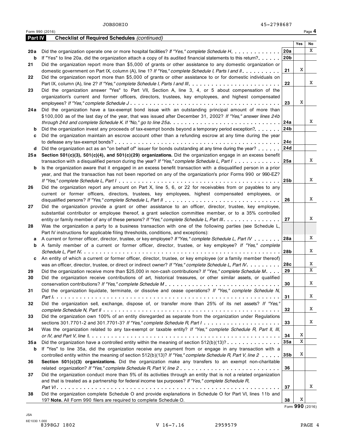| Part IV | <b>Checklist of Required Schedules (continued)</b>                                                                                                                                             |                 |     |    |
|---------|------------------------------------------------------------------------------------------------------------------------------------------------------------------------------------------------|-----------------|-----|----|
|         |                                                                                                                                                                                                |                 | Yes | No |
| 20 a    | Did the organization operate one or more hospital facilities? If "Yes," complete Schedule H.                                                                                                   | 20a             |     | X  |
| b       | If "Yes" to line 20a, did the organization attach a copy of its audited financial statements to this return?.                                                                                  | 20 <sub>b</sub> |     |    |
| 21      | Did the organization report more than \$5,000 of grants or other assistance to any domestic organization or                                                                                    |                 |     |    |
|         | domestic government on Part IX, column (A), line 1? If "Yes," complete Schedule I, Parts I and II                                                                                              | 21              | X   |    |
| 22      | Did the organization report more than \$5,000 of grants or other assistance to or for domestic individuals on                                                                                  |                 |     |    |
|         |                                                                                                                                                                                                | 22              |     | X  |
| 23      | Did the organization answer "Yes" to Part VII, Section A, line 3, 4, or 5 about compensation of the                                                                                            |                 |     |    |
|         | organization's current and former officers, directors, trustees, key employees, and highest compensated                                                                                        |                 |     |    |
|         |                                                                                                                                                                                                | 23              | Χ   |    |
| 24 a    | Did the organization have a tax-exempt bond issue with an outstanding principal amount of more than                                                                                            |                 |     |    |
|         | \$100,000 as of the last day of the year, that was issued after December 31, 2002? If "Yes," answer lines 24b                                                                                  |                 |     |    |
|         | through 24d and complete Schedule K. If "No," go to line 25a $\ldots \ldots \ldots \ldots \ldots \ldots \ldots \ldots \ldots \ldots \ldots$                                                    | 24a             |     | X  |
| b       | Did the organization invest any proceeds of tax-exempt bonds beyond a temporary period exception?                                                                                              | 24b             |     |    |
| c       | Did the organization maintain an escrow account other than a refunding escrow at any time during the year                                                                                      |                 |     |    |
|         |                                                                                                                                                                                                | 24c             |     |    |
| d       | Did the organization act as an "on behalf of" issuer for bonds outstanding at any time during the year?                                                                                        | 24d             |     |    |
| 25 a    | Section 501(c)(3), 501(c)(4), and 501(c)(29) organizations. Did the organization engage in an excess benefit                                                                                   |                 |     |    |
|         | transaction with a disqualified person during the year? If "Yes," complete Schedule L, Part $1, \ldots, \ldots, \ldots$                                                                        | 25a             |     | X  |
| b       | Is the organization aware that it engaged in an excess benefit transaction with a disqualified person in a prior                                                                               |                 |     |    |
|         | year, and that the transaction has not been reported on any of the organization's prior Forms 990 or 990-EZ?                                                                                   |                 |     |    |
|         |                                                                                                                                                                                                | 25 <sub>b</sub> |     | X  |
| 26      | Did the organization report any amount on Part X, line 5, 6, or 22 for receivables from or payables to any                                                                                     |                 |     |    |
|         | current or former officers, directors, trustees, key employees, highest compensated employees, or                                                                                              |                 |     |    |
|         |                                                                                                                                                                                                | 26              |     | X  |
| 27      | Did the organization provide a grant or other assistance to an officer, director, trustee, key employee,                                                                                       |                 |     |    |
|         | substantial contributor or employee thereof, a grant selection committee member, or to a 35% controlled                                                                                        |                 |     | X  |
|         | entity or family member of any of these persons? If "Yes," complete Schedule L, Part III.                                                                                                      | 27              |     |    |
| 28      | Was the organization a party to a business transaction with one of the following parties (see Schedule L,                                                                                      |                 |     |    |
|         | Part IV instructions for applicable filing thresholds, conditions, and exceptions):<br>A current or former officer, director, trustee, or key employee? If "Yes," complete Schedule L, Part IV | 28a             |     | X  |
| а<br>b  | A family member of a current or former officer, director, trustee, or key employee? If "Yes," complete                                                                                         |                 |     |    |
|         |                                                                                                                                                                                                | 28b             |     | X  |
| c       | An entity of which a current or former officer, director, trustee, or key employee (or a family member thereof)                                                                                |                 |     |    |
|         | was an officer, director, trustee, or direct or indirect owner? If "Yes," complete Schedule L, Part IV.                                                                                        | 28c             |     | X  |
| 29      | Did the organization receive more than \$25,000 in non-cash contributions? If "Yes," complete Schedule M.                                                                                      | 29              |     | X  |
| 30      | Did the organization receive contributions of art, historical treasures, or other similar assets, or qualified                                                                                 |                 |     |    |
|         |                                                                                                                                                                                                | 30              |     | X  |
| 31      | Did the organization liquidate, terminate, or dissolve and cease operations? If "Yes," complete Schedule N,                                                                                    |                 |     |    |
|         |                                                                                                                                                                                                | 31              |     | X  |
| 32      | Did the organization sell, exchange, dispose of, or transfer more than 25% of its net assets? If "Yes,"                                                                                        |                 |     |    |
|         |                                                                                                                                                                                                | 32              |     | X  |
| 33      | Did the organization own 100% of an entity disregarded as separate from the organization under Regulations                                                                                     |                 |     |    |
|         |                                                                                                                                                                                                | 33              |     | X  |
| 34      | Was the organization related to any tax-exempt or taxable entity? If "Yes," complete Schedule R, Part II, III,                                                                                 |                 |     |    |
|         |                                                                                                                                                                                                | 34              | X   |    |
| 35 a    | Did the organization have a controlled entity within the meaning of section $512(b)(13)? \ldots \ldots \ldots \ldots$                                                                          | 35a             | X   |    |
| b       | If "Yes" to line 35a, did the organization receive any payment from or engage in any transaction with a                                                                                        |                 |     |    |
|         | controlled entity within the meaning of section $512(b)(13)$ ? If "Yes," complete Schedule R, Part V, line 2                                                                                   | 35b             | Χ   |    |
| 36      | Section 501(c)(3) organizations. Did the organization make any transfers to an exempt non-charitable                                                                                           |                 |     |    |
|         |                                                                                                                                                                                                | 36              |     |    |
| 37      | Did the organization conduct more than 5% of its activities through an entity that is not a related organization                                                                               |                 |     |    |
|         | and that is treated as a partnership for federal income tax purposes? If "Yes," complete Schedule R,                                                                                           |                 |     |    |
|         |                                                                                                                                                                                                | 37              |     | X  |
| 38      | Did the organization complete Schedule O and provide explanations in Schedule O for Part VI, lines 11b and                                                                                     |                 |     |    |
|         | 19? Note. All Form 990 filers are required to complete Schedule O.                                                                                                                             | 38              | X   |    |

Form **990** (2016)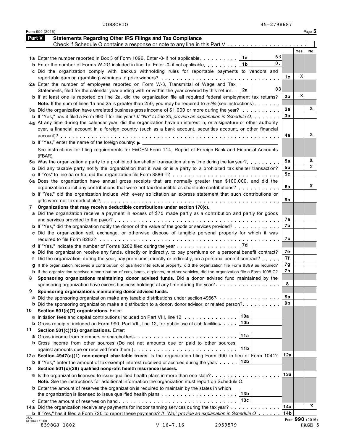| <b>Part V</b> | <b>Statements Regarding Other IRS Filings and Tax Compliance</b>                                                                                                                                                                                     |                |                 |        |
|---------------|------------------------------------------------------------------------------------------------------------------------------------------------------------------------------------------------------------------------------------------------------|----------------|-----------------|--------|
|               | Check if Schedule O contains a response or note to any line in this Part V                                                                                                                                                                           |                |                 |        |
|               | 63                                                                                                                                                                                                                                                   |                | <b>Yes</b>      | No     |
|               | 1a Enter the number reported in Box 3 of Form 1096. Enter -0- if not applicable. $\boxed{1a}$<br>$0$ .<br>1b                                                                                                                                         |                |                 |        |
|               | <b>b</b> Enter the number of Forms W-2G included in line 1a. Enter -0- if not applicable.<br>c Did the organization comply with backup withholding rules for reportable payments to vendors and                                                      |                |                 |        |
|               |                                                                                                                                                                                                                                                      | 1c             | Χ               |        |
|               | 2a Enter the number of employees reported on Form W-3, Transmittal of Wage and Tax                                                                                                                                                                   |                |                 |        |
|               | 83<br>Statements, filed for the calendar year ending with or within the year covered by this return.<br>2a                                                                                                                                           |                |                 |        |
|               | <b>b</b> If at least one is reported on line 2a, did the organization file all required federal employment tax returns?                                                                                                                              | 2b             | X               |        |
|               | Note. If the sum of lines 1a and 2a is greater than 250, you may be required to e-file (see instructions)                                                                                                                                            |                |                 |        |
|               | 3a Did the organization have unrelated business gross income of \$1,000 or more during the year?                                                                                                                                                     | За             |                 | Χ      |
|               | <b>b</b> If "Yes," has it filed a Form 990-T for this year? If "No" to line 3b, provide an explanation in Schedule O.                                                                                                                                | 3 <sub>b</sub> |                 |        |
|               | 4a At any time during the calendar year, did the organization have an interest in, or a signature or other authority                                                                                                                                 |                |                 |        |
|               | over, a financial account in a foreign country (such as a bank account, securities account, or other financial                                                                                                                                       |                |                 |        |
|               |                                                                                                                                                                                                                                                      | 4a             |                 | X      |
|               |                                                                                                                                                                                                                                                      |                |                 |        |
|               | See instructions for filing requirements for FinCEN Form 114, Report of Foreign Bank and Financial Accounts                                                                                                                                          |                |                 |        |
|               | (FBAR).                                                                                                                                                                                                                                              | 5а             |                 | Χ      |
|               | 5a Was the organization a party to a prohibited tax shelter transaction at any time during the tax year?<br><b>b</b> Did any taxable party notify the organization that it was or is a party to a prohibited tax shelter transaction?                | 5b             |                 | X      |
|               |                                                                                                                                                                                                                                                      | 5c             |                 |        |
|               | 6a Does the organization have annual gross receipts that are normally greater than \$100,000, and did the                                                                                                                                            |                |                 |        |
|               | organization solicit any contributions that were not tax deductible as charitable contributions?                                                                                                                                                     | 6a             |                 | X      |
|               | b If "Yes," did the organization include with every solicitation an express statement that such contributions or                                                                                                                                     |                |                 |        |
|               |                                                                                                                                                                                                                                                      | 6b             |                 |        |
| 7             | Organizations that may receive deductible contributions under section 170(c).                                                                                                                                                                        |                |                 |        |
|               | a Did the organization receive a payment in excess of \$75 made partly as a contribution and partly for goods                                                                                                                                        |                |                 |        |
|               |                                                                                                                                                                                                                                                      | 7а             |                 |        |
|               | <b>b</b> If "Yes," did the organization notify the donor of the value of the goods or services provided?                                                                                                                                             | 7b             |                 |        |
|               | c Did the organization sell, exchange, or otherwise dispose of tangible personal property for which it was                                                                                                                                           |                |                 |        |
|               |                                                                                                                                                                                                                                                      | 7c             |                 |        |
|               | 7d                                                                                                                                                                                                                                                   |                |                 |        |
|               | e Did the organization receive any funds, directly or indirectly, to pay premiums on a personal benefit contract?                                                                                                                                    | 7е<br>7f       |                 |        |
|               | f Did the organization, during the year, pay premiums, directly or indirectly, on a personal benefit contract?<br>g If the organization received a contribution of qualified intellectual property, did the organization file Form 8899 as required? | 7g             |                 |        |
|               | h If the organization received a contribution of cars, boats, airplanes, or other vehicles, did the organization file a Form 1098-C?                                                                                                                 | 7h             |                 |        |
| 8             | Sponsoring organizations maintaining donor advised funds. Did a donor advised fund maintained by the                                                                                                                                                 |                |                 |        |
|               | sponsoring organization have excess business holdings at any time during the year?                                                                                                                                                                   | 8              |                 |        |
| 9             | Sponsoring organizations maintaining donor advised funds.                                                                                                                                                                                            |                |                 |        |
|               | a Did the sponsoring organization make any taxable distributions under section 4966?                                                                                                                                                                 | 9a             |                 |        |
|               | <b>b</b> Did the sponsoring organization make a distribution to a donor, donor advisor, or related person? $\dots \dots \dots$                                                                                                                       | 9b             |                 |        |
| 10            | Section 501(c)(7) organizations. Enter:                                                                                                                                                                                                              |                |                 |        |
|               | 10a<br>a Initiation fees and capital contributions included on Part VIII, line 12                                                                                                                                                                    |                |                 |        |
|               | 10b<br><b>b</b> Gross receipts, included on Form 990, Part VIII, line 12, for public use of club facilities.                                                                                                                                         |                |                 |        |
| 11            | Section 501(c)(12) organizations. Enter:                                                                                                                                                                                                             |                |                 |        |
|               | 11a                                                                                                                                                                                                                                                  |                |                 |        |
|               | <b>b</b> Gross income from other sources (Do not net amounts due or paid to other sources                                                                                                                                                            |                |                 |        |
|               | 11b                                                                                                                                                                                                                                                  | 12a            |                 |        |
|               | 12a Section 4947(a)(1) non-exempt charitable trusts. Is the organization filing Form 990 in lieu of Form 1041?<br>12b                                                                                                                                |                |                 |        |
| 13            | <b>b</b> If "Yes," enter the amount of tax-exempt interest received or accrued during the year.<br>Section 501(c)(29) qualified nonprofit health insurance issuers.                                                                                  |                |                 |        |
|               | a Is the organization licensed to issue qualified health plans in more than one state?                                                                                                                                                               | 13a            |                 |        |
|               | Note. See the instructions for additional information the organization must report on Schedule O.                                                                                                                                                    |                |                 |        |
|               | <b>b</b> Enter the amount of reserves the organization is required to maintain by the states in which                                                                                                                                                |                |                 |        |
|               | 13 <sub>b</sub>                                                                                                                                                                                                                                      |                |                 |        |
|               | 13c                                                                                                                                                                                                                                                  |                |                 |        |
|               | 14a Did the organization receive any payments for indoor tanning services during the tax year?                                                                                                                                                       | 14a            |                 | X      |
|               | <b>b</b> If "Yes," has it filed a Form 720 to report these payments? If "No," provide an explanation in Schedule $O_1, \ldots, O_n$                                                                                                                  | 14b            |                 |        |
| JSA           | 6E1040 1.000                                                                                                                                                                                                                                         |                | Form 990 (2016) |        |
|               | 8398GJ 1802<br>$V$ 16-7.16<br>2959579                                                                                                                                                                                                                |                |                 | PAGE 5 |

Form 990 (2016) Page **5**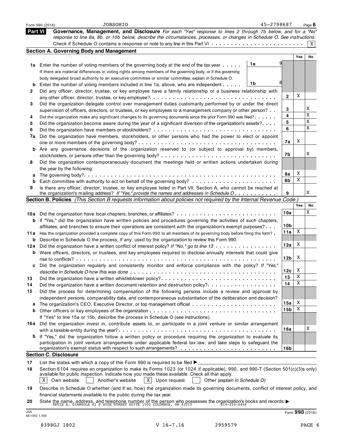|                     | 45-2798687<br><b>JOBSOHIO</b><br>Form 990 (2016)                                                                                                                                                                                |     |     | Page $6$        |
|---------------------|---------------------------------------------------------------------------------------------------------------------------------------------------------------------------------------------------------------------------------|-----|-----|-----------------|
| <b>Part VI</b>      | Governance, Management, and Disclosure For each "Yes" response to lines 2 through 7b below, and for a "No"                                                                                                                      |     |     |                 |
|                     | response to line 8a, 8b, or 10b below, describe the circumstances, processes, or changes in Schedule O. See instructions.                                                                                                       |     |     |                 |
|                     |                                                                                                                                                                                                                                 |     |     | X               |
|                     | <b>Section A. Governing Body and Management</b>                                                                                                                                                                                 |     |     |                 |
|                     |                                                                                                                                                                                                                                 |     | Yes | No              |
|                     | 1a<br>1a Enter the number of voting members of the governing body at the end of the tax year                                                                                                                                    |     |     |                 |
|                     | If there are material differences in voting rights among members of the governing body, or if the governing                                                                                                                     |     |     |                 |
|                     | body delegated broad authority to an executive committee or similar committee, explain in Schedule O.                                                                                                                           |     |     |                 |
| b                   | 1b<br>Enter the number of voting members included in line 1a, above, who are independent                                                                                                                                        |     |     |                 |
| 2                   | Did any officer, director, trustee, or key employee have a family relationship or a business relationship with                                                                                                                  |     |     |                 |
|                     |                                                                                                                                                                                                                                 | 2   | Χ   |                 |
| 3                   | Did the organization delegate control over management duties customarily performed by or under the direct                                                                                                                       |     |     |                 |
|                     | supervision of officers, directors, or trustees, or key employees to a management company or other person?                                                                                                                      | 3   |     | X<br>X          |
| 4                   | Did the organization make any significant changes to its governing documents since the prior Form 990 was filed?                                                                                                                | 4   |     | X               |
| 5                   | Did the organization become aware during the year of a significant diversion of the organization's assets?                                                                                                                      | 5   |     | X               |
| 6                   |                                                                                                                                                                                                                                 | 6   |     |                 |
| 7a                  | Did the organization have members, stockholders, or other persons who had the power to elect or appoint                                                                                                                         |     | Χ   |                 |
|                     |                                                                                                                                                                                                                                 | 7a  |     |                 |
| b                   | Are any governance decisions of the organization reserved to (or subject to approval by) members,                                                                                                                               | 7b  |     | X               |
|                     |                                                                                                                                                                                                                                 |     |     |                 |
| 8                   | Did the organization contemporaneously document the meetings held or written actions undertaken during                                                                                                                          |     |     |                 |
|                     | the year by the following:                                                                                                                                                                                                      | 8а  | Χ   |                 |
| а                   |                                                                                                                                                                                                                                 | 8b  | Χ   |                 |
| b<br>9              | Is there any officer, director, trustee, or key employee listed in Part VII, Section A, who cannot be reached at                                                                                                                |     |     |                 |
|                     | the organization's mailing address? If "Yes," provide the names and addresses in Schedule O.                                                                                                                                    | 9   |     | X               |
|                     | Section B. Policies (This Section B requests information about policies not required by the Internal Revenue Code.)                                                                                                             |     |     |                 |
|                     |                                                                                                                                                                                                                                 |     | Yes | No              |
|                     | 10a Did the organization have local chapters, branches, or affiliates?                                                                                                                                                          | 10a |     | X               |
| b                   | If "Yes," did the organization have written policies and procedures governing the activities of such chapters,                                                                                                                  |     |     |                 |
|                     | affiliates, and branches to ensure their operations are consistent with the organization's exempt purposes?                                                                                                                     | 10b |     |                 |
| 11a                 | Has the organization provided a complete copy of this Form 990 to all members of its governing body before filing the form?                                                                                                     | 11a | Χ   |                 |
| b                   | Describe in Schedule O the process, if any, used by the organization to review this Form 990.                                                                                                                                   |     |     |                 |
| 12a                 | Did the organization have a written conflict of interest policy? If "No," go to line 13                                                                                                                                         | 12a | X   |                 |
|                     | <b>b</b> Were officers, directors, or trustees, and key employees required to disclose annually interests that could give                                                                                                       |     |     |                 |
|                     | rise to conflicts?                                                                                                                                                                                                              | 12b | X   |                 |
| c                   | Did the organization regularly and consistently monitor and enforce compliance with the policy? If "Yes,"                                                                                                                       |     |     |                 |
|                     | describe in Schedule O how this was done                                                                                                                                                                                        | 12c | X   |                 |
| 13                  |                                                                                                                                                                                                                                 | 13  | Χ   |                 |
| 14                  | Did the organization have a written document retention and destruction policy?                                                                                                                                                  | 14  | Χ   |                 |
| 15                  | Did the process for determining compensation of the following persons include a review and approval by                                                                                                                          |     |     |                 |
|                     | independent persons, comparability data, and contemporaneous substantiation of the deliberation and decision?                                                                                                                   |     |     |                 |
|                     |                                                                                                                                                                                                                                 | 15a | X   |                 |
| b                   |                                                                                                                                                                                                                                 | 15b | Χ   |                 |
|                     | If "Yes" to line 15a or 15b, describe the process in Schedule O (see instructions).                                                                                                                                             |     |     |                 |
| 16a                 | Did the organization invest in, contribute assets to, or participate in a joint venture or similar arrangement                                                                                                                  |     |     |                 |
|                     |                                                                                                                                                                                                                                 | 16a |     | Χ               |
|                     | If "Yes," did the organization follow a written policy or procedure requiring the organization to evaluate its                                                                                                                  |     |     |                 |
|                     | participation in joint venture arrangements under applicable federal tax law, and take steps to safeguard the                                                                                                                   |     |     |                 |
|                     |                                                                                                                                                                                                                                 | 16b |     |                 |
|                     | <b>Section C. Disclosure</b>                                                                                                                                                                                                    |     |     |                 |
| 17                  | List the states with which a copy of this Form 990 is required to be filed $\blacktriangleright$                                                                                                                                |     |     |                 |
| 18                  | Section 6104 requires an organization to make its Forms 1023 (or 1024 if applicable), 990, and 990-T (Section 501(c)(3)s only)<br>available for public inspection. Indicate how you made these available. Check all that apply. |     |     |                 |
|                     | Own website<br>Another's website<br>$X$ Upon request<br>ΧI<br>Other (explain in Schedule O)                                                                                                                                     |     |     |                 |
| 19                  | Describe in Schedule O whether (and if so, how) the organization made its governing documents, conflict of interest policy, and                                                                                                 |     |     |                 |
|                     | financial statements available to the public during the tax year.                                                                                                                                                               |     |     |                 |
| 20                  |                                                                                                                                                                                                                                 |     |     |                 |
|                     | State the name, address, and telephone number of the person who possesses the organization's books and records: $\blacktriangleright$ Estava A. GIANGOLA 41 s HIGH STREET SUITE 1500 COLUMBUS, OH 43215                         |     |     |                 |
| JSA<br>6E1042 1.000 |                                                                                                                                                                                                                                 |     |     | Form 990 (2016) |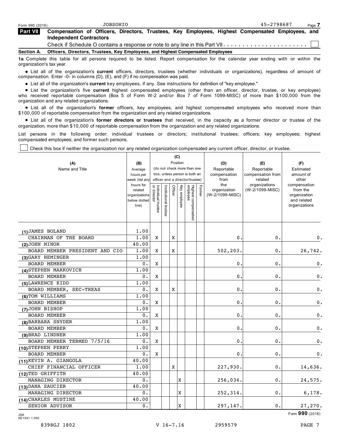| Form 990 (2016)                | JOBSOHIO                                                                                                                  | 45-2798687 | Page 7 |  |  |  |  |  |  |  |
|--------------------------------|---------------------------------------------------------------------------------------------------------------------------|------------|--------|--|--|--|--|--|--|--|
| <b>Part VII</b>                | Compensation of Officers, Directors, Trustees, Key Employees, Highest Compensated Employees, and                          |            |        |  |  |  |  |  |  |  |
| <b>Independent Contractors</b> |                                                                                                                           |            |        |  |  |  |  |  |  |  |
|                                | Check if Schedule O contains a response or note to any line in this Part VII. $\dots \dots \dots \dots \dots \dots \dots$ |            |        |  |  |  |  |  |  |  |
| <b>Section A.</b>              | Officers, Directors, Trustees, Key Employees, and Highest Compensated Employees                                           |            |        |  |  |  |  |  |  |  |
|                                |                                                                                                                           |            |        |  |  |  |  |  |  |  |

**1a** Complete this table for all persons required to be listed. Report compensation for the calendar year ending with or within the organization's tax year.

% List all of the organization's **current** officers, directors, trustees (whether individuals or organizations), regardless of amount of compensation. Enter -0- in columns (D), (E), and (F) if no compensation was paid.

npensation. Enter -∪- in columns (י), (ד), and (ד) if no compensation was paid.<br>● List all of the organization's **current** key employees, if any. See instructions for definition of "key employee."

● List all of the organization's **current** key employees, if any. See instructions for definition of "key employee."<br>● List the organization's five **current** highest compensated employees (other than an officer, director, who received reportable compensation (Box 5 of Form W-2 and/or Box 7 of Form 1099-MISC) of more than \$100,000 from the organization and any related organizations.

anization and any related organizations.<br>● List all of the organization's **former** officers, key employees, and highest compensated employees who received more than \$100,000 of reportable compensation from the organization and any related organizations.

00,000 of reportable compensation from the organization and any related organizations.<br>● List all of the organization's **former directors or trustees** that received, in the capacity as a former director or trustee of the organization, more than \$10,000 of reportable compensation from the organization and any related organizations.

List persons in the following order: individual trustees or directors; institutional trustees; officers; key employees; highest compensated employees; and former such persons.

Check this box if neither the organization nor any related organization compensated any current officer, director, or trustee.

|                                |                             |                                   |                                                              |         | (C)          |                                 |            |                      |                          |                              |
|--------------------------------|-----------------------------|-----------------------------------|--------------------------------------------------------------|---------|--------------|---------------------------------|------------|----------------------|--------------------------|------------------------------|
| (A)                            | (B)                         |                                   |                                                              |         | Position     |                                 |            | (D)                  | (E)                      | (F)                          |
| Name and Title                 | Average                     |                                   | (do not check more than one<br>box, unless person is both an |         |              |                                 | Reportable | Reportable           | Estimated                |                              |
|                                | hours per                   |                                   |                                                              |         |              |                                 |            | compensation<br>from | compensation from        | amount of                    |
|                                | week (list any<br>hours for |                                   |                                                              |         |              | officer and a director/trustee) |            | the                  | related<br>organizations | other<br>compensation        |
|                                | related                     |                                   |                                                              | Officer |              |                                 | Former     | organization         | (W-2/1099-MISC)          | from the                     |
|                                | organizations               | Individual trustee<br>or director | Institutional trustee                                        |         | Key employee |                                 |            | (W-2/1099-MISC)      |                          | organization                 |
|                                | below dotted<br>line)       |                                   |                                                              |         |              |                                 |            |                      |                          | and related<br>organizations |
|                                |                             |                                   |                                                              |         |              |                                 |            |                      |                          |                              |
|                                |                             |                                   |                                                              |         |              | Highest compensated<br>employee |            |                      |                          |                              |
|                                |                             |                                   |                                                              |         |              |                                 |            |                      |                          |                              |
| (1) JAMES BOLAND               | 1.00                        |                                   |                                                              |         |              |                                 |            |                      |                          |                              |
| CHAIRMAN OF THE BOARD          | 1.00                        | X                                 |                                                              | X       |              |                                 |            | 0.                   | 0.                       | 0.                           |
| $(2)$ JOHN MINOR               | 40.00                       |                                   |                                                              |         |              |                                 |            |                      |                          |                              |
| BOARD MEMBER PRESIDENT AND CIO | 1.00                        | Χ                                 |                                                              | Χ       |              |                                 |            | 502,203.             | 0.                       | 26,742.                      |
| (3) GARY HEMINGER              | 1.00                        |                                   |                                                              |         |              |                                 |            |                      |                          |                              |
| <b>BOARD MEMBER</b>            | 0.                          | Χ                                 |                                                              |         |              |                                 |            | 0.                   | 0.                       | 0.                           |
| (4) STEPHEN MARKOVICH          | 1.00                        |                                   |                                                              |         |              |                                 |            |                      |                          |                              |
| <b>BOARD MEMBER</b>            | 0.                          | Χ                                 |                                                              |         |              |                                 |            | 0.                   | 0.                       | 0.                           |
| (5) LAWRENCE KIDD              | 1.00                        |                                   |                                                              |         |              |                                 |            |                      |                          |                              |
| BOARD MEMBER, SEC-TREAS        | 0.                          | X                                 |                                                              | Χ       |              |                                 |            | 0.                   | $0$ .                    | $\mathbf 0$ .                |
| (6) TOM WILLIAMS               | 1.00                        |                                   |                                                              |         |              |                                 |            |                      |                          |                              |
| <b>BOARD MEMBER</b>            | 0.                          | X                                 |                                                              |         |              |                                 |            | 0.                   | 0.                       | $0$ .                        |
| (7) JOHN BISHOP                | 1.00                        |                                   |                                                              |         |              |                                 |            |                      |                          |                              |
| <b>BOARD MEMBER</b>            | 0.                          | Χ                                 |                                                              |         |              |                                 |            | О.                   | 0.                       | $0$ .                        |
| (8) BARBARA SNYDER             | 1.00                        |                                   |                                                              |         |              |                                 |            |                      |                          |                              |
| <b>BOARD MEMBER</b>            | 0.                          | X                                 |                                                              |         |              |                                 |            | О.                   | 0.                       | 0.                           |
| (9) BRAD LINDNER               | 1.00                        |                                   |                                                              |         |              |                                 |            |                      |                          |                              |
| BOARD MEMBER TERMED 7/5/16     | 0.                          | X                                 |                                                              |         |              |                                 |            | 0.                   | 0.                       | 0.                           |
| (10) STEPHEN PERRY             | 1.00                        |                                   |                                                              |         |              |                                 |            |                      |                          |                              |
| <b>BOARD MEMBER</b>            | 0.                          | X                                 |                                                              |         |              |                                 |            | 0.                   | 0.                       | $0$ .                        |
| (11) KEVIN A. GIANGOLA         | 40.00                       |                                   |                                                              |         |              |                                 |            |                      |                          |                              |
| CHIEF FINANCIAL OFFICER        | 1.00                        |                                   |                                                              | Χ       |              |                                 |            | 227,930.             | 0.                       | 14,636.                      |
| (12) TED GRIFFITH              | 40.00                       |                                   |                                                              |         |              |                                 |            |                      |                          |                              |
| MANAGING DIRECTOR              | 0.                          |                                   |                                                              |         | X            |                                 |            | 256,034.             | 0.                       | 24,575.                      |
| (13) DANA SAUCIER              | 40.00                       |                                   |                                                              |         |              |                                 |            |                      |                          |                              |
| MANAGING DIRECTOR              | 0.                          |                                   |                                                              |         | Ιx           |                                 |            | 252,314.             | 0.                       | 6,178.                       |
| (14) CHARLES MUSTINE           | 40.00                       |                                   |                                                              |         |              |                                 |            |                      |                          |                              |
| SENIOR ADVISOR                 | 0.                          |                                   |                                                              |         | X            |                                 |            | 297,147.             | 0.                       | 27,270.                      |

 $\blacksquare$  Form  $\mathbf{990}$  (2016) 6E1041 1.000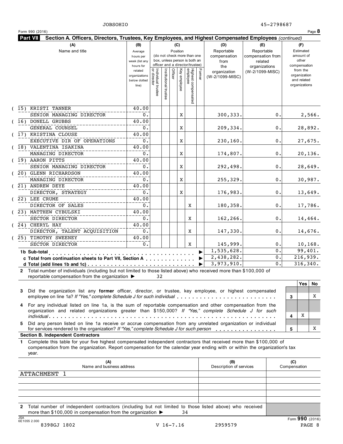| (A)                                                                                                                                                                                                                                                       | (B)                                                            |                                   |                       | (C)                    |                                                                    |        | (D)                                    | (E)                                        | (F)                                                                      |
|-----------------------------------------------------------------------------------------------------------------------------------------------------------------------------------------------------------------------------------------------------------|----------------------------------------------------------------|-----------------------------------|-----------------------|------------------------|--------------------------------------------------------------------|--------|----------------------------------------|--------------------------------------------|--------------------------------------------------------------------------|
| Name and title                                                                                                                                                                                                                                            | Average<br>hours per<br>week (list any                         |                                   |                       | Position               | (do not check more than one<br>box, unless person is both an       |        | Reportable<br>compensation<br>from     | Reportable<br>compensation from<br>related | Estimated<br>amount of<br>other                                          |
|                                                                                                                                                                                                                                                           | hours for<br>related<br>organizations<br>below dotted<br>line) | Individual trustee<br>or director | Institutional trustee | Office<br>Key employee | officer and a director/trustee)<br>Highest compensated<br>employee | Former | the<br>organization<br>(W-2/1099-MISC) | organizations<br>(W-2/1099-MISC)           | compensation<br>from the<br>organization<br>and related<br>organizations |
| (15) KRISTI TANNER                                                                                                                                                                                                                                        | 40.00                                                          |                                   |                       |                        |                                                                    |        |                                        |                                            |                                                                          |
| SENIOR MANAGING DIRECTOR                                                                                                                                                                                                                                  | 0.                                                             |                                   |                       | X                      |                                                                    |        | 300, 333.                              | о.                                         | 2,566.                                                                   |
| (16) DONELL GRUBBS<br>GENERAL COUNSEL                                                                                                                                                                                                                     | 40.00<br>0.                                                    |                                   |                       |                        |                                                                    |        |                                        | 0.                                         |                                                                          |
| (17) KRISTINA CLOUSE                                                                                                                                                                                                                                      | 40.00                                                          |                                   |                       | X                      |                                                                    |        | 209,334.                               |                                            | 28,892.                                                                  |
| EXECUTIVE DIR OF OPERATIONS                                                                                                                                                                                                                               | $0$ .                                                          |                                   |                       | X                      |                                                                    |        | 230,160.                               | 0.                                         | 27,675.                                                                  |
| (18) VALENTINA ISAKINA                                                                                                                                                                                                                                    | 40.00                                                          |                                   |                       |                        |                                                                    |        |                                        |                                            |                                                                          |
| MANAGING DIRECTOR                                                                                                                                                                                                                                         | 0.                                                             |                                   |                       | X                      |                                                                    |        | 174,807.                               | 0.                                         | 20,136.                                                                  |
| (19) AARON PITTS                                                                                                                                                                                                                                          | 40.00                                                          |                                   |                       |                        |                                                                    |        |                                        |                                            |                                                                          |
| SENIOR MANAGING DIRECTOR                                                                                                                                                                                                                                  | 0.                                                             |                                   |                       | X                      |                                                                    |        | 292,498.                               | 0.                                         | 28,649.                                                                  |
| (20) GLENN RICHARDSON                                                                                                                                                                                                                                     | 40.00                                                          |                                   |                       |                        |                                                                    |        |                                        |                                            |                                                                          |
| MANAGING DIRECTOR                                                                                                                                                                                                                                         | 0.                                                             |                                   |                       | X                      |                                                                    |        | 255,329.                               | 0.                                         | 30,987.                                                                  |
| (21) ANDREW DEYE<br>DIRECTOR, STRATEGY                                                                                                                                                                                                                    | 40.00<br>Ο.                                                    |                                   |                       | X                      |                                                                    |        | 176,983.                               | 0.                                         |                                                                          |
| (22) LEE CRUME                                                                                                                                                                                                                                            | 40.00                                                          |                                   |                       |                        |                                                                    |        |                                        |                                            | 13,649.                                                                  |
| DIRECTOR OF SALES                                                                                                                                                                                                                                         | 0.                                                             |                                   |                       |                        | X                                                                  |        | 180,358.                               | 0.                                         | 17,786.                                                                  |
| (23) MATTHEW CYBULSKI                                                                                                                                                                                                                                     | 40.00                                                          |                                   |                       |                        |                                                                    |        |                                        |                                            |                                                                          |
| SECTOR DIRECTOR                                                                                                                                                                                                                                           | $0$ .                                                          |                                   |                       |                        | Χ                                                                  |        | 162,266.                               | 0.                                         | 14,464.                                                                  |
| (24) CHERYL HAY                                                                                                                                                                                                                                           | 40.00                                                          |                                   |                       |                        |                                                                    |        |                                        |                                            |                                                                          |
| DIRECTOR, TALENT ACQUISITION                                                                                                                                                                                                                              | 0.                                                             |                                   |                       |                        | Χ                                                                  |        | 147,330.                               | 0.                                         | 14,676.                                                                  |
| (25) TIMOTHY SWEENEY                                                                                                                                                                                                                                      | 40.00                                                          |                                   |                       |                        |                                                                    |        |                                        |                                            |                                                                          |
| SECTOR DIRECTOR                                                                                                                                                                                                                                           | 0.                                                             |                                   |                       |                        | X                                                                  |        | 145,999.<br>1,535,628.                 | О.<br>0.                                   | 10, 168.<br>99,401.                                                      |
| 1b Sub-total<br>.                                                                                                                                                                                                                                         |                                                                |                                   |                       |                        |                                                                    |        | 2,438,282.                             | Ο.                                         | 216,939.                                                                 |
| c Total from continuation sheets to Part VII, Section A                                                                                                                                                                                                   |                                                                |                                   |                       |                        |                                                                    |        | 3,973,910.                             | 0.                                         | 316, 340.                                                                |
| 2 Total number of individuals (including but not limited to those listed above) who received more than \$100,000 of<br>reportable compensation from the organization ▶                                                                                    |                                                                | 32                                |                       |                        |                                                                    |        |                                        |                                            |                                                                          |
| Did the organization list any former officer, director, or trustee, key employee, or highest compensated<br>employee on line 1a? If "Yes," complete Schedule J for such individual                                                                        |                                                                |                                   |                       |                        |                                                                    |        |                                        |                                            | Yes  <br>No<br>3                                                         |
| For any individual listed on line 1a, is the sum of reportable compensation and other compensation from the<br>organization and related organizations greater than \$150,000? If "Yes," complete Schedule J for such                                      |                                                                |                                   |                       |                        |                                                                    |        |                                        |                                            | X<br>4                                                                   |
| Did any person listed on line 1a receive or accrue compensation from any unrelated organization or individual                                                                                                                                             |                                                                |                                   |                       |                        |                                                                    |        |                                        |                                            |                                                                          |
| for services rendered to the organization? If "Yes," complete Schedule J for such person<br><b>Section B. Independent Contractors</b>                                                                                                                     |                                                                |                                   |                       |                        |                                                                    |        |                                        |                                            | 5                                                                        |
| Complete this table for your five highest compensated independent contractors that received more than \$100,000 of<br>compensation from the organization. Report compensation for the calendar year ending with or within the organization's tax<br>year. |                                                                |                                   |                       |                        |                                                                    |        |                                        |                                            |                                                                          |
| (A)<br>Name and business address                                                                                                                                                                                                                          |                                                                |                                   |                       |                        |                                                                    |        | (B)<br>Description of services         |                                            | (C)<br>Compensation                                                      |
| <b>ATTACHMENT 1</b>                                                                                                                                                                                                                                       |                                                                |                                   |                       |                        |                                                                    |        |                                        |                                            |                                                                          |
|                                                                                                                                                                                                                                                           |                                                                |                                   |                       |                        |                                                                    |        |                                        |                                            |                                                                          |
|                                                                                                                                                                                                                                                           |                                                                |                                   |                       |                        |                                                                    |        |                                        |                                            |                                                                          |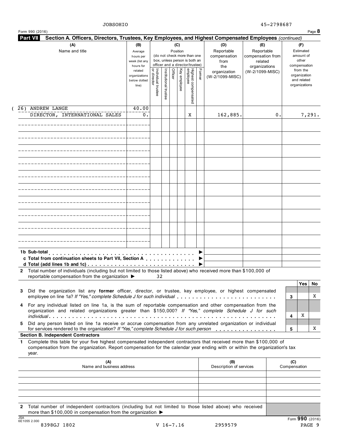| Section A. Officers, Directors, Trustees, Key Employees, and Highest Compensated Employees (continued)<br><b>Part VII</b>                                                                                                                                       |                                                                |                                    |                       |         |                 |                                                                    |        |                                           |                                                   |                                                                          |
|-----------------------------------------------------------------------------------------------------------------------------------------------------------------------------------------------------------------------------------------------------------------|----------------------------------------------------------------|------------------------------------|-----------------------|---------|-----------------|--------------------------------------------------------------------|--------|-------------------------------------------|---------------------------------------------------|--------------------------------------------------------------------------|
| (A)<br>Name and title                                                                                                                                                                                                                                           | (B)<br>Average<br>hours per<br>week (list any                  |                                    |                       |         | (C)<br>Position | (do not check more than one<br>box, unless person is both an       |        | (D)<br>Reportable<br>compensation<br>from | (E)<br>Reportable<br>compensation from<br>related | (F)<br>Estimated<br>amount of<br>other                                   |
|                                                                                                                                                                                                                                                                 | hours for<br>related<br>organizations<br>below dotted<br>line) | Individual trustee<br> or director | Institutional trustee | Officer | Key employee    | officer and a director/trustee)<br>Highest compensated<br>employee | Former | the<br>organization<br>(W-2/1099-MISC)    | organizations<br>(W-2/1099-MISC)                  | compensation<br>from the<br>organization<br>and related<br>organizations |
| 26) ANDREW LANGE<br>DIRECTOR, INTERNATIONAL SALES                                                                                                                                                                                                               | 40.00<br>0.                                                    |                                    |                       |         |                 | X                                                                  |        | 162,885.                                  | 0.                                                | 7,291.                                                                   |
|                                                                                                                                                                                                                                                                 |                                                                |                                    |                       |         |                 |                                                                    |        |                                           |                                                   |                                                                          |
|                                                                                                                                                                                                                                                                 |                                                                |                                    |                       |         |                 |                                                                    |        |                                           |                                                   |                                                                          |
|                                                                                                                                                                                                                                                                 |                                                                |                                    |                       |         |                 |                                                                    |        |                                           |                                                   |                                                                          |
|                                                                                                                                                                                                                                                                 |                                                                |                                    |                       |         |                 |                                                                    |        |                                           |                                                   |                                                                          |
|                                                                                                                                                                                                                                                                 |                                                                |                                    |                       |         |                 |                                                                    |        |                                           |                                                   |                                                                          |
|                                                                                                                                                                                                                                                                 |                                                                |                                    |                       |         |                 |                                                                    |        |                                           |                                                   |                                                                          |
|                                                                                                                                                                                                                                                                 |                                                                |                                    |                       |         |                 |                                                                    |        |                                           |                                                   |                                                                          |
|                                                                                                                                                                                                                                                                 |                                                                |                                    |                       |         |                 |                                                                    |        |                                           |                                                   |                                                                          |
|                                                                                                                                                                                                                                                                 |                                                                |                                    |                       |         |                 |                                                                    |        |                                           |                                                   |                                                                          |
| 1b Sub-total<br>c Total from continuation sheets to Part VII, Section A                                                                                                                                                                                         |                                                                |                                    |                       |         |                 |                                                                    |        |                                           |                                                   |                                                                          |
| Total number of individuals (including but not limited to those listed above) who received more than \$100,000 of<br>$\mathbf{2}$<br>reportable compensation from the organization ▶                                                                            |                                                                | 32                                 |                       |         |                 |                                                                    |        |                                           |                                                   |                                                                          |
| Did the organization list any former officer, director, or trustee, key employee, or highest compensated<br>3<br>employee on line 1a? If "Yes," complete Schedule J for such individual                                                                         |                                                                |                                    |                       |         |                 |                                                                    |        |                                           |                                                   | Yes<br>No<br>X<br>3                                                      |
| For any individual listed on line 1a, is the sum of reportable compensation and other compensation from the<br>4<br>organization and related organizations greater than \$150,000? If "Yes," complete Schedule J for such                                       |                                                                |                                    |                       |         |                 |                                                                    |        |                                           |                                                   | X<br>4                                                                   |
| Did any person listed on line 1a receive or accrue compensation from any unrelated organization or individual<br>5.<br>for services rendered to the organization? If "Yes," complete Schedule J for such person                                                 |                                                                |                                    |                       |         |                 |                                                                    |        |                                           |                                                   | 5                                                                        |
| <b>Section B. Independent Contractors</b>                                                                                                                                                                                                                       |                                                                |                                    |                       |         |                 |                                                                    |        |                                           |                                                   |                                                                          |
| Complete this table for your five highest compensated independent contractors that received more than \$100,000 of<br>1.<br>compensation from the organization. Report compensation for the calendar year ending with or within the organization's tax<br>year. |                                                                |                                    |                       |         |                 |                                                                    |        |                                           |                                                   |                                                                          |
| (A)<br>Name and business address                                                                                                                                                                                                                                |                                                                |                                    |                       |         |                 |                                                                    |        | (B)<br>Description of services            |                                                   | (C)<br>Compensation                                                      |
|                                                                                                                                                                                                                                                                 |                                                                |                                    |                       |         |                 |                                                                    |        |                                           |                                                   |                                                                          |
| 2 Total number of independent contractors (including but not limited to those listed above) who received                                                                                                                                                        |                                                                |                                    |                       |         |                 |                                                                    |        |                                           |                                                   |                                                                          |
| more than \$100,000 in compensation from the organization $\blacktriangleright$                                                                                                                                                                                 |                                                                |                                    |                       |         |                 |                                                                    |        |                                           |                                                   |                                                                          |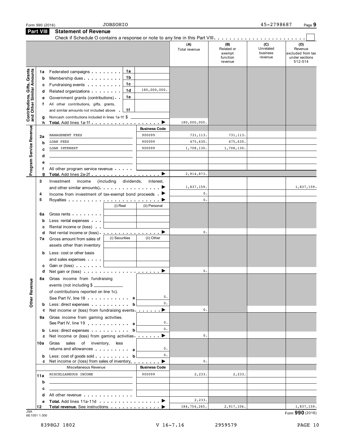| Part VIII<br><b>Statement of Revenue</b><br>Check if Schedule O contains a response or note to any line in this Part VIII.<br>(C)<br>(B)<br>(A)<br>Related or<br>Unrelated<br>Total revenue<br>business<br>exempt<br>function<br>revenue<br>revenue<br>Contributions, Gifts, Grants<br>and Other Similar Amounts<br>1a<br>Federated campaigns<br>1a<br>1b<br>Membership dues<br>b<br>1c<br>Fundraising events <b>Fundraising</b><br>c<br>180,000,000.<br>1d<br>Related organizations <b>contains</b><br>d<br>1e<br>Government grants (contributions)<br>е<br>All other contributions, gifts, grants,<br>f.<br>1f<br>and similar amounts not included above .<br>Noncash contributions included in lines 1a-1f: \$<br>g<br>180,000,000.<br>Total. Add lines 1a-1f ▶<br>h.<br>Program Service Revenue<br><b>Business Code</b><br>900099<br>MANAGEMENT FEES<br>731,113.<br>731, 113.<br>2a<br>900099<br>475,630.<br>475,630.<br><b>LOAN FEES</b><br>b<br>900099<br>1,708,130.<br>LOAN INTEREST<br>1,708,130.<br>C<br>d<br>е<br>All other program service revenue<br>2,914,873.<br>g<br>3<br>income<br>(including dividends,<br>Investment<br>interest.<br>1,837,159.<br>and other similar amounts). $\ldots$ , $\ldots$ , $\ldots$ , $\blacktriangleright$<br>0.<br>Income from investment of tax-exempt bond proceeds $\blacktriangleright$<br>4<br>5<br>0.<br>(i) Real<br>(ii) Personal<br>Gross rents <b>contains a state of the state of the state of the state of the state of the state of the state of the state of the state of the state of the state of the state of the state of the state of the state of the sta</b><br>6а<br>Less: rental expenses<br>b<br>Rental income or (loss)<br>с<br>0.<br>Net rental income or (loss) $\cdots$ $\cdots$ $\cdots$<br>d<br>(i) Securities<br>(ii) Other<br>Gross amount from sales of<br>7a<br>assets other than inventory<br>Less: cost or other basis<br>b<br>and sales expenses<br>Gain or (loss) Cain or (loss)<br>c<br>0.<br>Net gain or (loss) $\cdots$ $\cdots$ $\cdots$ $\cdots$ $\cdots$ $\cdots$<br>d<br>Gross income from fundraising<br>8а<br><b>Other Revenue</b><br>events (not including \$<br>of contributions reported on line 1c).<br>0.<br>See Part IV, line 18 a<br>0.<br>b Less: direct expenses<br>b<br>0.<br>Net income or (loss) from fundraising events $\blacksquare$<br>c<br>Gross income from gaming activities.<br>9а<br>0.<br>See Part IV, line 19<br>0.<br>Less: direct expenses by the state of the basic direct expenses<br>b<br>▶<br>0.<br>Net income or (loss) from gaming activities<br>c<br>sales<br>of inventory,<br>10a<br>Gross<br>less<br>0.<br>returns and allowances and allowances<br>0.<br>Less: cost of goods sold.<br>b<br>b<br>Net income or (loss) from sales of inventory<br>c<br>0.<br>▶<br>Miscellaneous Revenue<br><b>Business Code</b><br>MISCELLANEOUS INCOME<br>900099<br>2,233.<br>2,233.<br>11a<br>b | Form 990 (2016) | <b>JOBSOHIO</b> |  | 45-2798687 | Page 9                                                           |
|----------------------------------------------------------------------------------------------------------------------------------------------------------------------------------------------------------------------------------------------------------------------------------------------------------------------------------------------------------------------------------------------------------------------------------------------------------------------------------------------------------------------------------------------------------------------------------------------------------------------------------------------------------------------------------------------------------------------------------------------------------------------------------------------------------------------------------------------------------------------------------------------------------------------------------------------------------------------------------------------------------------------------------------------------------------------------------------------------------------------------------------------------------------------------------------------------------------------------------------------------------------------------------------------------------------------------------------------------------------------------------------------------------------------------------------------------------------------------------------------------------------------------------------------------------------------------------------------------------------------------------------------------------------------------------------------------------------------------------------------------------------------------------------------------------------------------------------------------------------------------------------------------------------------------------------------------------------------------------------------------------------------------------------------------------------------------------------------------------------------------------------------------------------------------------------------------------------------------------------------------------------------------------------------------------------------------------------------------------------------------------------------------------------------------------------------------------------------------------------------------------------------------------------------------------------------------------------------------------------------------------------------------------------------------------------------------------------------------------------------------------------------------------------------------------------------------------------------------------------------------------------------------------------|-----------------|-----------------|--|------------|------------------------------------------------------------------|
|                                                                                                                                                                                                                                                                                                                                                                                                                                                                                                                                                                                                                                                                                                                                                                                                                                                                                                                                                                                                                                                                                                                                                                                                                                                                                                                                                                                                                                                                                                                                                                                                                                                                                                                                                                                                                                                                                                                                                                                                                                                                                                                                                                                                                                                                                                                                                                                                                                                                                                                                                                                                                                                                                                                                                                                                                                                                                                                |                 |                 |  |            |                                                                  |
|                                                                                                                                                                                                                                                                                                                                                                                                                                                                                                                                                                                                                                                                                                                                                                                                                                                                                                                                                                                                                                                                                                                                                                                                                                                                                                                                                                                                                                                                                                                                                                                                                                                                                                                                                                                                                                                                                                                                                                                                                                                                                                                                                                                                                                                                                                                                                                                                                                                                                                                                                                                                                                                                                                                                                                                                                                                                                                                |                 |                 |  |            | (D)<br>Revenue<br>excluded from tax<br>under sections<br>512-514 |
|                                                                                                                                                                                                                                                                                                                                                                                                                                                                                                                                                                                                                                                                                                                                                                                                                                                                                                                                                                                                                                                                                                                                                                                                                                                                                                                                                                                                                                                                                                                                                                                                                                                                                                                                                                                                                                                                                                                                                                                                                                                                                                                                                                                                                                                                                                                                                                                                                                                                                                                                                                                                                                                                                                                                                                                                                                                                                                                |                 |                 |  |            |                                                                  |
|                                                                                                                                                                                                                                                                                                                                                                                                                                                                                                                                                                                                                                                                                                                                                                                                                                                                                                                                                                                                                                                                                                                                                                                                                                                                                                                                                                                                                                                                                                                                                                                                                                                                                                                                                                                                                                                                                                                                                                                                                                                                                                                                                                                                                                                                                                                                                                                                                                                                                                                                                                                                                                                                                                                                                                                                                                                                                                                |                 |                 |  |            |                                                                  |
|                                                                                                                                                                                                                                                                                                                                                                                                                                                                                                                                                                                                                                                                                                                                                                                                                                                                                                                                                                                                                                                                                                                                                                                                                                                                                                                                                                                                                                                                                                                                                                                                                                                                                                                                                                                                                                                                                                                                                                                                                                                                                                                                                                                                                                                                                                                                                                                                                                                                                                                                                                                                                                                                                                                                                                                                                                                                                                                |                 |                 |  |            |                                                                  |
|                                                                                                                                                                                                                                                                                                                                                                                                                                                                                                                                                                                                                                                                                                                                                                                                                                                                                                                                                                                                                                                                                                                                                                                                                                                                                                                                                                                                                                                                                                                                                                                                                                                                                                                                                                                                                                                                                                                                                                                                                                                                                                                                                                                                                                                                                                                                                                                                                                                                                                                                                                                                                                                                                                                                                                                                                                                                                                                |                 |                 |  |            |                                                                  |
|                                                                                                                                                                                                                                                                                                                                                                                                                                                                                                                                                                                                                                                                                                                                                                                                                                                                                                                                                                                                                                                                                                                                                                                                                                                                                                                                                                                                                                                                                                                                                                                                                                                                                                                                                                                                                                                                                                                                                                                                                                                                                                                                                                                                                                                                                                                                                                                                                                                                                                                                                                                                                                                                                                                                                                                                                                                                                                                |                 |                 |  |            |                                                                  |
|                                                                                                                                                                                                                                                                                                                                                                                                                                                                                                                                                                                                                                                                                                                                                                                                                                                                                                                                                                                                                                                                                                                                                                                                                                                                                                                                                                                                                                                                                                                                                                                                                                                                                                                                                                                                                                                                                                                                                                                                                                                                                                                                                                                                                                                                                                                                                                                                                                                                                                                                                                                                                                                                                                                                                                                                                                                                                                                |                 |                 |  |            |                                                                  |
|                                                                                                                                                                                                                                                                                                                                                                                                                                                                                                                                                                                                                                                                                                                                                                                                                                                                                                                                                                                                                                                                                                                                                                                                                                                                                                                                                                                                                                                                                                                                                                                                                                                                                                                                                                                                                                                                                                                                                                                                                                                                                                                                                                                                                                                                                                                                                                                                                                                                                                                                                                                                                                                                                                                                                                                                                                                                                                                |                 |                 |  |            |                                                                  |
|                                                                                                                                                                                                                                                                                                                                                                                                                                                                                                                                                                                                                                                                                                                                                                                                                                                                                                                                                                                                                                                                                                                                                                                                                                                                                                                                                                                                                                                                                                                                                                                                                                                                                                                                                                                                                                                                                                                                                                                                                                                                                                                                                                                                                                                                                                                                                                                                                                                                                                                                                                                                                                                                                                                                                                                                                                                                                                                |                 |                 |  |            |                                                                  |
|                                                                                                                                                                                                                                                                                                                                                                                                                                                                                                                                                                                                                                                                                                                                                                                                                                                                                                                                                                                                                                                                                                                                                                                                                                                                                                                                                                                                                                                                                                                                                                                                                                                                                                                                                                                                                                                                                                                                                                                                                                                                                                                                                                                                                                                                                                                                                                                                                                                                                                                                                                                                                                                                                                                                                                                                                                                                                                                |                 |                 |  |            |                                                                  |
|                                                                                                                                                                                                                                                                                                                                                                                                                                                                                                                                                                                                                                                                                                                                                                                                                                                                                                                                                                                                                                                                                                                                                                                                                                                                                                                                                                                                                                                                                                                                                                                                                                                                                                                                                                                                                                                                                                                                                                                                                                                                                                                                                                                                                                                                                                                                                                                                                                                                                                                                                                                                                                                                                                                                                                                                                                                                                                                |                 |                 |  |            |                                                                  |
|                                                                                                                                                                                                                                                                                                                                                                                                                                                                                                                                                                                                                                                                                                                                                                                                                                                                                                                                                                                                                                                                                                                                                                                                                                                                                                                                                                                                                                                                                                                                                                                                                                                                                                                                                                                                                                                                                                                                                                                                                                                                                                                                                                                                                                                                                                                                                                                                                                                                                                                                                                                                                                                                                                                                                                                                                                                                                                                |                 |                 |  |            |                                                                  |
|                                                                                                                                                                                                                                                                                                                                                                                                                                                                                                                                                                                                                                                                                                                                                                                                                                                                                                                                                                                                                                                                                                                                                                                                                                                                                                                                                                                                                                                                                                                                                                                                                                                                                                                                                                                                                                                                                                                                                                                                                                                                                                                                                                                                                                                                                                                                                                                                                                                                                                                                                                                                                                                                                                                                                                                                                                                                                                                |                 |                 |  |            |                                                                  |
|                                                                                                                                                                                                                                                                                                                                                                                                                                                                                                                                                                                                                                                                                                                                                                                                                                                                                                                                                                                                                                                                                                                                                                                                                                                                                                                                                                                                                                                                                                                                                                                                                                                                                                                                                                                                                                                                                                                                                                                                                                                                                                                                                                                                                                                                                                                                                                                                                                                                                                                                                                                                                                                                                                                                                                                                                                                                                                                |                 |                 |  |            | 1,837,159.                                                       |
|                                                                                                                                                                                                                                                                                                                                                                                                                                                                                                                                                                                                                                                                                                                                                                                                                                                                                                                                                                                                                                                                                                                                                                                                                                                                                                                                                                                                                                                                                                                                                                                                                                                                                                                                                                                                                                                                                                                                                                                                                                                                                                                                                                                                                                                                                                                                                                                                                                                                                                                                                                                                                                                                                                                                                                                                                                                                                                                |                 |                 |  |            |                                                                  |
|                                                                                                                                                                                                                                                                                                                                                                                                                                                                                                                                                                                                                                                                                                                                                                                                                                                                                                                                                                                                                                                                                                                                                                                                                                                                                                                                                                                                                                                                                                                                                                                                                                                                                                                                                                                                                                                                                                                                                                                                                                                                                                                                                                                                                                                                                                                                                                                                                                                                                                                                                                                                                                                                                                                                                                                                                                                                                                                |                 |                 |  |            |                                                                  |
|                                                                                                                                                                                                                                                                                                                                                                                                                                                                                                                                                                                                                                                                                                                                                                                                                                                                                                                                                                                                                                                                                                                                                                                                                                                                                                                                                                                                                                                                                                                                                                                                                                                                                                                                                                                                                                                                                                                                                                                                                                                                                                                                                                                                                                                                                                                                                                                                                                                                                                                                                                                                                                                                                                                                                                                                                                                                                                                |                 |                 |  |            |                                                                  |
|                                                                                                                                                                                                                                                                                                                                                                                                                                                                                                                                                                                                                                                                                                                                                                                                                                                                                                                                                                                                                                                                                                                                                                                                                                                                                                                                                                                                                                                                                                                                                                                                                                                                                                                                                                                                                                                                                                                                                                                                                                                                                                                                                                                                                                                                                                                                                                                                                                                                                                                                                                                                                                                                                                                                                                                                                                                                                                                |                 |                 |  |            |                                                                  |
|                                                                                                                                                                                                                                                                                                                                                                                                                                                                                                                                                                                                                                                                                                                                                                                                                                                                                                                                                                                                                                                                                                                                                                                                                                                                                                                                                                                                                                                                                                                                                                                                                                                                                                                                                                                                                                                                                                                                                                                                                                                                                                                                                                                                                                                                                                                                                                                                                                                                                                                                                                                                                                                                                                                                                                                                                                                                                                                |                 |                 |  |            |                                                                  |
|                                                                                                                                                                                                                                                                                                                                                                                                                                                                                                                                                                                                                                                                                                                                                                                                                                                                                                                                                                                                                                                                                                                                                                                                                                                                                                                                                                                                                                                                                                                                                                                                                                                                                                                                                                                                                                                                                                                                                                                                                                                                                                                                                                                                                                                                                                                                                                                                                                                                                                                                                                                                                                                                                                                                                                                                                                                                                                                |                 |                 |  |            |                                                                  |
|                                                                                                                                                                                                                                                                                                                                                                                                                                                                                                                                                                                                                                                                                                                                                                                                                                                                                                                                                                                                                                                                                                                                                                                                                                                                                                                                                                                                                                                                                                                                                                                                                                                                                                                                                                                                                                                                                                                                                                                                                                                                                                                                                                                                                                                                                                                                                                                                                                                                                                                                                                                                                                                                                                                                                                                                                                                                                                                |                 |                 |  |            |                                                                  |
|                                                                                                                                                                                                                                                                                                                                                                                                                                                                                                                                                                                                                                                                                                                                                                                                                                                                                                                                                                                                                                                                                                                                                                                                                                                                                                                                                                                                                                                                                                                                                                                                                                                                                                                                                                                                                                                                                                                                                                                                                                                                                                                                                                                                                                                                                                                                                                                                                                                                                                                                                                                                                                                                                                                                                                                                                                                                                                                |                 |                 |  |            |                                                                  |
|                                                                                                                                                                                                                                                                                                                                                                                                                                                                                                                                                                                                                                                                                                                                                                                                                                                                                                                                                                                                                                                                                                                                                                                                                                                                                                                                                                                                                                                                                                                                                                                                                                                                                                                                                                                                                                                                                                                                                                                                                                                                                                                                                                                                                                                                                                                                                                                                                                                                                                                                                                                                                                                                                                                                                                                                                                                                                                                |                 |                 |  |            |                                                                  |
|                                                                                                                                                                                                                                                                                                                                                                                                                                                                                                                                                                                                                                                                                                                                                                                                                                                                                                                                                                                                                                                                                                                                                                                                                                                                                                                                                                                                                                                                                                                                                                                                                                                                                                                                                                                                                                                                                                                                                                                                                                                                                                                                                                                                                                                                                                                                                                                                                                                                                                                                                                                                                                                                                                                                                                                                                                                                                                                |                 |                 |  |            |                                                                  |
|                                                                                                                                                                                                                                                                                                                                                                                                                                                                                                                                                                                                                                                                                                                                                                                                                                                                                                                                                                                                                                                                                                                                                                                                                                                                                                                                                                                                                                                                                                                                                                                                                                                                                                                                                                                                                                                                                                                                                                                                                                                                                                                                                                                                                                                                                                                                                                                                                                                                                                                                                                                                                                                                                                                                                                                                                                                                                                                |                 |                 |  |            |                                                                  |
|                                                                                                                                                                                                                                                                                                                                                                                                                                                                                                                                                                                                                                                                                                                                                                                                                                                                                                                                                                                                                                                                                                                                                                                                                                                                                                                                                                                                                                                                                                                                                                                                                                                                                                                                                                                                                                                                                                                                                                                                                                                                                                                                                                                                                                                                                                                                                                                                                                                                                                                                                                                                                                                                                                                                                                                                                                                                                                                |                 |                 |  |            |                                                                  |
|                                                                                                                                                                                                                                                                                                                                                                                                                                                                                                                                                                                                                                                                                                                                                                                                                                                                                                                                                                                                                                                                                                                                                                                                                                                                                                                                                                                                                                                                                                                                                                                                                                                                                                                                                                                                                                                                                                                                                                                                                                                                                                                                                                                                                                                                                                                                                                                                                                                                                                                                                                                                                                                                                                                                                                                                                                                                                                                |                 |                 |  |            |                                                                  |
|                                                                                                                                                                                                                                                                                                                                                                                                                                                                                                                                                                                                                                                                                                                                                                                                                                                                                                                                                                                                                                                                                                                                                                                                                                                                                                                                                                                                                                                                                                                                                                                                                                                                                                                                                                                                                                                                                                                                                                                                                                                                                                                                                                                                                                                                                                                                                                                                                                                                                                                                                                                                                                                                                                                                                                                                                                                                                                                |                 |                 |  |            |                                                                  |
|                                                                                                                                                                                                                                                                                                                                                                                                                                                                                                                                                                                                                                                                                                                                                                                                                                                                                                                                                                                                                                                                                                                                                                                                                                                                                                                                                                                                                                                                                                                                                                                                                                                                                                                                                                                                                                                                                                                                                                                                                                                                                                                                                                                                                                                                                                                                                                                                                                                                                                                                                                                                                                                                                                                                                                                                                                                                                                                |                 |                 |  |            |                                                                  |
|                                                                                                                                                                                                                                                                                                                                                                                                                                                                                                                                                                                                                                                                                                                                                                                                                                                                                                                                                                                                                                                                                                                                                                                                                                                                                                                                                                                                                                                                                                                                                                                                                                                                                                                                                                                                                                                                                                                                                                                                                                                                                                                                                                                                                                                                                                                                                                                                                                                                                                                                                                                                                                                                                                                                                                                                                                                                                                                |                 |                 |  |            |                                                                  |
|                                                                                                                                                                                                                                                                                                                                                                                                                                                                                                                                                                                                                                                                                                                                                                                                                                                                                                                                                                                                                                                                                                                                                                                                                                                                                                                                                                                                                                                                                                                                                                                                                                                                                                                                                                                                                                                                                                                                                                                                                                                                                                                                                                                                                                                                                                                                                                                                                                                                                                                                                                                                                                                                                                                                                                                                                                                                                                                |                 |                 |  |            |                                                                  |
|                                                                                                                                                                                                                                                                                                                                                                                                                                                                                                                                                                                                                                                                                                                                                                                                                                                                                                                                                                                                                                                                                                                                                                                                                                                                                                                                                                                                                                                                                                                                                                                                                                                                                                                                                                                                                                                                                                                                                                                                                                                                                                                                                                                                                                                                                                                                                                                                                                                                                                                                                                                                                                                                                                                                                                                                                                                                                                                |                 |                 |  |            |                                                                  |
|                                                                                                                                                                                                                                                                                                                                                                                                                                                                                                                                                                                                                                                                                                                                                                                                                                                                                                                                                                                                                                                                                                                                                                                                                                                                                                                                                                                                                                                                                                                                                                                                                                                                                                                                                                                                                                                                                                                                                                                                                                                                                                                                                                                                                                                                                                                                                                                                                                                                                                                                                                                                                                                                                                                                                                                                                                                                                                                |                 |                 |  |            |                                                                  |
|                                                                                                                                                                                                                                                                                                                                                                                                                                                                                                                                                                                                                                                                                                                                                                                                                                                                                                                                                                                                                                                                                                                                                                                                                                                                                                                                                                                                                                                                                                                                                                                                                                                                                                                                                                                                                                                                                                                                                                                                                                                                                                                                                                                                                                                                                                                                                                                                                                                                                                                                                                                                                                                                                                                                                                                                                                                                                                                |                 |                 |  |            |                                                                  |
|                                                                                                                                                                                                                                                                                                                                                                                                                                                                                                                                                                                                                                                                                                                                                                                                                                                                                                                                                                                                                                                                                                                                                                                                                                                                                                                                                                                                                                                                                                                                                                                                                                                                                                                                                                                                                                                                                                                                                                                                                                                                                                                                                                                                                                                                                                                                                                                                                                                                                                                                                                                                                                                                                                                                                                                                                                                                                                                |                 |                 |  |            |                                                                  |
|                                                                                                                                                                                                                                                                                                                                                                                                                                                                                                                                                                                                                                                                                                                                                                                                                                                                                                                                                                                                                                                                                                                                                                                                                                                                                                                                                                                                                                                                                                                                                                                                                                                                                                                                                                                                                                                                                                                                                                                                                                                                                                                                                                                                                                                                                                                                                                                                                                                                                                                                                                                                                                                                                                                                                                                                                                                                                                                |                 |                 |  |            |                                                                  |
|                                                                                                                                                                                                                                                                                                                                                                                                                                                                                                                                                                                                                                                                                                                                                                                                                                                                                                                                                                                                                                                                                                                                                                                                                                                                                                                                                                                                                                                                                                                                                                                                                                                                                                                                                                                                                                                                                                                                                                                                                                                                                                                                                                                                                                                                                                                                                                                                                                                                                                                                                                                                                                                                                                                                                                                                                                                                                                                |                 |                 |  |            |                                                                  |
|                                                                                                                                                                                                                                                                                                                                                                                                                                                                                                                                                                                                                                                                                                                                                                                                                                                                                                                                                                                                                                                                                                                                                                                                                                                                                                                                                                                                                                                                                                                                                                                                                                                                                                                                                                                                                                                                                                                                                                                                                                                                                                                                                                                                                                                                                                                                                                                                                                                                                                                                                                                                                                                                                                                                                                                                                                                                                                                |                 |                 |  |            |                                                                  |
|                                                                                                                                                                                                                                                                                                                                                                                                                                                                                                                                                                                                                                                                                                                                                                                                                                                                                                                                                                                                                                                                                                                                                                                                                                                                                                                                                                                                                                                                                                                                                                                                                                                                                                                                                                                                                                                                                                                                                                                                                                                                                                                                                                                                                                                                                                                                                                                                                                                                                                                                                                                                                                                                                                                                                                                                                                                                                                                |                 |                 |  |            |                                                                  |
|                                                                                                                                                                                                                                                                                                                                                                                                                                                                                                                                                                                                                                                                                                                                                                                                                                                                                                                                                                                                                                                                                                                                                                                                                                                                                                                                                                                                                                                                                                                                                                                                                                                                                                                                                                                                                                                                                                                                                                                                                                                                                                                                                                                                                                                                                                                                                                                                                                                                                                                                                                                                                                                                                                                                                                                                                                                                                                                |                 |                 |  |            |                                                                  |
| c<br>All other revenue entitled and the state of the state of the state of the state of the state of the state of the state of the state of the state of the state of the state of the state of the state of the state of the state<br>d                                                                                                                                                                                                                                                                                                                                                                                                                                                                                                                                                                                                                                                                                                                                                                                                                                                                                                                                                                                                                                                                                                                                                                                                                                                                                                                                                                                                                                                                                                                                                                                                                                                                                                                                                                                                                                                                                                                                                                                                                                                                                                                                                                                                                                                                                                                                                                                                                                                                                                                                                                                                                                                                       |                 |                 |  |            |                                                                  |
| 2,233.<br>Total. Add lines 11a-11d<br>е                                                                                                                                                                                                                                                                                                                                                                                                                                                                                                                                                                                                                                                                                                                                                                                                                                                                                                                                                                                                                                                                                                                                                                                                                                                                                                                                                                                                                                                                                                                                                                                                                                                                                                                                                                                                                                                                                                                                                                                                                                                                                                                                                                                                                                                                                                                                                                                                                                                                                                                                                                                                                                                                                                                                                                                                                                                                        |                 |                 |  |            |                                                                  |
| 184,754,265.<br>2,917,106.<br>12                                                                                                                                                                                                                                                                                                                                                                                                                                                                                                                                                                                                                                                                                                                                                                                                                                                                                                                                                                                                                                                                                                                                                                                                                                                                                                                                                                                                                                                                                                                                                                                                                                                                                                                                                                                                                                                                                                                                                                                                                                                                                                                                                                                                                                                                                                                                                                                                                                                                                                                                                                                                                                                                                                                                                                                                                                                                               |                 |                 |  |            | 1,837,159.                                                       |

JSA Form **990** (2016) 6E1051 1.000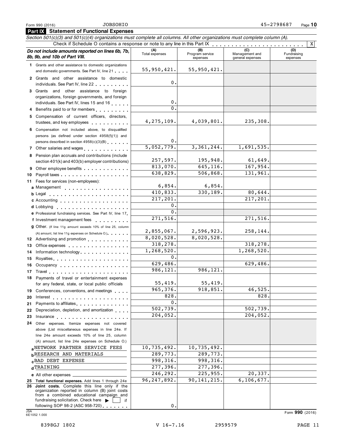**Part IX Statement of Functional Expenses**

## Section 501(c)(3) and 501(c)(4) organizations must complete all columns. All other organizations must complete column (A).<br>Check if Schedule O contains a response or note to any line in this Part IX **Do** not include amounts reported on lines 6b, 7b, (A) (B) (B) (C) (C) in an agement of **a include** *not include management* **<b>***management management management management management managemen* 8b, 9b, and 10b of Part VIII. expenses Management and general expenses (D)<br>Fundraising expenses **1** Grants and other assistance to domestic organizations and domestic governments. See Part IV, line 21 **2** Grants and other assistance to domestic individuals. See Part IV, line 22 **3** Grants and other assistance to foreign organizations, foreign governments, and foreign individuals. See Part IV, lines 15 and 16 **4** Benefits paid to or for members **5** Compensation of current officers, directors, trustees, and key employees m m m m m m m m m m **6** Compensation not included above, to disqualified persons (as defined under section 4958(f)(1)) and persons described in section  $4958(c)(3)(B)$ **7** Other salaries and wages  $\ldots$   $\ldots$   $\ldots$   $\ldots$  . **8** Pension plan accruals and contributions (include section 401(k) and 403(b) employer contributions)<br>Other employee benefits **9** Other employee benefits Payroll taxes **10** m m m m m m m m m m m m m m m m m m Fees for services (non-employees): **11** Management **a b** Legal Accounting **c d** Lobbying<br>**e** Professional fundraising services. See Part IV, line 17 **12** Advertising and promotion **13** Office expenses A amount, list line 11g expenses on Schedule O.<br> **12** Advertising and promotion<br> **13** Office expenses<br> **14** Information technology **15** Royalties **16** Occupancy **17** Travel **18 19** Conferences, conventions, and meetings **20** Interest **21** Payments to affiliates **22** Depreciation, depletion, and amortization **23** Insurance **24** Other expenses. Itemize expenses not covered **e** Professional fundraising services. See Part IV, line 17 **Professional fundraising services. See Part IV, line 17.<br><b>f** Investment management fees **g** Other. (If line 11g amount exceeds 10% of line 25, column <sup>m</sup> <sup>m</sup> <sup>m</sup> <sup>m</sup> <sup>m</sup> <sup>m</sup> <sup>m</sup> <sup>m</sup> <sup>m</sup> <sup>m</sup> <sup>m</sup> <sup>m</sup> <sup>m</sup> <sup>m</sup> <sup>m</sup> <sup>m</sup> <sup>m</sup> <sup>m</sup> <sup>m</sup> <sup>m</sup> <sup>m</sup> <sup>m</sup> <sup>m</sup> <sup>m</sup> <sup>m</sup> <sup>m</sup> <sup>m</sup> <sup>m</sup> <sup>m</sup> <sup>m</sup> <sup>m</sup> <sup>m</sup> <sup>m</sup> <sup>m</sup> <sup>m</sup> <sup>m</sup> <sup>m</sup> <sup>m</sup> <sup>m</sup> <sup>m</sup> <sup>m</sup> <sup>m</sup> <sup>m</sup> <sup>m</sup> <sup>m</sup> <sup>m</sup> <sup>m</sup> <sup>m</sup> <sup>m</sup> <sup>m</sup> <sup>m</sup> <sup>m</sup> <sup>m</sup> <sup>m</sup> <sup>m</sup> <sup>m</sup> <sup>m</sup> <sup>m</sup> <sup>m</sup> <sup>m</sup> <sup>m</sup> <sup>m</sup> <sup>m</sup> <sup>m</sup> <sup>m</sup> <sup>m</sup> <sup>m</sup> <sup>m</sup> <sup>m</sup> <sup>m</sup> <sup>m</sup> <sup>m</sup> <sup>m</sup> <sup>m</sup> <sup>m</sup> (A) amount, list line 11g expenses on Schedule O.) m m m m m m <sup>m</sup> <sup>m</sup> <sup>m</sup> <sup>m</sup> <sup>m</sup> <sup>m</sup> <sup>m</sup> <sup>m</sup> <sup>m</sup> <sup>m</sup> <sup>m</sup> <sup>m</sup> <sup>m</sup> <sup>m</sup> <sup>m</sup> <sup>m</sup> <sup>m</sup> <sup>m</sup> <sup>m</sup> <sup>m</sup> <sup>m</sup> <sup>m</sup> <sup>m</sup> <sup>m</sup> <sup>m</sup> <sup>m</sup> <sup>m</sup> <sup>m</sup> <sup>m</sup> <sup>m</sup> <sup>m</sup> <sup>m</sup> <sup>m</sup> <sup>m</sup> <sup>m</sup> <sup>m</sup> <sup>m</sup> <sup>m</sup> <sup>m</sup> <sup>m</sup> <sup>m</sup> <sup>m</sup> <sup>m</sup> <sup>m</sup> <sup>m</sup> <sup>m</sup> <sup>m</sup> <sup>m</sup> <sup>m</sup> <sup>m</sup> <sup>m</sup> <sup>m</sup> <sup>m</sup> <sup>m</sup> <sup>m</sup> <sup>m</sup> <sup>m</sup> <sup>m</sup> <sup>m</sup> Payments of travel or entertainment expenses for any federal, state, or local public officials ederal, state, or local public officials<br>
ces, conventions, and meetings<br>
is to affiliates<br>
ition, depletion, and amortization<br>
ition, depletion, and amortization<br>
ition, the metric of the metric of the metric of the metri above (List miscellaneous expenses in line 24e. If line 24e amount exceeds 10% of line 25, column (A) amount, list line 24e expenses on Schedule O.) **a**NETWORK PARTNER SERVICE FEES  $\begin{bmatrix} 10,735,492 \\ 19,735,492 \end{bmatrix}$ **b**RESEARCH AND MATERIALS 289,773. 289,773. **c**BAD DEBT EXPENSE 2010 998,316. **d** TRAINING 277, 396. 277, 396. **e** All other expenses **25 Total functional expenses.** Add lines 1 through 24e **26 Joint costs.** Complete this line only if the organization reported in column (B) joint costs from a combined educational campaign and fundraising solicitation. Check here  $\blacktriangleright$  | | if following SOP 98-2 (ASC 958-720)  $\cdots$  ... X 55,950,421. 55,950,421. 0. 0.  $\overline{0}$ . 4,275,109. 4,039,801. 235,308. 0. 5,052,779. 3,361,244. 1,691,535. 257,597. 195,948. 61,649. 813,070. 645,116. 167,954. 638,829. 506,868. 131,961. 6,854. 6,854. 410,833. 330,189. 80,644. 217,201.  $\Omega$ .  $\overline{0}$ . 271,516. 271,516.  $\begin{array}{c|c|c|c|c} 2,855,067. & 2,596,923. & 258,144. \ \hline 8,020,528. & 8,020,528. & \end{array}$ 8,020,528. 318,278. 1,268,520. 1,268,520. 0. 629,486. 629,486. 986,121. 986,121. 55,419. 55,419. 965,376. 918,851. 46,525.  $828.$  $\overline{0}$ . 502,739. 502,739. 204,052. 204,052. 246,292. 225,955. 20,337. 96,247,892. 90,141,215. 6,106,677. 0.

JSA Form **<sup>990</sup>** (2016) 6E1052 1.000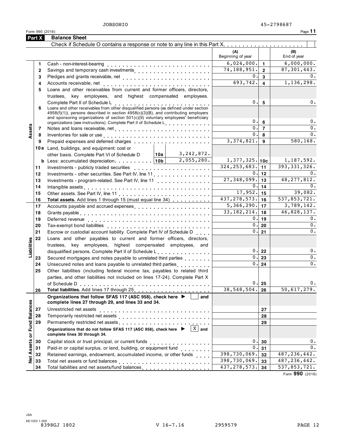Form 990 (2016) Page **11 Part X Balance Sheet**

|                             | <b>Part X</b> | <b>Balance Sheet</b>                                                                                                                                                                                                                                                                                        |     |              |                                 |                         |                           |
|-----------------------------|---------------|-------------------------------------------------------------------------------------------------------------------------------------------------------------------------------------------------------------------------------------------------------------------------------------------------------------|-----|--------------|---------------------------------|-------------------------|---------------------------|
|                             |               |                                                                                                                                                                                                                                                                                                             |     |              |                                 |                         |                           |
|                             |               |                                                                                                                                                                                                                                                                                                             |     |              | (A)<br>Beginning of year        |                         | (B)<br>End of year        |
|                             | 1             | Cash - non-interest-bearing                                                                                                                                                                                                                                                                                 |     |              | 6,024,000.                      | $\mathbf{1}$            | 6,000,000.                |
|                             | $\mathbf{2}$  | Savings and temporary cash investments [1] [1] [1] $\frac{1}{2}$ [1] $\frac{1}{2}$ [1] $\frac{1}{2}$ [1] $\frac{1}{2}$ [1] $\frac{1}{2}$ [1] $\frac{1}{2}$ [1] $\frac{1}{2}$ [1] $\frac{1}{2}$ [1] $\frac{1}{2}$ [1] $\frac{1}{2}$ [1] $\frac{1}{2}$ [1] $\frac{1}{2}$ [1] $\frac$                          |     |              | 74, 188, 951.                   | $\overline{2}$          | 87, 301, 443.             |
|                             | 3             |                                                                                                                                                                                                                                                                                                             |     |              | 0.                              | 3                       | 0.                        |
|                             | 4             |                                                                                                                                                                                                                                                                                                             |     |              | 693,742.                        | $\overline{\mathbf{4}}$ | 1,136,298.                |
|                             | 5             | Loans and other receivables from current and former officers, directors,                                                                                                                                                                                                                                    |     |              |                                 |                         |                           |
|                             |               | trustees, key employees, and highest compensated employees.                                                                                                                                                                                                                                                 |     |              |                                 |                         |                           |
|                             | 6             | Complete Part II of Schedule L<br>Loans and other receivables from other disqualified persons (as defined under section<br>$4958(f)(1)$ , persons described in section $4958(c)(3)(B)$ , and contributing employers<br>and sponsoring organizations of section $501(c)(9)$ voluntary employees' beneficiary |     |              | 0.<br>0.1                       | 5<br>6                  | 0.<br>0.                  |
|                             | 7             | organizations (see instructions). Complete Part II of Schedule L                                                                                                                                                                                                                                            |     |              | 0.1                             | $\overline{7}$          | $0$ .                     |
| Assets                      | 8             | Inventories for sale or use enterpreteration of the contract of the contract of the contract of the contract of                                                                                                                                                                                             |     |              | 0.1                             | 8                       | $0$ .                     |
|                             | 9             | Prepaid expenses and deferred charges entitled as a set of the set of the set of the set of the set of the set of the set of the set of the set of the set of the set of the set of the set of the set of the set of the set o                                                                              |     |              | 3,374,821.                      | 9                       | 580,168.                  |
|                             |               | 10a Land, buildings, and equipment: cost or                                                                                                                                                                                                                                                                 |     |              |                                 |                         |                           |
|                             |               | other basis. Complete Part VI of Schedule D                                                                                                                                                                                                                                                                 | 10a | 3,242,872.   |                                 |                         |                           |
|                             |               | <b>b</b> Less: accumulated depreciation. $\vert$ 10b                                                                                                                                                                                                                                                        |     | 2,055,280.   | $1,377,325.$ 10c                |                         | 1,187,592.                |
|                             | 11            | Investments - publicly traded securities                                                                                                                                                                                                                                                                    |     |              | 324, 253, 683.                  | 11                      | 393,331,326.              |
|                             | 12            | Investments - other securities. See Part IV, line 11                                                                                                                                                                                                                                                        |     |              | 0.1                             | 12                      | $0$ .                     |
|                             | 13            |                                                                                                                                                                                                                                                                                                             |     |              | 27,348,099.                     | 13                      | 48, 277, 812.             |
|                             | 14            |                                                                                                                                                                                                                                                                                                             |     |              |                                 | $0$ - 14                | 0.                        |
|                             | 15            |                                                                                                                                                                                                                                                                                                             |     |              | $17,952.$ 15                    |                         | 39,082.                   |
|                             | 16            | Total assets. Add lines 1 through 15 (must equal line 34)                                                                                                                                                                                                                                                   |     |              | 437, 278, 573.                  | 16                      | $\overline{537,853,721.}$ |
|                             | 17            | Accounts payable and accrued expenses                                                                                                                                                                                                                                                                       |     |              | $5,366,290.$ 17                 |                         | 3,789,142.                |
|                             | 18            |                                                                                                                                                                                                                                                                                                             |     |              | 33, 182, 214.                   | 18                      | 46,828,137.               |
|                             | 19            | Deferred revenue enterprise and the contract of the contract of the contract of the contract of the contract of                                                                                                                                                                                             | 0.1 | 19           | 0.                              |                         |                           |
|                             | 20            | Tax-exempt bond liabilities                                                                                                                                                                                                                                                                                 | 0.1 | 20           | 0.                              |                         |                           |
|                             | 21            | Escrow or custodial account liability. Complete Part IV of Schedule D                                                                                                                                                                                                                                       |     |              | 0.                              | 21                      | 0.                        |
|                             | 22            | Loans and other payables to current and former officers, directors,                                                                                                                                                                                                                                         |     |              |                                 |                         |                           |
| Liabilities                 |               | trustees, key employees, highest compensated employees, and                                                                                                                                                                                                                                                 |     |              |                                 |                         |                           |
|                             |               | disqualified persons. Complete Part II of Schedule Learn production of the set of the U.S. and the U.S. and the                                                                                                                                                                                             |     |              |                                 | $0$ - 22                | 0.                        |
|                             | 23            | Secured mortgages and notes payable to unrelated third parties                                                                                                                                                                                                                                              |     |              |                                 | $\overline{0}$ . 23     | 0.                        |
|                             | 24            | Unsecured notes and loans payable to unrelated third parties                                                                                                                                                                                                                                                |     |              |                                 | $0$ - 24                | $0$ .                     |
|                             | 25            | Other liabilities (including federal income tax, payables to related third                                                                                                                                                                                                                                  |     |              |                                 |                         |                           |
|                             |               | parties, and other liabilities not included on lines 17-24). Complete Part X                                                                                                                                                                                                                                |     |              |                                 | 0.25                    | 0.                        |
|                             |               |                                                                                                                                                                                                                                                                                                             |     |              | 38,548,504.                     |                         | 50,617,279.               |
|                             | 26            | Organizations that follow SFAS 117 (ASC 958), check here ▶                                                                                                                                                                                                                                                  |     |              |                                 | 26                      |                           |
|                             |               | complete lines 27 through 29, and lines 33 and 34.                                                                                                                                                                                                                                                          |     | and          |                                 |                         |                           |
|                             | 27            | Unrestricted net assets                                                                                                                                                                                                                                                                                     |     |              |                                 | 27                      |                           |
|                             | 28            |                                                                                                                                                                                                                                                                                                             |     |              |                                 | 28                      |                           |
|                             | 29            |                                                                                                                                                                                                                                                                                                             |     |              |                                 | 29                      |                           |
| Net Assets or Fund Balances |               | Organizations that do not follow SFAS 117 (ASC 958), check here ▶<br>complete lines 30 through 34.                                                                                                                                                                                                          |     | $X \mid$ and |                                 |                         |                           |
|                             | 30            | Capital stock or trust principal, or current funds                                                                                                                                                                                                                                                          |     |              |                                 | 0.30                    | 0.                        |
|                             | 31            |                                                                                                                                                                                                                                                                                                             |     | .            | 0.                              | 31                      | 0.                        |
|                             | 32            | Retained earnings, endowment, accumulated income, or other funds                                                                                                                                                                                                                                            |     |              | 398,730,069.                    | 32                      | 487, 236, 442.            |
|                             | 33            |                                                                                                                                                                                                                                                                                                             |     |              | 398,730,069.                    | 33                      | 487, 236, 442.            |
|                             | 34            | Total liabilities and net assets/fund balances                                                                                                                                                                                                                                                              |     |              | $\overline{437}$ , 278, 573. 34 |                         | 537,853,721.              |

Form **990** (2016)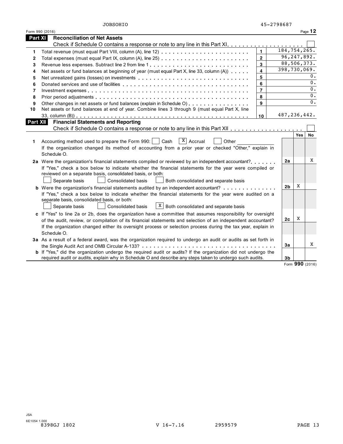|                 | Form 990 (2016)                                                                                                |                |                |                | Page 12 |
|-----------------|----------------------------------------------------------------------------------------------------------------|----------------|----------------|----------------|---------|
| <b>Part XI</b>  | <b>Reconciliation of Net Assets</b>                                                                            |                |                |                |         |
|                 |                                                                                                                |                |                |                |         |
| 1               |                                                                                                                | $\blacksquare$ |                | 184, 754, 265. |         |
| 2               |                                                                                                                | $\overline{2}$ |                | 96,247,892.    |         |
| 3               |                                                                                                                | 3              |                | 88,506,373.    |         |
| 4               | Net assets or fund balances at beginning of year (must equal Part X, line 33, column (A))                      | 4              |                | 398,730,069.   |         |
| 5               | Net unrealized gains (losses) on investments                                                                   | 5              |                |                | 0.      |
| 6               |                                                                                                                | 6              |                |                | 0.      |
| 7               |                                                                                                                | $\overline{7}$ |                |                | 0.      |
| 8               |                                                                                                                | 8              |                |                | 0.      |
| 9               | Other changes in net assets or fund balances (explain in Schedule O)                                           | 9              |                |                | 0.      |
| 10              | Net assets or fund balances at end of year. Combine lines 3 through 9 (must equal Part X, line                 |                |                |                |         |
|                 |                                                                                                                | 10             |                | 487,236,442.   |         |
| <b>Part XII</b> | <b>Financial Statements and Reporting</b>                                                                      |                |                |                |         |
|                 |                                                                                                                |                |                |                |         |
|                 |                                                                                                                |                |                | <b>Yes</b>     | No.     |
| 1               | $X$ Accrual<br>Accounting method used to prepare the Form 990:<br>Cash<br>Other                                |                |                |                |         |
|                 | If the organization changed its method of accounting from a prior year or checked "Other," explain in          |                |                |                |         |
|                 | Schedule O.                                                                                                    |                |                |                |         |
|                 | 2a Were the organization's financial statements compiled or reviewed by an independent accountant?             |                | 2a             |                | X       |
|                 | If "Yes," check a box below to indicate whether the financial statements for the year were compiled or         |                |                |                |         |
|                 | reviewed on a separate basis, consolidated basis, or both:                                                     |                |                |                |         |
|                 | <b>Consolidated basis</b><br>Separate basis<br>Both consolidated and separate basis                            |                |                |                |         |
|                 | <b>b</b> Were the organization's financial statements audited by an independent accountant?                    |                | 2 <sub>b</sub> | X              |         |
|                 | If "Yes," check a box below to indicate whether the financial statements for the year were audited on a        |                |                |                |         |
|                 | separate basis, consolidated basis, or both:                                                                   |                |                |                |         |
|                 | $X$ Both consolidated and separate basis<br>Separate basis<br><b>Consolidated basis</b>                        |                |                |                |         |
|                 | c If "Yes" to line 2a or 2b, does the organization have a committee that assumes responsibility for oversight  |                |                | X              |         |
|                 | of the audit, review, or compilation of its financial statements and selection of an independent accountant?   |                | 2c             |                |         |
|                 | If the organization changed either its oversight process or selection process during the tax year, explain in  |                |                |                |         |
|                 | Schedule O.                                                                                                    |                |                |                |         |
|                 | 3a As a result of a federal award, was the organization required to undergo an audit or audits as set forth in |                |                |                |         |
|                 | the Single Audit Act and OMB Circular A-133?                                                                   |                | 3a             |                | X       |
|                 | b If "Yes," did the organization undergo the required audit or audits? If the organization did not undergo the |                |                |                |         |
|                 | required audit or audits, explain why in Schedule O and describe any steps taken to undergo such audits.       |                | 3b             |                |         |

Form **990** (2016)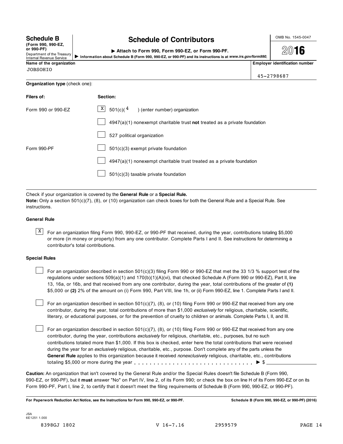| <b>Schedule B</b>  |  |
|--------------------|--|
| (Form 990, 990-EZ, |  |

# **Schedule B chedule of Contributors contribution**

**or 990-PF)** Department of the Treasury Internal Revenue Service

I **Attach to Form 990, Form 990-EZ, or Form 990-PF.**

**2016** I**Information about Schedule <sup>B</sup> (Form 990, 990-EZ, or 990-PF) and its instructions is at** *www.irs.gov/form990***.**

| Name of the organization       |                                                                             | <b>Employer identification number</b> |
|--------------------------------|-----------------------------------------------------------------------------|---------------------------------------|
| <b>JOBSOHIO</b>                |                                                                             | 45-2798687                            |
| Organization type (check one): |                                                                             |                                       |
| Filers of:                     | Section:                                                                    |                                       |
| Form 990 or 990-EZ             | $X$ 501(c)(4)<br>) (enter number) organization                              |                                       |
|                                | $4947(a)(1)$ nonexempt charitable trust not treated as a private foundation |                                       |
|                                | 527 political organization                                                  |                                       |
| Form 990-PF                    | $501(c)(3)$ exempt private foundation                                       |                                       |
|                                | 4947(a)(1) nonexempt charitable trust treated as a private foundation       |                                       |
|                                | $501(c)(3)$ taxable private foundation                                      |                                       |

Check if your organization is covered by the **General Rule** or a **Special Rule.**

**Note:** Only a section 501(c)(7), (8), or (10) organization can check boxes for both the General Rule and a Special Rule. See instructions.

# **General Rule**

 $\overline{X}$  For an organization filing Form 990, 990-EZ, or 990-PF that received, during the year, contributions totaling \$5,000 or more (in money or property) from any one contributor. Complete Parts I and II. See instructions for determining a contributor's total contributions.

## **Special Rules**

For an organization described in section 501(c)(3) filing Form 990 or 990-EZ that met the 33 1/3 % support test of the regulations under sections 509(a)(1) and 170(b)(1)(A)(vi), that checked Schedule A (Form 990 or 990-EZ), Part II, line 13, 16a, or 16b, and that received from any one contributor, during the year, total contributions of the greater of **(1)** \$5,000 or **(2)** 2% of the amount on (i) Form 990, Part VIII, line 1h, or (ii) Form 990-EZ, line 1. Complete Parts I and II.

For an organization described in section 501(c)(7), (8), or (10) filing Form 990 or 990-EZ that received from any one contributor, during the year, total contributions of more than \$1,000 *exclusively* for religious, charitable, scientific, literary, or educational purposes, or for the prevention of cruelty to children or animals. Complete Parts I, II, and III.

For an organization described in section 501(c)(7), (8), or (10) filing Form 990 or 990-EZ that received from any one contributor, during the year, contributions *exclusively* for religious, charitable, etc., purposes, but no such contributions totaled more than \$1,000. If this box is checked, enter here the total contributions that were received during the year for an *exclusively* religious, charitable, etc., purpose. Don't complete any of the parts unless the **General Rule** applies to this organization because it received *nonexclusively* religious, charitable, etc., contributions totaling \$5,000 or more during the year m m m m m m m m m m m m m m m m m m m m m m m m m m m m m m m I \$

**Caution:** An organization that isn't covered by the General Rule and/or the Special Rules doesn't file Schedule B (Form 990, 990-EZ, or 990-PF), but it **must** answer "No" on Part IV, line 2, of its Form 990; or check the box on line H of its Form 990-EZ or on its Form 990-PF, Part I, line 2, to certify that it doesn't meet the filing requirements of Schedule B (Form 990, 990-EZ, or 990-PF).

For Paperwork Reduction Act Notice, see the Instructions for Form 990, 990-EZ, or 990-PF. Schedule B (Form 990, 990-EZ, or 990-PF) (2016)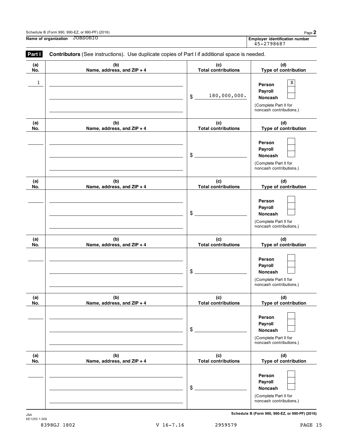| Schedule B (Form 990, 990-EZ, or 990-PF) (2016) | Page ▲ |
|-------------------------------------------------|--------|
|-------------------------------------------------|--------|

**Name of organization Employer identification number** JOBSOHIO

Employer identification number<br>45-2798687

| (a)          | (b)                        | (c)                        | (d)                                              |
|--------------|----------------------------|----------------------------|--------------------------------------------------|
| No.          | Name, address, and ZIP + 4 | <b>Total contributions</b> | Type of contribution                             |
| $\mathbf{1}$ |                            |                            | X                                                |
|              |                            |                            | Person                                           |
|              |                            | 180,000,000.<br>\$         | Payroll                                          |
|              |                            |                            | Noncash                                          |
|              |                            |                            | (Complete Part II for<br>noncash contributions.) |
| (a)          | (b)                        | (c)                        | (d)                                              |
| No.          | Name, address, and ZIP + 4 | <b>Total contributions</b> | Type of contribution                             |
|              |                            |                            | Person                                           |
|              |                            |                            | Payroll                                          |
|              |                            | \$                         | <b>Noncash</b>                                   |
|              |                            |                            | (Complete Part II for                            |
|              |                            |                            | noncash contributions.)                          |
| (a)          | (b)                        | (c)                        | (d)                                              |
| No.          | Name, address, and ZIP + 4 | <b>Total contributions</b> | Type of contribution                             |
|              |                            |                            | Person                                           |
|              |                            |                            | Payroll                                          |
|              |                            | \$                         | Noncash                                          |
|              |                            |                            | (Complete Part II for                            |
|              |                            |                            | noncash contributions.)                          |
| (a)          | (b)                        | (c)                        | (d)                                              |
| No.          | Name, address, and ZIP + 4 | <b>Total contributions</b> | Type of contribution                             |
|              |                            |                            | Person                                           |
|              |                            |                            | Payroll                                          |
|              |                            | \$                         | Noncash                                          |
|              |                            |                            | (Complete Part II for                            |
|              |                            |                            | noncash contributions.)                          |
| (a)          | (b)                        | (c)                        | (d)                                              |
| No.          | Name, address, and ZIP + 4 | <b>Total contributions</b> | Type of contribution                             |
|              |                            |                            |                                                  |
|              |                            |                            | Person                                           |
|              |                            | \$                         | Payroll<br>Noncash                               |
|              |                            |                            | (Complete Part II for                            |
|              |                            |                            | noncash contributions.)                          |
| (a)          | (b)                        | (c)                        | (d)                                              |
| No.          | Name, address, and ZIP + 4 | <b>Total contributions</b> | Type of contribution                             |
|              |                            |                            | Person                                           |
|              |                            |                            | Payroll                                          |
|              |                            | \$                         | Noncash                                          |
|              |                            |                            |                                                  |
|              |                            |                            | (Complete Part II for                            |

 $S$ chedule B (Form 990, 990-EZ, or 990-PF) (2016)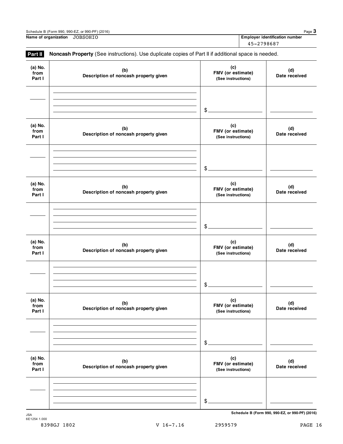| Schedule B (Form 990, 990-EZ, or 990-PF) (2016) |                                |  |
|-------------------------------------------------|--------------------------------|--|
| Name of organization<br>JOBSOHIO                | Employer identification number |  |
|                                                 | 45-2798687                     |  |

| (b)<br>Description of noncash property given | (c)<br>FMV (or estimate)<br>(See instructions) | (d)<br>Date received                                                                                      |
|----------------------------------------------|------------------------------------------------|-----------------------------------------------------------------------------------------------------------|
|                                              | \$                                             |                                                                                                           |
| (b)<br>Description of noncash property given | (c)<br>FMV (or estimate)<br>(See instructions) | (d)<br>Date received                                                                                      |
|                                              | $\frac{1}{2}$                                  |                                                                                                           |
| (b)<br>Description of noncash property given | (c)<br>FMV (or estimate)<br>(See instructions) | (d)<br>Date received                                                                                      |
|                                              | $\$\$                                          |                                                                                                           |
| (b)<br>Description of noncash property given | (c)<br>FMV (or estimate)<br>(See instructions) | (d)<br>Date received                                                                                      |
|                                              | \$                                             |                                                                                                           |
| (b)<br>Description of noncash property given | (c)<br>FMV (or estimate)<br>(See instructions) | (d)<br>Date received                                                                                      |
|                                              | \$                                             |                                                                                                           |
| (b)<br>Description of noncash property given | (c)<br>FMV (or estimate)<br>(See instructions) | (d)<br>Date received                                                                                      |
|                                              |                                                |                                                                                                           |
|                                              |                                                | Noncash Property (See instructions). Use duplicate copies of Part II if additional space is needed.<br>\$ |

**Schedule B (Form 990, 990-EZ, or 990-PF) (2016)**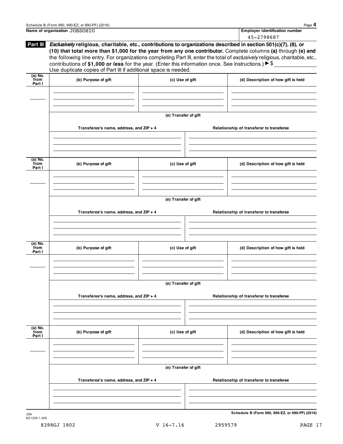| Name of organization JOBSOHIO | Employer identification number |
|-------------------------------|--------------------------------|

|                             |                                                                                                                                                                                                                                                                                                                                                                                                                                                                                                                                                            |                      | 45-2798687                               |
|-----------------------------|------------------------------------------------------------------------------------------------------------------------------------------------------------------------------------------------------------------------------------------------------------------------------------------------------------------------------------------------------------------------------------------------------------------------------------------------------------------------------------------------------------------------------------------------------------|----------------------|------------------------------------------|
| Part III                    | Exclusively religious, charitable, etc., contributions to organizations described in section 501(c)(7), (8), or<br>(10) that total more than \$1,000 for the year from any one contributor. Complete columns (a) through (e) and<br>the following line entry. For organizations completing Part III, enter the total of exclusively religious, charitable, etc.,<br>contributions of \$1,000 or less for the year. (Enter this information once. See instructions.) $\triangleright$ \$<br>Use duplicate copies of Part III if additional space is needed. |                      |                                          |
| $(a)$ No.<br>from<br>Part I | (b) Purpose of gift                                                                                                                                                                                                                                                                                                                                                                                                                                                                                                                                        | (c) Use of gift      | (d) Description of how gift is held      |
|                             |                                                                                                                                                                                                                                                                                                                                                                                                                                                                                                                                                            |                      |                                          |
|                             |                                                                                                                                                                                                                                                                                                                                                                                                                                                                                                                                                            | (e) Transfer of gift |                                          |
|                             | Transferee's name, address, and ZIP + 4                                                                                                                                                                                                                                                                                                                                                                                                                                                                                                                    |                      | Relationship of transferor to transferee |
|                             |                                                                                                                                                                                                                                                                                                                                                                                                                                                                                                                                                            |                      |                                          |
| $(a)$ No.<br>from<br>Part I | (b) Purpose of gift                                                                                                                                                                                                                                                                                                                                                                                                                                                                                                                                        | (c) Use of gift      | (d) Description of how gift is held      |
|                             |                                                                                                                                                                                                                                                                                                                                                                                                                                                                                                                                                            |                      |                                          |
|                             |                                                                                                                                                                                                                                                                                                                                                                                                                                                                                                                                                            | (e) Transfer of gift |                                          |
|                             | Transferee's name, address, and ZIP + 4                                                                                                                                                                                                                                                                                                                                                                                                                                                                                                                    |                      | Relationship of transferor to transferee |
|                             |                                                                                                                                                                                                                                                                                                                                                                                                                                                                                                                                                            |                      |                                          |
| (a) No.<br>from<br>Part I   | (b) Purpose of gift                                                                                                                                                                                                                                                                                                                                                                                                                                                                                                                                        | (c) Use of gift      | (d) Description of how gift is held      |
|                             |                                                                                                                                                                                                                                                                                                                                                                                                                                                                                                                                                            |                      |                                          |
|                             |                                                                                                                                                                                                                                                                                                                                                                                                                                                                                                                                                            | (e) Transfer of gift |                                          |
|                             | Transferee's name, address, and ZIP + 4                                                                                                                                                                                                                                                                                                                                                                                                                                                                                                                    |                      | Relationship of transferor to transferee |
|                             |                                                                                                                                                                                                                                                                                                                                                                                                                                                                                                                                                            |                      |                                          |
| $(a)$ No.<br>from<br>Part I | (b) Purpose of gift                                                                                                                                                                                                                                                                                                                                                                                                                                                                                                                                        | (c) Use of gift      | (d) Description of how gift is held      |
|                             |                                                                                                                                                                                                                                                                                                                                                                                                                                                                                                                                                            |                      |                                          |
|                             |                                                                                                                                                                                                                                                                                                                                                                                                                                                                                                                                                            | (e) Transfer of gift |                                          |
|                             | Transferee's name, address, and ZIP + 4                                                                                                                                                                                                                                                                                                                                                                                                                                                                                                                    |                      | Relationship of transferor to transferee |
|                             |                                                                                                                                                                                                                                                                                                                                                                                                                                                                                                                                                            |                      |                                          |

6E1255 1.000

 $S$ chedule **B** (Form 990, 990-EZ, or 990-PF) (2016)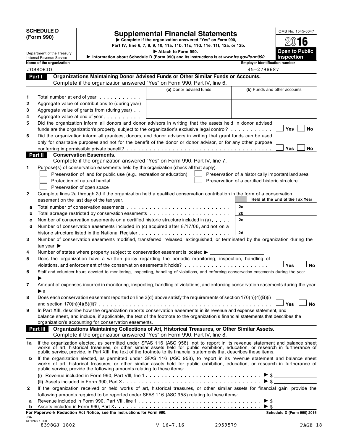SCHEDULE D<br>
(Form 990) Supplemental Financial Statements<br>  $\epsilon$  Complete if the organization answered "Yes" on Form 990,<br>
Part IV, line 6, 7, 8, 9, 10, 11a, 11b, 11c, 11d, 11e, 11f, 12a, or 12b.

Department of the Treasury **I CONSET CONSETS Attach to Form 990.**<br>Department of the Treasury **I CODEN to Public** 

| $20$ 16                      |
|------------------------------|
| Open to Public<br>Inspection |

|              | Department of the Treasury                                           |                                                                        | Attach to Form 990.                                                                                                                                                                                                            |                                                    | Open to Public                  |
|--------------|----------------------------------------------------------------------|------------------------------------------------------------------------|--------------------------------------------------------------------------------------------------------------------------------------------------------------------------------------------------------------------------------|----------------------------------------------------|---------------------------------|
|              | Internal Revenue Service                                             |                                                                        | Information about Schedule D (Form 990) and its instructions is at www.irs.gov/form990.                                                                                                                                        |                                                    | <b>Inspection</b>               |
|              | Name of the organization                                             |                                                                        |                                                                                                                                                                                                                                | <b>Employer identification number</b>              |                                 |
|              | <b>JOBSOHIO</b>                                                      |                                                                        |                                                                                                                                                                                                                                | 45-2798687                                         |                                 |
|              | Part I                                                               |                                                                        | Organizations Maintaining Donor Advised Funds or Other Similar Funds or Accounts.                                                                                                                                              |                                                    |                                 |
|              |                                                                      |                                                                        | Complete if the organization answered "Yes" on Form 990, Part IV, line 6.                                                                                                                                                      |                                                    |                                 |
|              |                                                                      |                                                                        | (a) Donor advised funds                                                                                                                                                                                                        |                                                    | (b) Funds and other accounts    |
| 1            |                                                                      | Total number at end of year example.                                   |                                                                                                                                                                                                                                |                                                    |                                 |
| 2            |                                                                      | Aggregate value of contributions to (during year)                      |                                                                                                                                                                                                                                |                                                    |                                 |
| 3            |                                                                      | Aggregate value of grants from (during year)                           |                                                                                                                                                                                                                                |                                                    |                                 |
| 4            |                                                                      | Aggregate value at end of year example.                                |                                                                                                                                                                                                                                |                                                    |                                 |
| 5            |                                                                      |                                                                        | Did the organization inform all donors and donor advisors in writing that the assets held in donor advised                                                                                                                     |                                                    |                                 |
|              |                                                                      |                                                                        | funds are the organization's property, subject to the organization's exclusive legal control? $\ldots \ldots \ldots$                                                                                                           |                                                    | Yes<br>No                       |
| 6            |                                                                      |                                                                        | Did the organization inform all grantees, donors, and donor advisors in writing that grant funds can be used                                                                                                                   |                                                    |                                 |
|              |                                                                      |                                                                        | only for charitable purposes and not for the benefit of the donor or donor advisor, or for any other purpose                                                                                                                   |                                                    |                                 |
|              |                                                                      |                                                                        |                                                                                                                                                                                                                                |                                                    | Yes<br>No.                      |
|              | Part II                                                              | <b>Conservation Easements.</b>                                         |                                                                                                                                                                                                                                |                                                    |                                 |
|              |                                                                      |                                                                        | Complete if the organization answered "Yes" on Form 990, Part IV, line 7.                                                                                                                                                      |                                                    |                                 |
| 1            |                                                                      |                                                                        | Purpose(s) of conservation easements held by the organization (check all that apply).                                                                                                                                          |                                                    |                                 |
|              |                                                                      | Preservation of land for public use (e.g., recreation or education)    |                                                                                                                                                                                                                                | Preservation of a historically important land area |                                 |
|              |                                                                      | Protection of natural habitat                                          |                                                                                                                                                                                                                                | Preservation of a certified historic structure     |                                 |
| 2            |                                                                      | Preservation of open space                                             | Complete lines 2a through 2d if the organization held a qualified conservation contribution in the form of a conservation                                                                                                      |                                                    |                                 |
|              |                                                                      | easement on the last day of the tax year.                              |                                                                                                                                                                                                                                |                                                    | Held at the End of the Tax Year |
|              |                                                                      |                                                                        |                                                                                                                                                                                                                                | 2a                                                 |                                 |
| а<br>b       |                                                                      |                                                                        | Total acreage restricted by conservation easements                                                                                                                                                                             | 2b                                                 |                                 |
| c            |                                                                      |                                                                        | Number of conservation easements on a certified historic structure included in $(a) \ldots$ .                                                                                                                                  | 2c                                                 |                                 |
| d            |                                                                      |                                                                        | Number of conservation easements included in (c) acquired after 8/17/06, and not on a                                                                                                                                          |                                                    |                                 |
|              |                                                                      |                                                                        |                                                                                                                                                                                                                                | 2d                                                 |                                 |
| 3            |                                                                      |                                                                        | Number of conservation easements modified, transferred, released, extinguished, or terminated by the organization during the                                                                                                   |                                                    |                                 |
|              | $\text{tax year}$ $\blacktriangleright$ $\_\_\_\_\_\_\_\_\_\_\_\_\_$ |                                                                        |                                                                                                                                                                                                                                |                                                    |                                 |
| 4            |                                                                      |                                                                        | Number of states where property subject to conservation easement is located $\blacktriangleright$ _________                                                                                                                    |                                                    |                                 |
| 5            |                                                                      |                                                                        | Does the organization have a written policy regarding the periodic monitoring, inspection, handling of                                                                                                                         |                                                    |                                 |
|              |                                                                      |                                                                        |                                                                                                                                                                                                                                |                                                    | Yes<br>No                       |
| 6            |                                                                      |                                                                        | Staff and volunteer hours devoted to monitoring, inspecting, handling of violations, and enforcing conservation easements during the year                                                                                      |                                                    |                                 |
|              |                                                                      |                                                                        |                                                                                                                                                                                                                                |                                                    |                                 |
| 7            |                                                                      |                                                                        | Amount of expenses incurred in monitoring, inspecting, handling of violations, and enforcing conservation easements during the year                                                                                            |                                                    |                                 |
|              | $\blacktriangleright$ \$                                             |                                                                        |                                                                                                                                                                                                                                |                                                    |                                 |
| 8            |                                                                      |                                                                        | Does each conservation easement reported on line 2(d) above satisfy the requirements of section 170(h)(4)(B)(i)                                                                                                                |                                                    |                                 |
|              |                                                                      |                                                                        |                                                                                                                                                                                                                                |                                                    | Yes<br>No                       |
| 9            |                                                                      |                                                                        | In Part XIII, describe how the organization reports conservation easements in its revenue and expense statement, and                                                                                                           |                                                    |                                 |
|              |                                                                      |                                                                        | balance sheet, and include, if applicable, the text of the footnote to the organization's financial statements that describes the                                                                                              |                                                    |                                 |
|              |                                                                      | organization's accounting for conservation easements.                  |                                                                                                                                                                                                                                |                                                    |                                 |
|              | Part III                                                             |                                                                        | Organizations Maintaining Collections of Art, Historical Treasures, or Other Similar Assets.                                                                                                                                   |                                                    |                                 |
|              |                                                                      |                                                                        | Complete if the organization answered "Yes" on Form 990, Part IV, line 8.                                                                                                                                                      |                                                    |                                 |
| 1a           |                                                                      |                                                                        | If the organization elected, as permitted under SFAS 116 (ASC 958), not to report in its revenue statement and balance sheet works of art, historical treasures, or other similar assets held for public exhibition, education |                                                    |                                 |
|              |                                                                      |                                                                        | public service, provide, in Part XIII, the text of the footnote to its financial statements that describes these items.                                                                                                        |                                                    |                                 |
| b            |                                                                      |                                                                        | If the organization elected, as permitted under SFAS 116 (ASC 958), to report in its revenue statement and balance sheet                                                                                                       |                                                    |                                 |
|              |                                                                      |                                                                        | works of art, historical treasures, or other similar assets held for public exhibition, education, or research in furtherance of                                                                                               |                                                    |                                 |
|              |                                                                      | public service, provide the following amounts relating to these items: |                                                                                                                                                                                                                                |                                                    |                                 |
|              |                                                                      |                                                                        |                                                                                                                                                                                                                                |                                                    |                                 |
|              |                                                                      |                                                                        |                                                                                                                                                                                                                                |                                                    | $\triangleright$ \$             |
| $\mathbf{2}$ |                                                                      |                                                                        | If the organization received or held works of art, historical treasures, or other similar assets for financial gain, provide the                                                                                               |                                                    |                                 |
|              |                                                                      |                                                                        | following amounts required to be reported under SFAS 116 (ASC 958) relating to these items:                                                                                                                                    |                                                    |                                 |
| а            |                                                                      |                                                                        |                                                                                                                                                                                                                                |                                                    |                                 |
| b            |                                                                      |                                                                        |                                                                                                                                                                                                                                | $\blacktriangleright$ \$                           |                                 |
| <b>JSA</b>   |                                                                      | For Paperwork Reduction Act Notice, see the Instructions for Form 990. |                                                                                                                                                                                                                                |                                                    | Schedule D (Form 990) 2016      |
|              | 6E1268 1.000                                                         |                                                                        |                                                                                                                                                                                                                                |                                                    |                                 |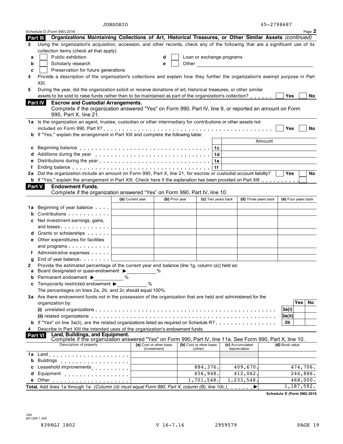|                | <b>JOBSOHIO</b>                                                                                                                                                                                 |                                         |                                    |                                                                                                                      | 45-2798687          |
|----------------|-------------------------------------------------------------------------------------------------------------------------------------------------------------------------------------------------|-----------------------------------------|------------------------------------|----------------------------------------------------------------------------------------------------------------------|---------------------|
|                | Schedule D (Form 990) 2016                                                                                                                                                                      |                                         |                                    |                                                                                                                      | Page 2              |
|                | Organizations Maintaining Collections of Art, Historical Treasures, or Other Similar Assets (continued)<br>Part III                                                                             |                                         |                                    |                                                                                                                      |                     |
| 3              | Using the organization's acquisition, accession, and other records, check any of the following that are a significant use of its                                                                |                                         |                                    |                                                                                                                      |                     |
|                | collection items (check all that apply):                                                                                                                                                        |                                         |                                    |                                                                                                                      |                     |
| a              | Public exhibition                                                                                                                                                                               | d                                       | Loan or exchange programs          |                                                                                                                      |                     |
| b              | Scholarly research                                                                                                                                                                              | e                                       | Other                              | <u> 1989 - Jan Barbara Barbara, prima popular popular popular popular popular popular popular popular popular po</u> |                     |
| c              | Preservation for future generations                                                                                                                                                             |                                         |                                    |                                                                                                                      |                     |
|                | Provide a description of the organization's collections and explain how they further the organization's exempt purpose in Part                                                                  |                                         |                                    |                                                                                                                      |                     |
|                | XIII.                                                                                                                                                                                           |                                         |                                    |                                                                                                                      |                     |
| 5              | During the year, did the organization solicit or receive donations of art, historical treasures, or other similar                                                                               |                                         |                                    |                                                                                                                      |                     |
|                | assets to be sold to raise funds rather than to be maintained as part of the organization's collection?                                                                                         |                                         |                                    |                                                                                                                      | Yes<br>No.          |
|                | <b>Escrow and Custodial Arrangements.</b><br><b>Part IV</b><br>Complete if the organization answered "Yes" on Form 990, Part IV, line 9, or reported an amount on Form<br>990, Part X, line 21. |                                         |                                    |                                                                                                                      |                     |
|                | 1a Is the organization an agent, trustee, custodian or other intermediary for contributions or other assets not                                                                                 |                                         |                                    |                                                                                                                      |                     |
|                |                                                                                                                                                                                                 |                                         |                                    |                                                                                                                      | Yes<br>No           |
| b              | If "Yes," explain the arrangement in Part XIII and complete the following table:                                                                                                                |                                         |                                    |                                                                                                                      |                     |
|                |                                                                                                                                                                                                 |                                         |                                    |                                                                                                                      | Amount              |
| c              |                                                                                                                                                                                                 |                                         | 1c                                 |                                                                                                                      |                     |
|                |                                                                                                                                                                                                 |                                         | 1d                                 |                                                                                                                      |                     |
| е              |                                                                                                                                                                                                 |                                         | 1е                                 |                                                                                                                      |                     |
|                |                                                                                                                                                                                                 |                                         | 1f                                 |                                                                                                                      |                     |
| 2a             | Did the organization include an amount on Form 990, Part X, line 21, for escrow or custodial account liability?                                                                                 |                                         |                                    |                                                                                                                      | Yes<br>No.          |
|                | b If "Yes," explain the arrangement in Part XIII. Check here if the explanation has been provided on Part XIII                                                                                  |                                         |                                    |                                                                                                                      |                     |
|                | Part V<br><b>Endowment Funds.</b>                                                                                                                                                               |                                         |                                    |                                                                                                                      |                     |
|                | Complete if the organization answered "Yes" on Form 990, Part IV, line 10.                                                                                                                      |                                         |                                    |                                                                                                                      |                     |
|                |                                                                                                                                                                                                 | (b) Prior year<br>(a) Current year      | (c) Two years back                 | (d) Three years back                                                                                                 | (e) Four years back |
|                |                                                                                                                                                                                                 |                                         |                                    |                                                                                                                      |                     |
| 1a             | Beginning of year balance                                                                                                                                                                       |                                         |                                    |                                                                                                                      |                     |
| b              | Contributions                                                                                                                                                                                   |                                         |                                    |                                                                                                                      |                     |
| c              | Net investment earnings, gains,                                                                                                                                                                 |                                         |                                    |                                                                                                                      |                     |
|                | and losses                                                                                                                                                                                      |                                         |                                    |                                                                                                                      |                     |
|                | <b>d</b> Grants or scholarships <b>contains</b>                                                                                                                                                 |                                         |                                    |                                                                                                                      |                     |
| е              | Other expenditures for facilities                                                                                                                                                               |                                         |                                    |                                                                                                                      |                     |
|                | and programs                                                                                                                                                                                    |                                         |                                    |                                                                                                                      |                     |
| Ť.             | Administrative expenses                                                                                                                                                                         |                                         |                                    |                                                                                                                      |                     |
| g              | End of year balance expansion of the large                                                                                                                                                      |                                         |                                    |                                                                                                                      |                     |
| 2              | Provide the estimated percentage of the current year end balance (line 1g, column (a)) held as:                                                                                                 |                                         |                                    |                                                                                                                      |                     |
| а              | Board designated or quasi-endowment ▶                                                                                                                                                           | %                                       |                                    |                                                                                                                      |                     |
| b              | Permanent endowment ▶<br>%                                                                                                                                                                      |                                         |                                    |                                                                                                                      |                     |
| c              | Temporarily restricted endowment ▶                                                                                                                                                              | %                                       |                                    |                                                                                                                      |                     |
|                | The percentages on lines 2a, 2b, and 2c should equal 100%.                                                                                                                                      |                                         |                                    |                                                                                                                      |                     |
|                | 3a Are there endowment funds not in the possession of the organization that are held and administered for the                                                                                   |                                         |                                    |                                                                                                                      |                     |
|                | organization by:                                                                                                                                                                                |                                         |                                    |                                                                                                                      | Yes<br>No           |
|                |                                                                                                                                                                                                 |                                         |                                    |                                                                                                                      | 3a(i)               |
|                |                                                                                                                                                                                                 |                                         |                                    |                                                                                                                      | 3a(ii)              |
| b              | If "Yes" on line 3a(ii), are the related organizations listed as required on Schedule R?                                                                                                        |                                         |                                    |                                                                                                                      | 3b                  |
|                | Describe in Part XIII the intended uses of the organization's endowment funds.                                                                                                                  |                                         |                                    |                                                                                                                      |                     |
| <b>Part VI</b> | Land, Buildings, and Equipment.                                                                                                                                                                 |                                         |                                    |                                                                                                                      |                     |
|                | Complete if the organization answered "Yes" on Form 990, Part IV, line 11a. See Form 990, Part X, line 10.                                                                                      |                                         |                                    |                                                                                                                      |                     |
|                | Description of property                                                                                                                                                                         | (a) Cost or other basis<br>(investment) | (b) Cost or other basis<br>(other) | (c) Accumulated<br>depreciation                                                                                      | (d) Book value      |
| 1a             |                                                                                                                                                                                                 |                                         |                                    |                                                                                                                      |                     |
| b              | Buildings <b>Communications</b> Buildings                                                                                                                                                       |                                         |                                    |                                                                                                                      |                     |
| c              | Leasehold improvements <b>Leasehold</b> improvements                                                                                                                                            |                                         | 884,376.                           | 409,670.                                                                                                             | 474,706.            |
| d              | Equipment                                                                                                                                                                                       |                                         | 656,948.                           | 412,062.                                                                                                             | 244,886.            |
|                | e Other                                                                                                                                                                                         |                                         | 1,701,548.                         | 1,233,548.                                                                                                           | 468,000.            |
|                | Total. Add lines 1a through 1e. (Column (d) must equal Form 990, Part X, column (B), line 10c.) ▶                                                                                               |                                         |                                    |                                                                                                                      | 1,187,592.          |
|                |                                                                                                                                                                                                 |                                         |                                    |                                                                                                                      |                     |

**Schedule D (Form 990) 2016**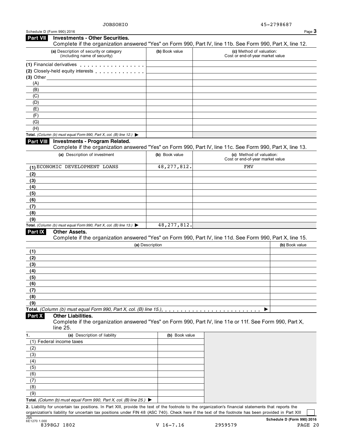| (a) Description of security or category                                                  | (b) Book value  | Complete if the organization answered "Yes" on Form 990, Part IV, line 11b. See Form 990, Part X, line 12.<br>(c) Method of valuation: |
|------------------------------------------------------------------------------------------|-----------------|----------------------------------------------------------------------------------------------------------------------------------------|
| (including name of security)                                                             |                 | Cost or end-of-year market value                                                                                                       |
| (1) Financial derivatives                                                                |                 |                                                                                                                                        |
| (2) Closely-held equity interests                                                        |                 |                                                                                                                                        |
| $(3)$ Other                                                                              |                 |                                                                                                                                        |
| (A)                                                                                      |                 |                                                                                                                                        |
| (B)                                                                                      |                 |                                                                                                                                        |
| (C)                                                                                      |                 |                                                                                                                                        |
| (D)                                                                                      |                 |                                                                                                                                        |
| (E)                                                                                      |                 |                                                                                                                                        |
| (F)                                                                                      |                 |                                                                                                                                        |
| (G)                                                                                      |                 |                                                                                                                                        |
| (H)                                                                                      |                 |                                                                                                                                        |
| Total. (Column (b) must equal Form 990, Part X, col. (B) line 12.) $\blacktriangleright$ |                 |                                                                                                                                        |
| <b>Investments - Program Related.</b><br><b>Part VIII</b>                                |                 | Complete if the organization answered "Yes" on Form 990, Part IV, line 11c. See Form 990, Part X, line 13.                             |
| (a) Description of investment                                                            | (b) Book value  | (c) Method of valuation:                                                                                                               |
|                                                                                          |                 | Cost or end-of-year market value                                                                                                       |
| (1) ECONOMIC DEVELOPMENT LOANS                                                           | 48, 277, 812.   | <b>FMV</b>                                                                                                                             |
| (2)                                                                                      |                 |                                                                                                                                        |
| (3)                                                                                      |                 |                                                                                                                                        |
| (4)                                                                                      |                 |                                                                                                                                        |
| (5)                                                                                      |                 |                                                                                                                                        |
| (6)                                                                                      |                 |                                                                                                                                        |
| (7)                                                                                      |                 |                                                                                                                                        |
| (8)                                                                                      |                 |                                                                                                                                        |
| (9)                                                                                      |                 |                                                                                                                                        |
| Total. (Column (b) must equal Form 990, Part X, col. (B) line 13.) $\blacktriangleright$ | 48, 277, 812.   |                                                                                                                                        |
| Part IX<br>Other Assets.                                                                 |                 |                                                                                                                                        |
|                                                                                          |                 |                                                                                                                                        |
|                                                                                          |                 |                                                                                                                                        |
|                                                                                          | (a) Description |                                                                                                                                        |
| (1)                                                                                      |                 |                                                                                                                                        |
| (2)                                                                                      |                 |                                                                                                                                        |
| (3)                                                                                      |                 |                                                                                                                                        |
| (4)                                                                                      |                 |                                                                                                                                        |
| (5)                                                                                      |                 |                                                                                                                                        |
| (6)                                                                                      |                 |                                                                                                                                        |
| (7)                                                                                      |                 |                                                                                                                                        |
| (8)                                                                                      |                 |                                                                                                                                        |
| (9)                                                                                      |                 |                                                                                                                                        |
|                                                                                          |                 | ▶                                                                                                                                      |
| <b>Other Liabilities.</b>                                                                |                 |                                                                                                                                        |
|                                                                                          |                 | Complete if the organization answered "Yes" on Form 990, Part IV, line 11e or 11f. See Form 990, Part X,                               |
| line 25.                                                                                 |                 |                                                                                                                                        |
| (a) Description of liability                                                             | (b) Book value  |                                                                                                                                        |
| (1) Federal income taxes                                                                 |                 |                                                                                                                                        |
| (2)                                                                                      |                 |                                                                                                                                        |
| (3)                                                                                      |                 |                                                                                                                                        |
| (4)                                                                                      |                 |                                                                                                                                        |
|                                                                                          |                 |                                                                                                                                        |
| (5)                                                                                      |                 |                                                                                                                                        |
| (6)                                                                                      |                 |                                                                                                                                        |
| (7)                                                                                      |                 |                                                                                                                                        |
| Part X<br>1.<br>(8)<br>(9)                                                               |                 | Complete if the organization answered "Yes" on Form 990, Part IV, line 11d. See Form 990, Part X, line 15.<br>(b) Book value           |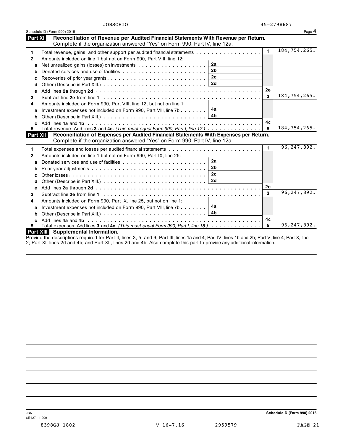|                 | Schedule D (Form 990) 2016                                                                                                                                           |              | Page 4            |
|-----------------|----------------------------------------------------------------------------------------------------------------------------------------------------------------------|--------------|-------------------|
| Part XI         | Reconciliation of Revenue per Audited Financial Statements With Revenue per Return.<br>Complete if the organization answered "Yes" on Form 990, Part IV, line 12a.   |              |                   |
| 1               | Total revenue, gains, and other support per audited financial statements                                                                                             | $\mathbf{1}$ | $184, 754, 265$ . |
| $\mathbf{2}$    | Amounts included on line 1 but not on Form 990, Part VIII, line 12:                                                                                                  |              |                   |
| a               | 2a                                                                                                                                                                   |              |                   |
| b               | 2 <sub>b</sub>                                                                                                                                                       |              |                   |
| c               | 2 <sub>c</sub><br>Recoveries of prior year grants                                                                                                                    |              |                   |
| d               | 2d                                                                                                                                                                   |              |                   |
| е               |                                                                                                                                                                      | 2e           |                   |
| 3               |                                                                                                                                                                      | 3            | 184, 754, 265.    |
| 4               | Amounts included on Form 990, Part VIII, line 12, but not on line 1:                                                                                                 |              |                   |
| a               | 4a<br>Investment expenses not included on Form 990, Part VIII, line 7b $\ldots \ldots$                                                                               |              |                   |
| b               | 4b                                                                                                                                                                   |              |                   |
| c.              |                                                                                                                                                                      | 4c           |                   |
| 5.              | Total revenue. Add lines 3 and 4c. (This must equal Form 990, Part I, line 12.)                                                                                      | 5            | 184, 754, 265.    |
| <b>Part XII</b> | Reconciliation of Expenses per Audited Financial Statements With Expenses per Return.<br>Complete if the organization answered "Yes" on Form 990, Part IV, line 12a. |              |                   |
| 1               | Total expenses and losses per audited financial statements                                                                                                           | 1.           | 96,247,892.       |
| 2               | Amounts included on line 1 but not on Form 990, Part IX, line 25:                                                                                                    |              |                   |
| a               | 2a                                                                                                                                                                   |              |                   |
| b               | 2 <sub>b</sub>                                                                                                                                                       |              |                   |
| c               | 2c                                                                                                                                                                   |              |                   |
| d               |                                                                                                                                                                      |              |                   |
| e               |                                                                                                                                                                      | 2e           |                   |
| 3               |                                                                                                                                                                      | 3            | 96,247,892.       |
| 4               | Amounts included on Form 990, Part IX, line 25, but not on line 1:                                                                                                   |              |                   |
| a               | 4a<br>Investment expenses not included on Form 990, Part VIII, line 7b                                                                                               |              |                   |
| b               | 4b                                                                                                                                                                   |              |                   |
| c               |                                                                                                                                                                      | 4с           |                   |
| 5.              | Total expenses. Add lines 3 and 4c. (This must equal Form 990, Part I, line 18.)                                                                                     | 5            | 96,247,892.       |
|                 | Part XIII Supplemental Information.                                                                                                                                  |              |                   |
|                 | Draughe the deceptitions required for Dart II, lines $2, E$ and 0; Dart III, lines 10 and 4; Dart IV, lines 1b and 2b; Dart V, line 4; Dart V, line                  |              |                   |

Provide the descriptions required for Part II, lines 3, 5, and 9; Part III, lines 1a and 4; Part IV, lines 1b and 2b; Part V, line 4; Part X, line 2; Part XI, lines 2d and 4b; and Part XII, lines 2d and 4b. Also complete this part to provide any additional information.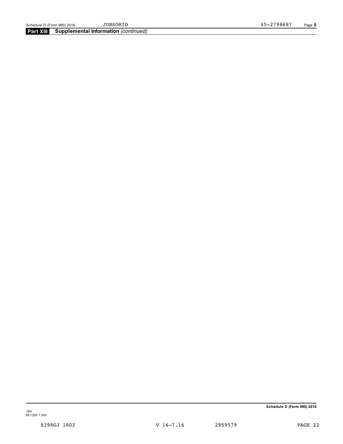**Part XIII Supplemental Information** *(continued)*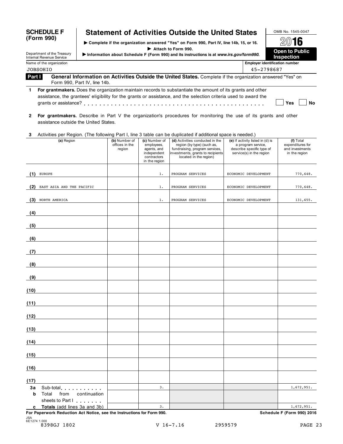| <b>SCHEDULE F</b> |  |
|-------------------|--|
| (Form 990)        |  |

# **Statement of Activities Outside the United States**  $\Box$  OMB No. 1545-0047

I **Complete if the organization answered "Yes" on Form 990, Part IV, line 14b, 15, or 16.** À¾µº I 
I Complete if the organization answered "Yes" on Form 990, Part IV, line 14b, 15, or 16.<br>
Department of the Treasury 
information about Schedule F (Form 990) and its instructions is at www.irs.gov/form990 Internal Revenue Service I**Information about Schedule <sup>F</sup> (Form 990) and its instructions is at** *www.irs.gov/form990***. Inspection**

Name of the organization **Employer identification number**

# **Part I** JOBSOHIO 45-2798687

**General Information on Activities Outside the United States.** Complete if the organization answered "Yes" on Form 990, Part IV, line 14b.

**1 For grantmakers.** Does the organization maintain records to substantiate the amount of its grants and other assistance, the grantees' eligibility for the grants or assistance, and the selection criteria used to award the grants or assistance? m m m m m m m m m m m m m m m m m m m m m m m m m m m m m m m m m m m m m m m m m m m m m m m **Yes No**

**2 For grantmakers.** Describe in Part V the organization's procedures for monitoring the use of its grants and other assistance outside the United States.

## **3** Activities per Region. (The following Part I, line 3 table can be duplicated if additional space is needed.)

|      | (a) Region                                                             | (b) Number of<br>offices in the<br>region | (c) Number of<br>employees,<br>agents, and<br>independent<br>contractors<br>in the region | (d) Activities conducted in the<br>region (by type) (such as,<br>fundraising, program services,<br>investments, grants to recipients<br>located in the region) | (e) If activity listed in (d) is<br>a program service,<br>describe specific type of<br>service(s) in the region | (f) Total<br>expenditures for<br>and investments<br>in the region |
|------|------------------------------------------------------------------------|-------------------------------------------|-------------------------------------------------------------------------------------------|----------------------------------------------------------------------------------------------------------------------------------------------------------------|-----------------------------------------------------------------------------------------------------------------|-------------------------------------------------------------------|
| (1)  | <b>EUROPE</b>                                                          |                                           | 1.                                                                                        | PROGRAM SERVICES                                                                                                                                               | ECONOMIC DEVELOPMENT                                                                                            | 770,648.                                                          |
|      |                                                                        |                                           |                                                                                           |                                                                                                                                                                |                                                                                                                 |                                                                   |
| (2)  | EAST ASIA AND THE PACIFIC                                              |                                           | $1$ .                                                                                     | PROGRAM SERVICES                                                                                                                                               | ECONOMIC DEVELOPMENT                                                                                            | 770,648.                                                          |
| (3)  | NORTH AMERICA                                                          |                                           | 1.                                                                                        | PROGRAM SERVICES                                                                                                                                               | ECONOMIC DEVELOPMENT                                                                                            | 131,655.                                                          |
| (4)  | <u> 1980 - Andrea Station Books, amerikansk politik (</u>              |                                           |                                                                                           |                                                                                                                                                                |                                                                                                                 |                                                                   |
| (5)  |                                                                        |                                           |                                                                                           |                                                                                                                                                                |                                                                                                                 |                                                                   |
| (6)  | <u> 1989 - Johann Barn, mars ann an t-Amhain</u>                       |                                           |                                                                                           |                                                                                                                                                                |                                                                                                                 |                                                                   |
| (7)  |                                                                        |                                           |                                                                                           |                                                                                                                                                                |                                                                                                                 |                                                                   |
| (8)  | <u> 1989 - Johann Barbara, martxa amerikan per</u>                     |                                           |                                                                                           |                                                                                                                                                                |                                                                                                                 |                                                                   |
| (9)  |                                                                        |                                           |                                                                                           |                                                                                                                                                                |                                                                                                                 |                                                                   |
| (10) | the control of the control of the control of                           |                                           |                                                                                           |                                                                                                                                                                |                                                                                                                 |                                                                   |
| (11) |                                                                        |                                           |                                                                                           |                                                                                                                                                                |                                                                                                                 |                                                                   |
| (12) |                                                                        |                                           |                                                                                           |                                                                                                                                                                |                                                                                                                 |                                                                   |
| (13) |                                                                        |                                           |                                                                                           |                                                                                                                                                                |                                                                                                                 |                                                                   |
| (14) |                                                                        |                                           |                                                                                           |                                                                                                                                                                |                                                                                                                 |                                                                   |
| (15) |                                                                        |                                           |                                                                                           |                                                                                                                                                                |                                                                                                                 |                                                                   |
| (16) | the control of the control of the                                      |                                           |                                                                                           |                                                                                                                                                                |                                                                                                                 |                                                                   |
| (17) |                                                                        |                                           |                                                                                           |                                                                                                                                                                |                                                                                                                 |                                                                   |
| 3a   | Sub-total                                                              |                                           | 3.                                                                                        |                                                                                                                                                                |                                                                                                                 | 1,672,951.                                                        |
| b    | Total<br>from<br>continuation<br>sheets to Part I                      |                                           |                                                                                           |                                                                                                                                                                |                                                                                                                 |                                                                   |
|      | c Totals (add lines 3a and 3b)                                         |                                           | 3.                                                                                        |                                                                                                                                                                |                                                                                                                 | 1,672,951.                                                        |
|      | For Paperwork Reduction Act Notice, see the Instructions for Form 990. |                                           |                                                                                           |                                                                                                                                                                |                                                                                                                 | Schedule F (Form 990) 2016                                        |

JSA 6E1274 1.000 8398GJ 1802 V 16-7.16 2959579 PAGE 23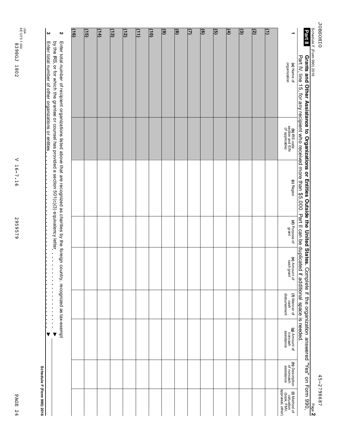PAGE 24 PAGE 24

V 16-7.16 V 16-7.16 2959579 2959579

**Schedule F (Form 990) 2016**

| Part II                     | Grants and Other Assistance to Organizations or Entities Outside the United States. Complete if the organization answered "Yes" on Form 990,<br>Part IV, line 15, for any recipient who received more than \$5,000. Part II can be duplicated if additional space is needed.                                                         |                                                    |            |                         |                             |                                       |                                        |                                             |                                                                |
|-----------------------------|--------------------------------------------------------------------------------------------------------------------------------------------------------------------------------------------------------------------------------------------------------------------------------------------------------------------------------------|----------------------------------------------------|------------|-------------------------|-----------------------------|---------------------------------------|----------------------------------------|---------------------------------------------|----------------------------------------------------------------|
|                             | organization<br>(a) Name of                                                                                                                                                                                                                                                                                                          | (b) IRS code<br>section and EIN<br>(if applicable) | (c) Region | (d) Purpose of<br>grant | (e) Amount of<br>cash grant | disbursement<br>(f) Manner of<br>cash | (g) Amount of<br>noncash<br>assistance | (h) Description<br>of noncash<br>assistance | appraisal, other)<br>(i) Method of<br>valuation<br>(book, FMV, |
| Ξ                           |                                                                                                                                                                                                                                                                                                                                      |                                                    |            |                         |                             |                                       |                                        |                                             |                                                                |
| $\overline{3}$              |                                                                                                                                                                                                                                                                                                                                      |                                                    |            |                         |                             |                                       |                                        |                                             |                                                                |
| $\overline{v}$              |                                                                                                                                                                                                                                                                                                                                      |                                                    |            |                         |                             |                                       |                                        |                                             |                                                                |
| $\left( 4\right)$           |                                                                                                                                                                                                                                                                                                                                      |                                                    |            |                         |                             |                                       |                                        |                                             |                                                                |
| $\overline{(\overline{6})}$ |                                                                                                                                                                                                                                                                                                                                      |                                                    |            |                         |                             |                                       |                                        |                                             |                                                                |
| $\overline{\Theta}$         |                                                                                                                                                                                                                                                                                                                                      |                                                    |            |                         |                             |                                       |                                        |                                             |                                                                |
| ા                           |                                                                                                                                                                                                                                                                                                                                      |                                                    |            |                         |                             |                                       |                                        |                                             |                                                                |
| $\overline{a}$              |                                                                                                                                                                                                                                                                                                                                      |                                                    |            |                         |                             |                                       |                                        |                                             |                                                                |
| $\circledcirc$              |                                                                                                                                                                                                                                                                                                                                      |                                                    |            |                         |                             |                                       |                                        |                                             |                                                                |
| $\frac{1}{2}$               |                                                                                                                                                                                                                                                                                                                                      |                                                    |            |                         |                             |                                       |                                        |                                             |                                                                |
| (11)                        |                                                                                                                                                                                                                                                                                                                                      |                                                    |            |                         |                             |                                       |                                        |                                             |                                                                |
| (12)                        |                                                                                                                                                                                                                                                                                                                                      |                                                    |            |                         |                             |                                       |                                        |                                             |                                                                |
| (13)                        |                                                                                                                                                                                                                                                                                                                                      |                                                    |            |                         |                             |                                       |                                        |                                             |                                                                |
| (14)                        |                                                                                                                                                                                                                                                                                                                                      |                                                    |            |                         |                             |                                       |                                        |                                             |                                                                |
| (15)                        |                                                                                                                                                                                                                                                                                                                                      |                                                    |            |                         |                             |                                       |                                        |                                             |                                                                |
| (16)                        |                                                                                                                                                                                                                                                                                                                                      |                                                    |            |                         |                             |                                       |                                        |                                             |                                                                |
| N                           | by the HS' o'r tor virich the grande of coursel has broxided a section contomative form of the control of the control of the control of the control of $O(0)$ of $O(0)$ and $\alpha$<br>Enter total number of recipient organizations listed above that are recognized as charities by the foreign country, recognized as tax-exempt |                                                    |            |                         |                             |                                       |                                        |                                             |                                                                |
| ω                           | Enter total number of other organizations or entities                                                                                                                                                                                                                                                                                |                                                    |            |                         |                             |                                       | ▼                                      |                                             |                                                                |

**OIHOSHOL** JOBSOHIO

Schedule

F (Form

990) 2016

45-2798687 45-2798687 Page **2**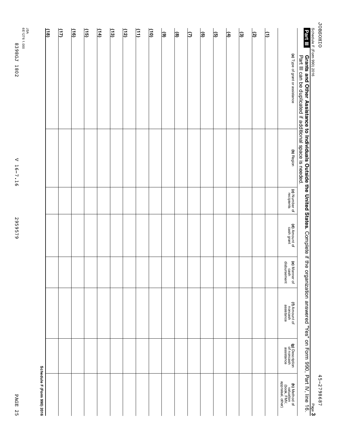| п      |
|--------|
| Ċ<br>Ξ |
| п      |
| N      |
| ப      |

V 16-7.16 2959579 2959579

V 16-7.16

|                             | (a) Type of grant or assistance<br>Part III can be duplicated if additional space is needed. | (b) Region | (c) Number of | (d) Amount of<br>cash grant |                                       |                                        |                                             |                                                                       |
|-----------------------------|----------------------------------------------------------------------------------------------|------------|---------------|-----------------------------|---------------------------------------|----------------------------------------|---------------------------------------------|-----------------------------------------------------------------------|
|                             |                                                                                              |            |               |                             | (e) Manner of<br>cash<br>disbursement | (f) Amount of<br>noncash<br>assistance | (g) Description<br>of noncash<br>assistance | <b>(h)</b> Method of<br>valuation<br>(book, FMV,<br>appraisal, other) |
| $\overline{\Xi}$            |                                                                                              |            |               |                             |                                       |                                        |                                             |                                                                       |
| $\overline{3}$              |                                                                                              |            |               |                             |                                       |                                        |                                             |                                                                       |
| ভ়                          |                                                                                              |            |               |                             |                                       |                                        |                                             |                                                                       |
| $\left  \mathbf{f} \right $ |                                                                                              |            |               |                             |                                       |                                        |                                             |                                                                       |
| $\mathbf{G}$                |                                                                                              |            |               |                             |                                       |                                        |                                             |                                                                       |
| ම                           |                                                                                              |            |               |                             |                                       |                                        |                                             |                                                                       |
| β                           |                                                                                              |            |               |                             |                                       |                                        |                                             |                                                                       |
| $\circ$                     |                                                                                              |            |               |                             |                                       |                                        |                                             |                                                                       |
| $\circ$                     |                                                                                              |            |               |                             |                                       |                                        |                                             |                                                                       |
| $\boxed{10}$                |                                                                                              |            |               |                             |                                       |                                        |                                             |                                                                       |
| $\left(\frac{1}{2}\right)$  |                                                                                              |            |               |                             |                                       |                                        |                                             |                                                                       |
| (12)                        |                                                                                              |            |               |                             |                                       |                                        |                                             |                                                                       |
| $\frac{13}{2}$              |                                                                                              |            |               |                             |                                       |                                        |                                             |                                                                       |
| (14)                        |                                                                                              |            |               |                             |                                       |                                        |                                             |                                                                       |
| $\frac{15}{2}$              |                                                                                              |            |               |                             |                                       |                                        |                                             |                                                                       |
| $\sqrt{(6)}$                |                                                                                              |            |               |                             |                                       |                                        |                                             |                                                                       |
| $\sqrt{11}$                 |                                                                                              |            |               |                             |                                       |                                        |                                             |                                                                       |
| $\sqrt{18}$                 |                                                                                              |            |               |                             |                                       |                                        |                                             |                                                                       |
|                             |                                                                                              |            |               |                             |                                       |                                        |                                             | Schedule F (Form 990) 2016                                            |

45-2798687 45-2798687

Page **3**

**JOBSOHIO** JOBSOHIO F (Form

Schedule

990) 2016

**Grants**

**Part III**

**and**

**Other**

**Assistance**

**to**

**Individuals**

**Outside**

**the**

**United**

**States.**

Complete

። the

organization

answered

"Yes" on Form

990,

Part<br>H IV, line  $\vec{e}$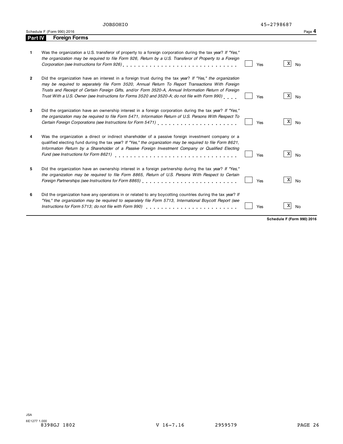| Schedule F (Form 990) 2016<br>.<br>.<br>. | Page 4 |
|-------------------------------------------|--------|
|-------------------------------------------|--------|

| Part IV | <b>Foreign Forms</b>                                                                                                                                                                                                                                                                                                                                                                                                    |     |                |
|---------|-------------------------------------------------------------------------------------------------------------------------------------------------------------------------------------------------------------------------------------------------------------------------------------------------------------------------------------------------------------------------------------------------------------------------|-----|----------------|
| 1.      | Was the organization a U.S. transferor of property to a foreign corporation during the tax year? If "Yes,"<br>the organization may be required to file Form 926, Return by a U.S. Transferor of Property to a Foreign                                                                                                                                                                                                   | Yes | X<br><b>No</b> |
| 2       | Did the organization have an interest in a foreign trust during the tax year? If "Yes," the organization<br>may be required to separately file Form 3520, Annual Return To Report Transactions With Foreign<br>Trusts and Receipt of Certain Foreign Gifts, and/or Form 3520-A, Annual Information Return of Foreign<br>Trust With a U.S. Owner (see Instructions for Forms 3520 and 3520-A; do not file with Form 990) | Yes | X<br>No        |
| 3       | Did the organization have an ownership interest in a foreign corporation during the tax year? If "Yes,"<br>the organization may be required to file Form 5471, Information Return of U.S. Persons With Respect To<br>Certain Foreign Corporations (see Instructions for Form 5471) [1994] Certain Foreign Corporations (see Instructions of Form 1997)                                                                  | Yes | X<br><b>No</b> |
| 4       | Was the organization a direct or indirect shareholder of a passive foreign investment company or a<br>qualified electing fund during the tax year? If "Yes," the organization may be required to file Form 8621,<br>Information Return by a Shareholder of a Passive Foreign Investment Company or Qualified Electing<br>Fund (see Instructions for Form 8621)                                                          | Yes | Χ<br>No        |
| 5       | Did the organization have an ownership interest in a foreign partnership during the tax year? If "Yes."<br>the organization may be required to file Form 8865, Return of U.S. Persons With Respect to Certain<br>Foreign Partnerships (see Instructions for Form 8865)                                                                                                                                                  | Yes | X<br><b>No</b> |
| 6       | Did the organization have any operations in or related to any boycotting countries during the tax year? If<br>"Yes," the organization may be required to separately file Form 5713, International Boycott Report (see<br>Instructions for Form 5713; do not file with Form 990)                                                                                                                                         | Yes | X<br>No        |

**Schedule F (Form 990) 2016**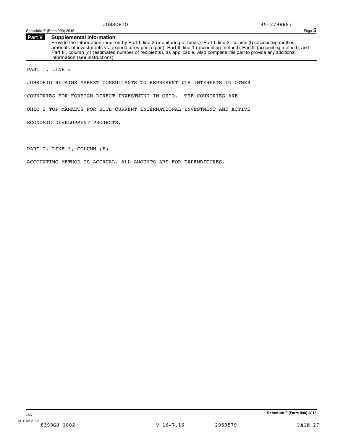Schedule F (Form 990) 2016 Page **5**

# **Part V Supplemental Information**

Provide the information required by Part I, line 2 (monitoring of funds); Part I, line 3, column (f) (accounting method; amounts of investments vs. expenditures per region); Part II, line 1 (accounting method); Part III (accounting method); and Part III, column (c) (estimated number of recipients), as applicable. Also complete this part to provide any additional information (see instructions).

PART I, LINE 3

JOBSOHIO RETAINS MARKET CONSULTANTS TO REPRESENT ITS INTERESTS IN OTHER

COUNTRIES FOR FOREIGN DIRECT INVESTMENT IN OHIO. THE COUNTRIES ARE

OHIO'S TOP MARKETS FOR BOTH CURRENT INTERNATIONAL INVESTMENT AND ACTIVE

ECONOMIC DEVELOPMENT PROJECTS.

PART I, LINE 3, COLUMN (F)

ACCOUNTING METHOD IS ACCRUAL. ALL AMOUNTS ARE FOR EXPENDITURES.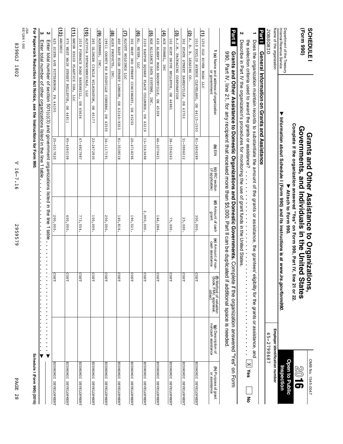2959579

2959579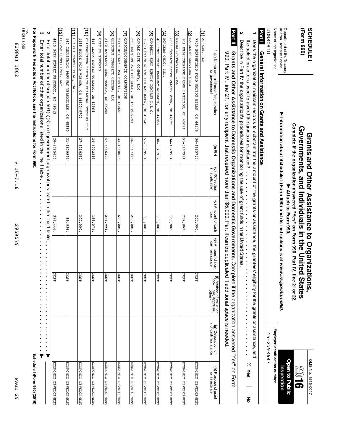| (Form 990)<br>SCHEDULE                                 |                                                                                                                                                                                                                                            |            |                                    | Complete if the organization answered "Yes" on Form 990, Part IV, line 21 or 22<br>Governments, and Individuals in the United<br>Grants and Other Assistance to Organizati<br>Attach to Form 990. |                                       | <b>States</b><br>ons,                                                                           |                                                       | OMB No. 1545-0047<br><b>Open to Public</b><br><b>9108</b> |
|--------------------------------------------------------|--------------------------------------------------------------------------------------------------------------------------------------------------------------------------------------------------------------------------------------------|------------|------------------------------------|---------------------------------------------------------------------------------------------------------------------------------------------------------------------------------------------------|---------------------------------------|-------------------------------------------------------------------------------------------------|-------------------------------------------------------|-----------------------------------------------------------|
| Department of the Treasury<br>Internal Revenue Service | ▼                                                                                                                                                                                                                                          |            |                                    | Information about Schedule I (Form 990) and its instructions is at www.irs.gov/form990.                                                                                                           |                                       |                                                                                                 |                                                       | Inspection                                                |
| Name of the organization                               |                                                                                                                                                                                                                                            |            |                                    |                                                                                                                                                                                                   |                                       |                                                                                                 | Employer identification number                        |                                                           |
| <b>JOBSOHIO</b>                                        |                                                                                                                                                                                                                                            |            |                                    |                                                                                                                                                                                                   |                                       |                                                                                                 | 45-2798687                                            |                                                           |
| Part I                                                 | General Information on Grants and Assistance                                                                                                                                                                                               |            |                                    |                                                                                                                                                                                                   |                                       |                                                                                                 |                                                       |                                                           |
|                                                        | Does the organization maintain records to substantiate the amount of the grants or assistance, the grantees' el                                                                                                                            |            |                                    |                                                                                                                                                                                                   |                                       |                                                                                                 | igibility for the grants or assistance, and           |                                                           |
|                                                        | the selection criteria used to award the grants or assistance?                                                                                                                                                                             |            | $\frac{1}{2}$                      |                                                                                                                                                                                                   | <b>Product</b>                        | $\begin{array}{c} \bullet \\ \bullet \\ \bullet \\ \bullet \end{array}$<br>j,<br>$\ddot{\cdot}$ | ×,<br>i,<br>×<br>$\ddot{\cdot}$                       | $\times$<br>Yes<br>종                                      |
| N                                                      | Describe in Part IV the organization's procedures for monitoring the use of grant funds in the United States                                                                                                                               |            |                                    |                                                                                                                                                                                                   |                                       |                                                                                                 |                                                       |                                                           |
| <b>Part II</b>                                         | 990, Part IV, line 21, for any recipient that received more than \$5,000. Part II can be duplicated<br>Grants and Other Assistance to Domestic Organizations and Domestic Governments. Complete if the organization answered "Yes" on Form |            |                                    |                                                                                                                                                                                                   |                                       | if additional space is needed                                                                   |                                                       |                                                           |
|                                                        |                                                                                                                                                                                                                                            | $(n)$ EIN  |                                    | (d) Amount of cash                                                                                                                                                                                |                                       |                                                                                                 |                                                       |                                                           |
|                                                        | <b>(a)</b> Name and address of organization<br>or government                                                                                                                                                                               |            | (c) IRC section<br>(if applicable) | grant                                                                                                                                                                                             | (e) Amount of non-<br>cash assistance | <b>(f)</b> Method of valuation<br>(book, FMV, appraisal,<br>other)                              | (g) Description of<br>noncash assistance              | <b>(h)</b> Purpose of grant<br>or assistance              |
| $(1)$ arhaus, llc                                      |                                                                                                                                                                                                                                            |            |                                    |                                                                                                                                                                                                   |                                       |                                                                                                 |                                                       |                                                           |
|                                                        | 7700 NORTHFIELD ROAD WALTON HILLS, OH 44146                                                                                                                                                                                                | 34-1185757 |                                    | 200,000.                                                                                                                                                                                          |                                       | COST                                                                                            |                                                       | ECONOMIC DEVELOPMENT                                      |
| (2) BARCLAYS SERVICES OHIO                             |                                                                                                                                                                                                                                            |            |                                    |                                                                                                                                                                                                   |                                       |                                                                                                 |                                                       |                                                           |
| 101 KNIGHTSBRIDGE DRIVE HAMILTON,                      | OH 45011                                                                                                                                                                                                                                   | 51-0407971 |                                    | 252,869                                                                                                                                                                                           |                                       | $\overline{5}$<br>ξ                                                                             |                                                       | <b>ECONOMIC</b><br><b>DEVELOPMENT</b>                     |
| (3) BIBBO PROPERTIES, LTD.                             |                                                                                                                                                                                                                                            |            |                                    |                                                                                                                                                                                                   |                                       |                                                                                                 |                                                       |                                                           |
| 6001 TONPATH DRIVE VALLEY VIEW,                        | OH 44125                                                                                                                                                                                                                                   | 34-1929504 |                                    | 100,000.                                                                                                                                                                                          |                                       | costr                                                                                           |                                                       | ECONOMIC DEVELOPMENT                                      |
| (4) BORGERS OHIO,<br>INC.                              |                                                                                                                                                                                                                                            |            |                                    |                                                                                                                                                                                                   |                                       |                                                                                                 |                                                       |                                                           |
| 400 INDUSTRIAL PARKWAY NORWALK,                        | 유<br>44857                                                                                                                                                                                                                                 | 30-0841962 |                                    | 150,000                                                                                                                                                                                           |                                       | S<br>្អ                                                                                         |                                                       | ECONOMIC DEVELOPMENT                                      |
| ত্র<br>CAMPBELL SOUP SUPPLY COMPANY L.L.C              |                                                                                                                                                                                                                                            |            |                                    |                                                                                                                                                                                                   |                                       |                                                                                                 |                                                       |                                                           |
|                                                        | 12773 STATE ROUTE 110 NAPOLEON, OH 43545                                                                                                                                                                                                   | 51-0389504 |                                    | 100,000                                                                                                                                                                                           |                                       | co:<br>ξ                                                                                        |                                                       | ECONOMIC DEVELOPMENT                                      |
| (6) CANDLE-LITE COMPANY,                               | <b>TTC</b>                                                                                                                                                                                                                                 |            |                                    |                                                                                                                                                                                                   |                                       |                                                                                                 |                                                       |                                                           |
| 250 EASTERN AVE LEESBURG,                              | OH 45135-9783                                                                                                                                                                                                                              | 46-3867345 |                                    | 200,000                                                                                                                                                                                           |                                       | S<br>¥                                                                                          |                                                       | ECONOMIC DEVELOPMENT                                      |
| Э<br>CARDINALCOMMERCE CORPORATION                      |                                                                                                                                                                                                                                            |            |                                    |                                                                                                                                                                                                   |                                       |                                                                                                 |                                                       |                                                           |
| 6119 HEISLEY ROAD MENTOR, OH 44060                     |                                                                                                                                                                                                                                            | 34-1888626 |                                    | 000,000.                                                                                                                                                                                          |                                       | cosr                                                                                            |                                                       | ECONOMIC DEVELOPMENT                                      |
| (8) CHESTNUT COMMERCE CENTER,                          | <b>LLC</b>                                                                                                                                                                                                                                 |            |                                    |                                                                                                                                                                                                   |                                       |                                                                                                 |                                                       |                                                           |
| 2480 BARTLETT ROAD MANTUA,                             | OH 44255                                                                                                                                                                                                                                   | 47-5586394 |                                    | 281,994                                                                                                                                                                                           |                                       | co:<br>ξ                                                                                        |                                                       | <b>ECONOMIC</b><br><b>DEVELOPMENT</b>                     |
| ම<br>CTTY OF TORONTO                                   |                                                                                                                                                                                                                                            |            |                                    |                                                                                                                                                                                                   |                                       |                                                                                                 |                                                       |                                                           |
| 416 CLARK STREET TORONTO, OH 43964                     |                                                                                                                                                                                                                                            | 34-6002813 |                                    | 153,071.                                                                                                                                                                                          |                                       | COST                                                                                            |                                                       | ECONOMIC DEVELOPMENT                                      |
| (10) CLARKWESTERN DIETRICH BUILDING SYSTEMS            | <b>LLC</b>                                                                                                                                                                                                                                 |            |                                    |                                                                                                                                                                                                   |                                       |                                                                                                 |                                                       |                                                           |
| 1455 RIDGE ROAD VIENNA,                                | OH 44473-9702                                                                                                                                                                                                                              | 27-5010387 |                                    | 300,000.                                                                                                                                                                                          |                                       | S<br>ξ                                                                                          |                                                       | <b>ECONOMIC</b><br><b>DEVELOPMENT</b>                     |
| $\Xi$<br>CLASSIC WAREHOUSING, INC.                     |                                                                                                                                                                                                                                            |            |                                    |                                                                                                                                                                                                   |                                       |                                                                                                 |                                                       |                                                           |
| 160 INDUSTRIAL PARKWAY VERSAILLES,                     | OB 45380                                                                                                                                                                                                                                   | 31-1809959 |                                    | 39,996                                                                                                                                                                                            |                                       | $\overline{\mathbf{S}}$<br>2                                                                    |                                                       | ECONOMIC DEVELOPMENT                                      |
| (12)<br>CORVAC<br>COMPOSITES,                          | <b>DTT</b>                                                                                                                                                                                                                                 |            |                                    |                                                                                                                                                                                                   |                                       |                                                                                                 |                                                       |                                                           |
| 4450 36TH STREET KENTWOOD, MI 49512                    |                                                                                                                                                                                                                                            | 20-2485456 |                                    | 381,446.                                                                                                                                                                                          |                                       | co:<br>ξ                                                                                        |                                                       | ECONOMIC DEVELOPMENT                                      |
| ယ လ                                                    | Enter total number of section (0) (0)(0) and 00 yergenizations listed in the line 1 table                                                                                                                                                  |            |                                    |                                                                                                                                                                                                   | $\blacksquare$<br>×<br>$\blacksquare$ | ×<br>×<br>ä<br>$\blacksquare$<br>×<br>×<br>$\blacksquare$<br>$\blacksquare$<br>×<br>×           | ×<br>×<br>×<br>$\blacksquare$<br>$\blacktriangledown$ |                                                           |
|                                                        | Enter total number of other organizations listed in the line 1 table                                                                                                                                                                       |            |                                    |                                                                                                                                                                                                   |                                       |                                                                                                 | v.                                                    |                                                           |
|                                                        | For Paperwork Reduction Act Notice, see the Instructions for Form 990                                                                                                                                                                      |            |                                    |                                                                                                                                                                                                   |                                       |                                                                                                 |                                                       | Schedule I (Form 990) (2016)                              |
| JSA<br>6E1288 1.000                                    |                                                                                                                                                                                                                                            |            |                                    |                                                                                                                                                                                                   |                                       |                                                                                                 |                                                       |                                                           |
|                                                        |                                                                                                                                                                                                                                            |            |                                    |                                                                                                                                                                                                   |                                       |                                                                                                 |                                                       |                                                           |

8398GJ 1802

839865 1802

V 16-7.16

V 16-7.16

2959579

2959579

PAGE 29

**PAGE 29**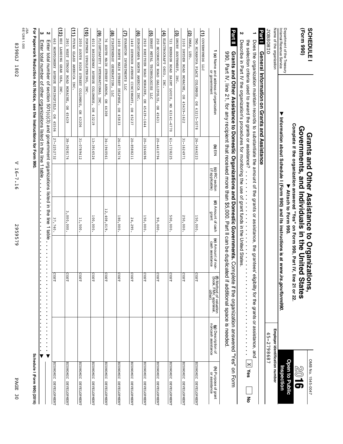| σ<br>ĩ.   |  |
|-----------|--|
| ה<br>ы    |  |
| د، ا<br>0 |  |

2959579 2959579

V 16-7.16 V 16-7.16

|             | 6E1288<br>٦g |
|-------------|--------------|
| 839865      | 1.000        |
| <b>1802</b> |              |

| i<br>ś<br>i                              |
|------------------------------------------|
| ì                                        |
| š                                        |
| ֧֧֧֧֧֧֦֧֦֧֚֓֓֓֓֓֓֬֓֓֓֓֓֬֓֓ <b>֓</b><br>ī |

**For Paperwork Reduction Act Notice, see the Instructions for Form 990.**

|                                       |                                          |                                                             |                                       |                             |                                    |            | ယ<br>Enter total number of other organizations listed in the line 1 table                                                                                                                                                                                                                                              |
|---------------------------------------|------------------------------------------|-------------------------------------------------------------|---------------------------------------|-----------------------------|------------------------------------|------------|------------------------------------------------------------------------------------------------------------------------------------------------------------------------------------------------------------------------------------------------------------------------------------------------------------------------|
|                                       |                                          |                                                             | ä,                                    |                             |                                    |            | Z<br>Later total number of section is subsectional (0)(0) and 00 section is that in the line of the line total number                                                                                                                                                                                                  |
| ECONOMIC DEVELOPMENT                  |                                          | <b>COST</b>                                                 |                                       | 37,740.                     |                                    | 27-2252732 | 663 MONTGOMERY AVENUE SPRINGFIELD,<br>OH 45506                                                                                                                                                                                                                                                                         |
|                                       |                                          |                                                             |                                       |                             |                                    |            | $\Xi$<br>HDI LANDING GEAR USA,<br><b>INC.</b>                                                                                                                                                                                                                                                                          |
| ECONOMIC DEVELOPMENT                  |                                          | <b>COST</b>                                                 |                                       | 3,000,000.                  |                                    | 38-3928174 | 2801 WEST STROP ROAD MORAINE,<br>OH 45439                                                                                                                                                                                                                                                                              |
|                                       |                                          |                                                             |                                       |                             |                                    |            | (11) FUYAO GLASS AMERICA INC.                                                                                                                                                                                                                                                                                          |
| <b>ECONOMIC</b><br><b>DEVELOPMENT</b> |                                          | costr                                                       |                                       | 11,500.                     |                                    | 31-0789412 | 2050 SOUTH HIGH STREET COLUMBUS,<br>OH 43206                                                                                                                                                                                                                                                                           |
|                                       |                                          |                                                             |                                       |                             |                                    |            | (10) FORTNER UPHOLSTERING,<br><b>INC</b>                                                                                                                                                                                                                                                                               |
| ECONOMIC DEVELOPMENT                  |                                          | <b>COST</b>                                                 |                                       | 100,000.                    |                                    | 13-3916524 | 4010 BRIDGEWAY AVENUE COLUMBUS, OH 43219                                                                                                                                                                                                                                                                               |
|                                       |                                          |                                                             |                                       |                             |                                    |            | (9) FLIGHTSAFETY INTERNATIONAL INC                                                                                                                                                                                                                                                                                     |
| ECONOMIC DEVELOPMENT                  |                                          | costr                                                       |                                       | 12,408,019.                 |                                    | 34-1940561 | 76 SOUTH MAIN STREET AKRON, OH 44308                                                                                                                                                                                                                                                                                   |
|                                       |                                          |                                                             |                                       |                             |                                    |            | (8) FIRSTENERGY GENERATION, LLC                                                                                                                                                                                                                                                                                        |
| ECONOMIC DEVELOPMENT                  |                                          | COST                                                        |                                       | 180,000.                    |                                    | 26-4715674 | 1400 NORTH MAIN STREET DELPHOS,<br>OH 45833                                                                                                                                                                                                                                                                            |
|                                       |                                          |                                                             |                                       |                             |                                    |            | (7) EVANSTON INVESTMENTS LLC                                                                                                                                                                                                                                                                                           |
| <b>ECONOMIC</b><br>DEVELOPMENT        |                                          | <b>COST</b>                                                 |                                       | 24,295.                     |                                    | 20-8588211 | 1440 SEYMOUR AVENUE CINCINNATI,<br>OH 45237                                                                                                                                                                                                                                                                            |
|                                       |                                          |                                                             |                                       |                             |                                    |            | (6) EUROSTAMPA NORTH AMERICA INC                                                                                                                                                                                                                                                                                       |
| ECONOMIC DEVELOPMENT                  |                                          | cosr                                                        |                                       | 150,000.                    |                                    | 20-3246696 | 2920 KREITZER ROAD MORAINE, OH 45439-1644                                                                                                                                                                                                                                                                              |
|                                       |                                          |                                                             |                                       |                             |                                    |            | (5) ERNST METAL TECHNOLOGIES LLC                                                                                                                                                                                                                                                                                       |
| ECONOMIC DEVELOPMENT                  |                                          | <b>COST</b>                                                 |                                       | 000'00"                     |                                    | 20-4410794 | 250 MCCORMICK ROAD GALLIPOLIS,<br>$\overline{H}$<br>45631                                                                                                                                                                                                                                                              |
|                                       |                                          |                                                             |                                       |                             |                                    |            | (4) ELECTROCRAFT OHIO,<br><b>LNC</b>                                                                                                                                                                                                                                                                                   |
| <b>ECONOMIC</b><br><b>DEVELOPMENT</b> |                                          | <b>COST</b>                                                 |                                       | 500,000.                    |                                    | 61-1728225 | 721 EMERSON ROAD SAINT LOUIS,<br>ŏ<br>63141-6770                                                                                                                                                                                                                                                                       |
|                                       |                                          |                                                             |                                       |                             |                                    |            | (3) DRURY SOUTHWEST, INC.                                                                                                                                                                                                                                                                                              |
| ECONOMIC DEVELOPMENT                  |                                          | <b>COST</b>                                                 |                                       | 250,000.                    |                                    | 31-1624971 | 3100 DRYDEN ROAD MORAINE, OH<br>45439-1622                                                                                                                                                                                                                                                                             |
|                                       |                                          |                                                             |                                       |                             |                                    |            | $(2)$ DMAX,<br>ET<br>J                                                                                                                                                                                                                                                                                                 |
| ECONOMIC DEVELOPMENT                  |                                          | COST                                                        |                                       | 150,000.                    |                                    | 26-3446223 | TWO MIRANOVA PLACE COLUMBUS, OH 43215-5078                                                                                                                                                                                                                                                                             |
|                                       |                                          |                                                             |                                       |                             |                                    |            | (1) COVERMYRDS LLC                                                                                                                                                                                                                                                                                                     |
| (h) Purpose of grant<br>or assistance | (g) Description of<br>noncash assistance | (f) Method of valuation<br>(book, FMV, appraisal,<br>other) | (e) Amount of non-<br>cash assistance | (d) Amount of cash<br>grant | (c) IRC section<br>(if applicable) | to)<br>ElM | 1 (a) Name and address of organization<br>or government                                                                                                                                                                                                                                                                |
|                                       |                                          | if additional space is needed.                              |                                       |                             |                                    |            | <b>Part II</b><br>Grants and Other Assistance to Domestic Organization and the proportional proping and Domestic Governments. Complete if the organization answered "Yes" on Form<br>990, Part IV, inea do permit of the sequence data that the sequence of the animal sequence of the state of the sequence of $\sim$ |
|                                       |                                          |                                                             |                                       |                             |                                    |            | N<br>Describe in the organization's the organization's procedures for monitoring the use of grant funds in the United States                                                                                                                                                                                           |
| <b>X</b> yes<br>종                     | $\blacksquare$<br>$\ddot{\phantom{0}}$   |                                                             |                                       |                             |                                    |            | the selection criteria used to award the grants or assistance?                                                                                                                                                                                                                                                         |

o<br>S No.

 $1545-0047$  **SCHEDULE I**<br>  $1545-005$  **In the SQLEDULE I**<br>  $1545-005$  **In the SQLEDULE I**<br>  $1545-005$  **In the SQLEDULE I**<br>  $1545-005$  **In the SQLEDULE I** 

**Assistance**

**to**

**Organizations,**

**Grants**

**Governments,**

**and**

**Individuals**

**Attach to Form** ■ Attach to Form 990.

Complete if the organization answered "Yes" on Form 990, Part IV, line 21 or 22.

**in the**

**United**

**States**

**and**

**Other**

**(Form**

Internal

Name of the

JOBSOHIO

**1**

organization

Revenue

Service

 $\blacktriangledown$ 

**Information**

**about**

**Schedule**

**I (Form**

**990) and its**

**instructions**

**is at**

*www.irs.gov/form990***.**

**990)**

**SCHEDULE1** 

**Open to Port of the Treasury Nitach to Form 990.**<br>Department of the Treasury Nitach to Department of the Treasury of the Treasury of the Treasury of the Treasury

**Employer identification** Inspection **Inspection number**

an<br>B

45-2798687 45-2798687

**JOBSOHIO Barrie General International Massistance**<br>**Party in Particular States and Particular States in Party Center General Information on Grants and**

Does ទី organization maintain records to substantiate the amount ቧ ទី grants or assistance, ទី grantees' eligibility for ទី grants or assistance,

**1802**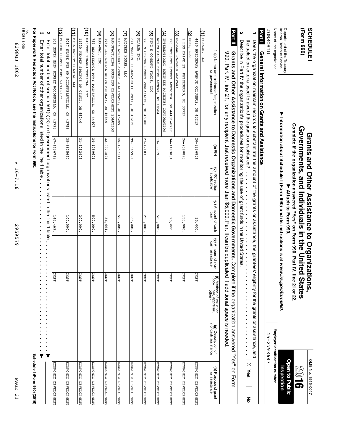| (Form 990)<br><b>SCHEDULE</b>                                  |                                                                                                                                                                                                                                                                                                                                                                       |            |                                    | Complete if the organization answered "Yes" on Form 990, Part IV, line 21 or 22.<br>Governments, and Individuals in the United<br>Grants and Other Assistance to Organizati |                                                                         | <b>States</b><br>ons,                                         |                                                                                                                  | OMB No. 1545-0047<br>10%<br>51               |
|----------------------------------------------------------------|-----------------------------------------------------------------------------------------------------------------------------------------------------------------------------------------------------------------------------------------------------------------------------------------------------------------------------------------------------------------------|------------|------------------------------------|-----------------------------------------------------------------------------------------------------------------------------------------------------------------------------|-------------------------------------------------------------------------|---------------------------------------------------------------|------------------------------------------------------------------------------------------------------------------|----------------------------------------------|
| Department of the Treasury<br>Internal Revenue Service         |                                                                                                                                                                                                                                                                                                                                                                       |            |                                    | Information about Schedule I (Form 990) and its instructions is at www.irs.gov/form990.<br>▶ Attach to Form 990.                                                            |                                                                         |                                                               |                                                                                                                  | <b>Open to Public</b><br>Inspection          |
| Name of the organization                                       |                                                                                                                                                                                                                                                                                                                                                                       |            |                                    |                                                                                                                                                                             |                                                                         |                                                               | Employer identification number                                                                                   |                                              |
| <b>JOBSOHIO</b><br>Part I                                      | General Information on Grants and Assistance                                                                                                                                                                                                                                                                                                                          |            |                                    |                                                                                                                                                                             |                                                                         |                                                               | 45-2798687                                                                                                       |                                              |
|                                                                |                                                                                                                                                                                                                                                                                                                                                                       |            |                                    |                                                                                                                                                                             |                                                                         |                                                               |                                                                                                                  |                                              |
|                                                                | Does the organization maintain records to substantiate the amount of the grants or assistance, the grantees el<br>the selection criteria used to award the grants or assistance?                                                                                                                                                                                      |            |                                    |                                                                                                                                                                             |                                                                         | igibility for the grants or assistance, and<br>$\ddot{\cdot}$ | $\blacksquare$<br>×<br>$\begin{array}{c} \bullet \\ \bullet \\ \bullet \\ \bullet \end{array}$<br>$\blacksquare$ | $\times$<br>Yes<br>종                         |
| N                                                              | Describe in Part IV the organization's procedures for monitoring the use of grant funds in the United States                                                                                                                                                                                                                                                          |            |                                    | $\frac{1}{2}$ , $\frac{1}{2}$ , $\frac{1}{2}$ , $\frac{1}{2}$ , $\frac{1}{2}$ , $\frac{1}{2}$ , $\frac{1}{2}$ , $\frac{1}{2}$ , $\frac{1}{2}$                               | $\begin{array}{c} \bullet \\ \bullet \\ \bullet \\ \bullet \end{array}$ | $\ddot{\phantom{0}}$                                          |                                                                                                                  |                                              |
| <b>Part II</b>                                                 | 990, Part IV, ineal can be act illustrated that the section of the fight of the angle of the section of the section of the section of the section of the section of the section of the section of the section of the section o<br>Grants and Other Assistance to Domestic Organizations and Domestic Governments. Complete if the organization answered "Yes" on Form |            |                                    |                                                                                                                                                                             |                                                                         | if additional space is needed.                                |                                                                                                                  |                                              |
|                                                                | <b>1 (a)</b> Name and address of organization<br>or government                                                                                                                                                                                                                                                                                                        | (d) ElN    | (c) IRC section<br>(if applicable) | (d) Amount of cash<br>grant                                                                                                                                                 | (e) Amount of non-<br>cash assistance                                   | (f) Method of valuation<br>(book, FMV, appraisal,<br>other)   | (g) Description of<br>noncash assistance                                                                         | <b>(h)</b> Purpose of grant<br>or assistance |
| (1) HOMAGE,<br>DTI                                             |                                                                                                                                                                                                                                                                                                                                                                       |            |                                    |                                                                                                                                                                             |                                                                         |                                                               |                                                                                                                  |                                              |
|                                                                | 4480 BRIDGEWAY AVENUE COLUMBUS, OH 43219                                                                                                                                                                                                                                                                                                                              | 20-8826851 |                                    | 30,000.                                                                                                                                                                     |                                                                         | COST                                                          |                                                                                                                  | ECONOMIC DEVELOPMENT                         |
| $(2)$ HSNI,<br><b>DTT</b>                                      |                                                                                                                                                                                                                                                                                                                                                                       |            |                                    |                                                                                                                                                                             |                                                                         |                                                               |                                                                                                                  |                                              |
| HSN DRIVE ST.                                                  | PETERSBURG,<br>EL 33729                                                                                                                                                                                                                                                                                                                                               | 26-2590893 |                                    | 150,000                                                                                                                                                                     |                                                                         | COST                                                          |                                                                                                                  | <b>ECONOMIC</b><br><b>DEVELOPMENT</b>        |
| (3) HUMTOWN PATTERN COMPANY                                    |                                                                                                                                                                                                                                                                                                                                                                       |            |                                    |                                                                                                                                                                             |                                                                         |                                                               |                                                                                                                  |                                              |
|                                                                | 120 INDUSTRY STREET LEETONIA, OH 44431-8707                                                                                                                                                                                                                                                                                                                           | 34-1193031 |                                    | 25,000                                                                                                                                                                      |                                                                         | COST                                                          |                                                                                                                  | ECONOMIC DEVELOPMENT                         |
|                                                                | (4) INTERNATIONAL BUSINESS MACHINES CORPORATION                                                                                                                                                                                                                                                                                                                       |            |                                    |                                                                                                                                                                             |                                                                         |                                                               |                                                                                                                  |                                              |
| NORTH CASTLE DRIVE ARMONK, NY 10504                            |                                                                                                                                                                                                                                                                                                                                                                       | 13-0871985 |                                    | 500,000                                                                                                                                                                     |                                                                         | COST                                                          |                                                                                                                  | <b>ECONOMIC</b><br><b>DEVELOPMENT</b>        |
| (5) KING'S COMMAND FOODS, LLC<br>70 N CENTER STREE VERSAILLES, | OB 45380                                                                                                                                                                                                                                                                                                                                                              | 27-4718303 |                                    | 250,000                                                                                                                                                                     |                                                                         | cosr                                                          |                                                                                                                  | ECONOMIC DEVELOPMENT                         |
| $\widehat{\mathbf{e}}$<br>KLARNA INC                           |                                                                                                                                                                                                                                                                                                                                                                       |            |                                    |                                                                                                                                                                             |                                                                         |                                                               |                                                                                                                  |                                              |
| 274 MARCONI BOULEVARD COLUMBUS,                                | OH 43215                                                                                                                                                                                                                                                                                                                                                              | 99-0365994 |                                    | 125,000                                                                                                                                                                     |                                                                         | cosr                                                          |                                                                                                                  | <b>ECONOMIC</b><br><b>DEVELOPMENT</b>        |
| (7) MADTREE HOUSE, LLC                                         |                                                                                                                                                                                                                                                                                                                                                                       |            |                                    |                                                                                                                                                                             |                                                                         |                                                               |                                                                                                                  |                                              |
|                                                                | 5164 KENNEDY AVENUE CINCINNATI, OH 45209                                                                                                                                                                                                                                                                                                                              | 45-1257111 |                                    | 500,000                                                                                                                                                                     |                                                                         | cost                                                          |                                                                                                                  | ECONOMIC DEVELOPMENT                         |
|                                                                | <b>(8)</b> MANUFACTURING BUSINESS DEVELOPMENT SOLUTION                                                                                                                                                                                                                                                                                                                |            |                                    |                                                                                                                                                                             |                                                                         |                                                               |                                                                                                                  |                                              |
|                                                                | 1950 INDUSTRIAL DRIVE FINDLAY, OH 45840                                                                                                                                                                                                                                                                                                                               | 32-0071821 |                                    | 36,664.                                                                                                                                                                     |                                                                         | COST                                                          |                                                                                                                  | ECONOMIC DEVELOPMENT                         |
| (9) мля-вдг,<br>INC.                                           |                                                                                                                                                                                                                                                                                                                                                                       |            |                                    |                                                                                                                                                                             |                                                                         |                                                               |                                                                                                                  |                                              |
| 787 RENAISSANCE PKWY PAINSVILLE,                               | OH 44407                                                                                                                                                                                                                                                                                                                                                              | 34-1059601 |                                    | 500,000                                                                                                                                                                     |                                                                         | COST                                                          |                                                                                                                  | ECONOMIC DEVELOPMENT                         |
| (10) MASTERS PHARMACEUTICAL,                                   | INC.                                                                                                                                                                                                                                                                                                                                                                  |            |                                    |                                                                                                                                                                             |                                                                         |                                                               |                                                                                                                  |                                              |
|                                                                | 11930 KEMPER SPRINGS DR CINTI, OH 45240                                                                                                                                                                                                                                                                                                                               | 31-1752403 |                                    | 200,000.                                                                                                                                                                    |                                                                         | COST                                                          |                                                                                                                  | ECONOMIC DEVELOPMENT                         |
| (11) MIBA ENERGY HOLDING LLC                                   |                                                                                                                                                                                                                                                                                                                                                                       |            |                                    |                                                                                                                                                                             |                                                                         |                                                               |                                                                                                                  |                                              |
| 5037 STATE RTE 60 MCCONNELSVILLE,                              | OH 43756                                                                                                                                                                                                                                                                                                                                                              | 38-3825650 |                                    | 100,000                                                                                                                                                                     |                                                                         | COST                                                          |                                                                                                                  | ECONOMIC DEVELOPMENT                         |
| $\Xi$<br>MONROE COUNTY PORT AUTHORITY                          |                                                                                                                                                                                                                                                                                                                                                                       |            |                                    |                                                                                                                                                                             |                                                                         |                                                               |                                                                                                                  |                                              |
|                                                                | 101 NORTH MAIN STREET WOODSFIELD, OH 43793                                                                                                                                                                                                                                                                                                                            | 47-1636712 |                                    | 146,469.                                                                                                                                                                    |                                                                         | cost                                                          |                                                                                                                  | ECONOMIC DEVELOPMENT                         |
| Z                                                              | Enter total number of section 501(c)(3) and government organizations listed in the line 1 table                                                                                                                                                                                                                                                                       |            |                                    |                                                                                                                                                                             |                                                                         | $\blacksquare$                                                |                                                                                                                  |                                              |
| ω                                                              | Enter total number of other organizations listed in the line 1 table                                                                                                                                                                                                                                                                                                  |            |                                    |                                                                                                                                                                             |                                                                         |                                                               | v                                                                                                                |                                              |
|                                                                | For Paperwork Reduction Act Notice, see the Instructions for Form 990.                                                                                                                                                                                                                                                                                                |            |                                    |                                                                                                                                                                             |                                                                         |                                                               |                                                                                                                  | Schedule I (Form 990) (2016)                 |
| JSA<br>6E1288 1.000                                            |                                                                                                                                                                                                                                                                                                                                                                       |            |                                    |                                                                                                                                                                             |                                                                         |                                                               |                                                                                                                  |                                              |
|                                                                |                                                                                                                                                                                                                                                                                                                                                                       |            |                                    |                                                                                                                                                                             |                                                                         |                                                               |                                                                                                                  |                                              |

V 16-7.16

V 16-7.16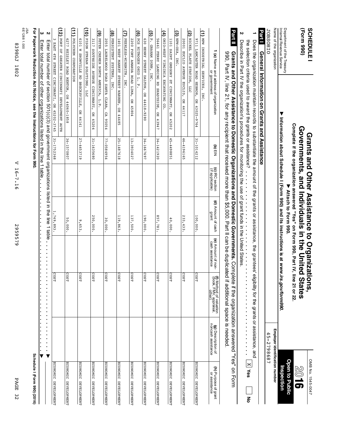| PAGE<br>$\frac{2}{3}$                 |                                              |                                                             | 2959579                                                      |                                                                                                  | ◁<br>$-91$<br>$\ddot{\cdot}$<br>$\overline{9}$ |            |                                                                                                                                                                                                                                                                                | <b>8398GJ</b><br>1802                                  |
|---------------------------------------|----------------------------------------------|-------------------------------------------------------------|--------------------------------------------------------------|--------------------------------------------------------------------------------------------------|------------------------------------------------|------------|--------------------------------------------------------------------------------------------------------------------------------------------------------------------------------------------------------------------------------------------------------------------------------|--------------------------------------------------------|
|                                       |                                              |                                                             |                                                              |                                                                                                  |                                                |            |                                                                                                                                                                                                                                                                                | JSA<br>6E1288 1.000                                    |
| Schedule I (Form 990) (2016)          |                                              |                                                             |                                                              |                                                                                                  |                                                |            | For Paperwork Reduction Act Notice, see the Instructions for Form 990                                                                                                                                                                                                          |                                                        |
|                                       |                                              |                                                             |                                                              |                                                                                                  |                                                |            | Enter total number of other organizations listed in the line 1 table                                                                                                                                                                                                           | ω                                                      |
|                                       |                                              |                                                             |                                                              |                                                                                                  |                                                |            | Enter total number of section 501(c)(3) and government organizations listed in the line 1 table                                                                                                                                                                                | Z                                                      |
| ECONOMIC DEVELOPMENT                  |                                              | COST                                                        |                                                              | 1,749,893.                                                                                       |                                                | 31-1752368 | OH 45202-3745                                                                                                                                                                                                                                                                  | EAST 4TH STREET CINCINNATI,                            |
|                                       |                                              |                                                             |                                                              |                                                                                                  |                                                |            | PORT OF GREATER CINCINNATI DEVELOPMENT AUTH                                                                                                                                                                                                                                    | (12)                                                   |
| ECONOMIC DEVELOPMENT                  |                                              | g<br>ΞS                                                     |                                                              | 50,000.                                                                                          |                                                | 34-1570807 | 6277 HEISLEY ROAD MENTOR, OH 44060-1858                                                                                                                                                                                                                                        |                                                        |
|                                       |                                              |                                                             |                                                              |                                                                                                  |                                                |            |                                                                                                                                                                                                                                                                                | $\Xi$<br>POLYCHEM CORPORATION                          |
| ECONOMIC DEVELOPMENT                  |                                              | cost                                                        |                                                              | م<br><b>653</b>                                                                                  |                                                | 27-4453719 | <b>OH 44141</b>                                                                                                                                                                                                                                                                | 6101 W SNOWVILLE RD BRECKSVILLE,                       |
|                                       |                                              |                                                             |                                                              |                                                                                                  |                                                |            | <b>LLC</b>                                                                                                                                                                                                                                                                     | SNOTLLOS NEEWS NOSTE (01)                              |
| ECONOMIC DEVELOPMENT                  |                                              | COST                                                        |                                                              | 250,000                                                                                          |                                                | 31-1635680 | $_{\rm HO}$<br>45204                                                                                                                                                                                                                                                           | 3117 SOUTHSIDE AVENUE CINCINNATI,                      |
|                                       |                                              |                                                             |                                                              |                                                                                                  |                                                |            |                                                                                                                                                                                                                                                                                | (9) PETER CREMER NORTH AMERICA, L.P.                   |
| <b>ECONOMIC</b><br><b>DEVELOPMENT</b> |                                              | <b>COST</b>                                                 |                                                              | 30,000.                                                                                          |                                                | 77-0584954 | CА<br>95054                                                                                                                                                                                                                                                                    | 2055 LAURELWOOD ROAD SANTA CLARA,                      |
|                                       |                                              |                                                             |                                                              |                                                                                                  |                                                |            | INC.                                                                                                                                                                                                                                                                           | (8) PERSISTEMT SYSTEMS'                                |
| ECONOMIC DEVELOPMENT                  |                                              | <b>COST</b>                                                 |                                                              | 119,863.                                                                                         |                                                | 25-1487618 | 1401 WEST MARKET STREET WARREN, OH 44485                                                                                                                                                                                                                                       |                                                        |
|                                       |                                              |                                                             |                                                              |                                                                                                  |                                                |            |                                                                                                                                                                                                                                                                                | (7) PEERLESS-WINSMITH, INC.                            |
| ECONOMIC DEVELOPMENT                  |                                              | <b>COST</b>                                                 |                                                              | 137,500                                                                                          |                                                | 13-3934027 | P0855 BO4                                                                                                                                                                                                                                                                      | 2200 FORT AMANDA ROAD LIMA,                            |
|                                       |                                              |                                                             |                                                              |                                                                                                  |                                                |            |                                                                                                                                                                                                                                                                                | (6) PCS NITROGEN OHIO L. P.                            |
| <b>ECONOMIC</b><br><b>DEVELOPMENT</b> |                                              | g<br>ΞS                                                     |                                                              | 190,000.                                                                                         |                                                | 34-1667697 | $\rm _{HO}$<br>44618-9280                                                                                                                                                                                                                                                      | 630 HENRY STREET DALTON,                               |
|                                       |                                              |                                                             |                                                              |                                                                                                  |                                                |            | INC.                                                                                                                                                                                                                                                                           | তি<br>GRAHAM DUNN,                                     |
| ECONOMIC DEVELOPMENT                  |                                              | costr                                                       |                                                              | 187,781                                                                                          |                                                | 34-1421920 | 56461 FERRY LANDING RD SHADYSIDE, OH 43947                                                                                                                                                                                                                                     |                                                        |
|                                       |                                              |                                                             |                                                              |                                                                                                  |                                                |            |                                                                                                                                                                                                                                                                                | (4) OHIO-WEST VIRGINIA EXCAVATING CO.                  |
| ECONOMIC DEVELOPMENT                  |                                              | COST                                                        |                                                              | 40,000.                                                                                          |                                                | 45-4498851 | $_{\rm H O}$<br>45202                                                                                                                                                                                                                                                          | 1101 SAINT GREGORY ST CINCINNATI,                      |
|                                       |                                              |                                                             |                                                              |                                                                                                  |                                                |            |                                                                                                                                                                                                                                                                                | $(3)$ NPW-USA, INC.                                    |
| ECONOMIC DEVELOPMENT                  |                                              | <b>COST</b>                                                 |                                                              | 233,433.                                                                                         |                                                | 46-4196165 | <b>CH 44117</b>                                                                                                                                                                                                                                                                | 20001 EUCLID AVENUE EUCLID,                            |
|                                       |                                              |                                                             |                                                              |                                                                                                  |                                                |            | <b>TTC</b>                                                                                                                                                                                                                                                                     | (2) NICKEL PLATE STATION,                              |
| ECONOMIC DEVELOPMENT                  |                                              | COST                                                        |                                                              | 100,000.                                                                                         |                                                | 31-1014212 | OH 43025-9764                                                                                                                                                                                                                                                                  | 9711 LANCASTER ROAD HEBRON,                            |
|                                       |                                              |                                                             |                                                              |                                                                                                  |                                                |            |                                                                                                                                                                                                                                                                                | (1) MPW INDUSTRIAL SERVICES, INC.                      |
| (h) Purpose of grant<br>or assistance | (g) Description of<br>noncash assistance     | (f) Method of valuation<br>(book, FMV, appraisal,<br>other) | (e) Amount of non-<br>cash assistance                        | (d) Amount of cash<br>grant                                                                      | (c) IRC section<br>(if applicable)             | (d) ElN    | 1 (a) Name and address of organization<br>or government                                                                                                                                                                                                                        |                                                        |
|                                       |                                              |                                                             |                                                              |                                                                                                  |                                                |            |                                                                                                                                                                                                                                                                                |                                                        |
|                                       |                                              | d if additional space is needed.                            |                                                              |                                                                                                  |                                                |            | 990, Part IV, line 2 1, for any to the specific that the consect of the consect of the sequation of the conditional condition of $\sim$<br>Grants and Other Assistance to Domestic Organizations and Domestic Governments. Complete if the organization answered "Yes" on Form | Part II                                                |
|                                       |                                              |                                                             |                                                              |                                                                                                  |                                                |            | ure serecuon criteria useu to awaru ure granis or assistance :<br>Describe in Part IV the organization's procedures for monitoring the use of grant funds in the United States.                                                                                                | N                                                      |
| <b>X</b> yes<br>종                     |                                              |                                                             | $\begin{array}{c} \bullet \\ \bullet \\ \bullet \end{array}$ |                                                                                                  |                                                |            | the selection criteria used to award the grants or assistance?                                                                                                                                                                                                                 |                                                        |
|                                       |                                              |                                                             |                                                              |                                                                                                  |                                                |            | Does the organization maintain records to substantiate the amount of the grants or assistance, the grantees' eligibility for the grants or assistance, and                                                                                                                     |                                                        |
|                                       |                                              |                                                             |                                                              |                                                                                                  |                                                |            | General Information on Grants and Assistance                                                                                                                                                                                                                                   | <b>Part1</b>                                           |
|                                       | Employer identification number<br>45-2798687 |                                                             |                                                              |                                                                                                  |                                                |            |                                                                                                                                                                                                                                                                                | Name of the organization<br><b>JOBSOHIO</b>            |
|                                       |                                              |                                                             |                                                              |                                                                                                  |                                                |            |                                                                                                                                                                                                                                                                                |                                                        |
| pen to Public<br>nspection            |                                              | irs.gov/form990.                                            |                                                              | Ministruction about Schedule I (Form 990) and its instructions is at www.<br>Attach to Form 990. |                                                |            |                                                                                                                                                                                                                                                                                | Internal Revenue Service<br>Department of the Treasury |
|                                       |                                              |                                                             |                                                              | Complete if the organization answered "Yes" on Form 990, Part IV, line 21 or 22.                 |                                                |            |                                                                                                                                                                                                                                                                                |                                                        |
|                                       |                                              | <b>States</b>                                               |                                                              | Governments, and Individuals in the United                                                       |                                                |            |                                                                                                                                                                                                                                                                                | (Form 990)                                             |
| OMB No. 1545-0047                     |                                              | ions,                                                       |                                                              | Grants and Other Assistance to Organizat                                                         |                                                |            |                                                                                                                                                                                                                                                                                | <b>SCHEDULE</b>                                        |
|                                       |                                              |                                                             |                                                              |                                                                                                  |                                                |            |                                                                                                                                                                                                                                                                                |                                                        |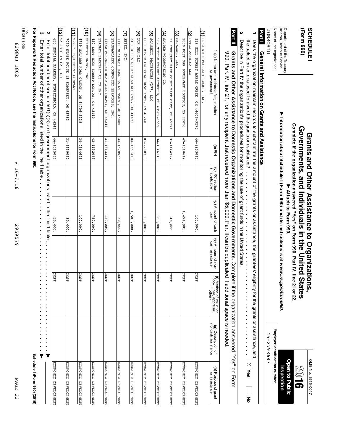| (Form 990)<br>SCHEDULE                                     |                                                                                                                                                                                                                                                                                                                                         |            |                                    | Complete if the organization answered "Yes" on Form 990, Part IV, line 21 or 22<br>Governments, and Individuals in the United<br>Grants and Other Assistance to Organizati |                                       | <b>States</b><br>ons,                                                                          |                                             | OMB No. 1545-0047<br><b>Open to Public</b><br><b>9108</b> |
|------------------------------------------------------------|-----------------------------------------------------------------------------------------------------------------------------------------------------------------------------------------------------------------------------------------------------------------------------------------------------------------------------------------|------------|------------------------------------|----------------------------------------------------------------------------------------------------------------------------------------------------------------------------|---------------------------------------|------------------------------------------------------------------------------------------------|---------------------------------------------|-----------------------------------------------------------|
| Department of the Treasury<br>Internal Revenue Service     | ▼                                                                                                                                                                                                                                                                                                                                       |            |                                    | Information about Schedule I (Form 990) and its instructions is at www.irs.gov/form990<br>Attach to Form 990.                                                              |                                       |                                                                                                |                                             | Inspection                                                |
| Name of the organization                                   |                                                                                                                                                                                                                                                                                                                                         |            |                                    |                                                                                                                                                                            |                                       |                                                                                                | Employer identification number              |                                                           |
| <b>JOBSOHIO</b>                                            |                                                                                                                                                                                                                                                                                                                                         |            |                                    |                                                                                                                                                                            |                                       |                                                                                                | 45-2798687                                  |                                                           |
| <b>Part1</b>                                               | General Information on Grants and Assistance                                                                                                                                                                                                                                                                                            |            |                                    |                                                                                                                                                                            |                                       |                                                                                                |                                             |                                                           |
|                                                            | the selection criteria used to award the grants or assistance?<br>Does the organization maintain records to substantiate the amount of the grants or assistance, the grantees' el                                                                                                                                                       |            |                                    |                                                                                                                                                                            |                                       |                                                                                                | igibility for the grants or assistance, and | $\times$<br>Yes<br>종                                      |
| N                                                          | Describe in Part IV the organization's procedures for monitoring the use of grant funds in the United States.                                                                                                                                                                                                                           |            |                                    | $\ddot{\phantom{0}}$                                                                                                                                                       |                                       |                                                                                                |                                             |                                                           |
| Part II                                                    | 990, Part IV, ineral Leap per Lease de than that the section of the completed on the section of the section of the section of the section of the section of the section of the section of $\sim$<br>Grants and Other Assistance to Domestic Organizations and Domestic Governments. Complete if the organization answered "Yes" on Form |            |                                    |                                                                                                                                                                            |                                       | if additional space is needed                                                                  |                                             |                                                           |
|                                                            |                                                                                                                                                                                                                                                                                                                                         | (b) EIN    | (c) IRC section<br>(if applicable) | (d) Amount of cash<br>grant                                                                                                                                                | (e) Amount of non-<br>cash assistance | <b>(f)</b> Method of valuation<br>(book, FMV, appraisal,<br>other)                             | (g) Description of<br>noncash assistance    | <b>(h)</b> Purpose of grant<br>or assistance              |
|                                                            | (a) Name and address of organization<br>or government                                                                                                                                                                                                                                                                                   |            |                                    |                                                                                                                                                                            |                                       |                                                                                                |                                             |                                                           |
| (1) PRECISION PRODUCTS GROUP, INC.                         |                                                                                                                                                                                                                                                                                                                                         |            |                                    |                                                                                                                                                                            |                                       |                                                                                                |                                             |                                                           |
|                                                            | 339 MILL STREET APPLE CREEK, OH 44606-9573                                                                                                                                                                                                                                                                                              | 46-2903016 |                                    | 100,000.                                                                                                                                                                   |                                       | COST                                                                                           |                                             | ECONOMIC DEVELOPMENT                                      |
| ত্র<br>PTTGC AMERICA LLC                                   |                                                                                                                                                                                                                                                                                                                                         |            |                                    |                                                                                                                                                                            |                                       |                                                                                                |                                             |                                                           |
| 2800 POST OAK BOULEVARD HOUSTON,                           | TX 77056                                                                                                                                                                                                                                                                                                                                | 47-4510612 |                                    | 1,451,981.                                                                                                                                                                 |                                       | S<br>្អ                                                                                        |                                             | <b>ECONOMIC</b><br>DEVELOPMENT                            |
| $(3)$ REPACORP, INC.                                       |                                                                                                                                                                                                                                                                                                                                         |            |                                    |                                                                                                                                                                            |                                       |                                                                                                |                                             |                                                           |
| 31 INDUSTRY PARK COURT TIPP CITY,                          | OH 45371                                                                                                                                                                                                                                                                                                                                | 31-1144772 |                                    | 40,000.                                                                                                                                                                    |                                       | COST                                                                                           |                                             | ECONOMIC DEVELOPMENT                                      |
| (4) SAUDER WOODWORKING CO.                                 |                                                                                                                                                                                                                                                                                                                                         |            |                                    |                                                                                                                                                                            |                                       |                                                                                                |                                             |                                                           |
|                                                            | 502 MIDDLE STREET ARCHBOLD, OH 43502-1559                                                                                                                                                                                                                                                                                               | 34-4346145 |                                    | 100,000.                                                                                                                                                                   |                                       | S<br>ξ                                                                                         |                                             | ECONOMIC DEVELOPMENT                                      |
| <u>j</u><br>SCANNELL PROPERTIES #277,                      | $\Gamma\Gamma C$                                                                                                                                                                                                                                                                                                                        |            |                                    |                                                                                                                                                                            |                                       |                                                                                                |                                             |                                                           |
| 8801 RIVER CROSSING BLVD INDY,                             | IN 46240                                                                                                                                                                                                                                                                                                                                | 81-2288733 |                                    | 100,000                                                                                                                                                                    |                                       | COST                                                                                           |                                             | ECONOMIC DEVELOPMENT                                      |
| $\widehat{\mathbf{e}}$<br>TOK ASY TTC                      |                                                                                                                                                                                                                                                                                                                                         |            |                                    |                                                                                                                                                                            |                                       |                                                                                                |                                             |                                                           |
| 3401 OLD AIRPORT ROAD WOOSTER,                             | DH 44691                                                                                                                                                                                                                                                                                                                                | 84-1651449 |                                    | 1,500,000.                                                                                                                                                                 |                                       | co:<br>្អ                                                                                      |                                             | ECONOMIC DEVELOPMENT                                      |
| ₿<br>SETEX, INC                                            |                                                                                                                                                                                                                                                                                                                                         |            |                                    |                                                                                                                                                                            |                                       |                                                                                                |                                             |                                                           |
| 1111 MCKINLEY ROAD SAINT MARYS,                            | OH 45885                                                                                                                                                                                                                                                                                                                                | 34-1570556 |                                    | 30,000.                                                                                                                                                                    |                                       | co:<br>2                                                                                       |                                             | ECONOMIC DEVELOPMENT                                      |
| $\widehat{\mathbf{e}}$<br>STANDARDAERO COMPONENT SERVICES, | INC.                                                                                                                                                                                                                                                                                                                                    |            |                                    |                                                                                                                                                                            |                                       |                                                                                                |                                             |                                                           |
|                                                            | 11550 MOSTELLER ROAD CINCINNATI, OH 45241                                                                                                                                                                                                                                                                                               | 31-1813317 |                                    | 120,000.                                                                                                                                                                   |                                       | S<br>្អ                                                                                        |                                             | <b>ECONOMIC</b><br><b>DEVELOPMENT</b>                     |
| ම<br>STANLEY ELECTRIC US CO INC                            |                                                                                                                                                                                                                                                                                                                                         |            |                                    |                                                                                                                                                                            |                                       |                                                                                                |                                             |                                                           |
| 420 EAST HIGH STREET LONDON,                               | OF 43140                                                                                                                                                                                                                                                                                                                                | 43-1192063 |                                    | 750,000.                                                                                                                                                                   |                                       | cosr                                                                                           |                                             | ECONOMIC DEVELOPMENT                                      |
| $\widehat{\mathsf{E}}$<br>SUPERIOR DAIRY,<br><b>INC</b>    |                                                                                                                                                                                                                                                                                                                                         |            |                                    |                                                                                                                                                                            |                                       |                                                                                                |                                             |                                                           |
|                                                            | 4719 NAVARRE ROAD CANTON, OH 44706-2338                                                                                                                                                                                                                                                                                                 | 34-0564691 |                                    | 100,000.                                                                                                                                                                   |                                       | COST                                                                                           |                                             | ECONOMIC DEVELOPMENT                                      |
| ίij<br>T.N.T. EQUIPMENT COMPANY                            |                                                                                                                                                                                                                                                                                                                                         |            |                                    |                                                                                                                                                                            |                                       |                                                                                                |                                             |                                                           |
| 7070 STATE ROUTE 13 SOMERSET,                              | $\overline{a}$<br>43783                                                                                                                                                                                                                                                                                                                 | 31-1119067 |                                    | 30,000                                                                                                                                                                     |                                       | co:<br>ξ                                                                                       |                                             | ECONOMIC DEVELOPMENT                                      |
| ί2)<br><b>TALIS</b><br>CLINICAL,<br>DLI                    |                                                                                                                                                                                                                                                                                                                                         |            |                                    |                                                                                                                                                                            |                                       |                                                                                                |                                             |                                                           |
|                                                            | 650 MONDIAL PARKWAY, STREETSBORO, OH 44241                                                                                                                                                                                                                                                                                              | 46-1515066 |                                    | 50,000.                                                                                                                                                                    |                                       | $\overline{5}$<br>ΣŢ                                                                           |                                             | ECONOMIC DEVELOPMENT                                      |
| Z                                                          | Enter total number of section 501(c)(3) and government organizations listed in the line 1 table                                                                                                                                                                                                                                         |            |                                    |                                                                                                                                                                            | $\blacksquare$                        | $\blacksquare$<br>$\blacksquare$<br>$\blacksquare$<br>$\bullet$<br>$\blacksquare$<br>$\bullet$ | $\bullet$<br>$\bullet$<br>▼                 |                                                           |
| ω                                                          | Enter total number of other organizations listed in the line 1 table                                                                                                                                                                                                                                                                    |            |                                    |                                                                                                                                                                            |                                       |                                                                                                |                                             |                                                           |
|                                                            | For Paperwork Reduction Act Notice, see the Instructions for Form 990                                                                                                                                                                                                                                                                   |            |                                    |                                                                                                                                                                            |                                       |                                                                                                |                                             | Schedule I (Form 990) (2016)                              |
| JSA<br>6E1288 1.000                                        |                                                                                                                                                                                                                                                                                                                                         |            |                                    |                                                                                                                                                                            |                                       |                                                                                                |                                             |                                                           |
|                                                            |                                                                                                                                                                                                                                                                                                                                         |            |                                    |                                                                                                                                                                            |                                       |                                                                                                |                                             |                                                           |

V 16-7.16 V 16-7.16

2959579

2959579

**PAGE 33** PAGE 33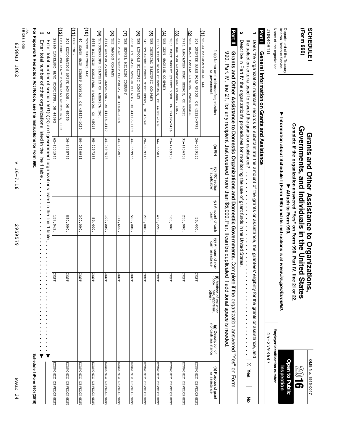| (Form 990)<br><b>SCHEDULE</b>                                           |                                                                                                                                                                                                                                                                                                                                                                      |                              |                                                              | Complete if the organization answered "Yes" on Form 990, Part IV, line 21 or 22<br>Governments, and Individuals in the United<br>Grants and Other Assistance to Organizations, |                                       | States                                                                                  |                                             | OMB No. 1545-0047<br>$\mathbb{Z}^{0}$<br>5 |
|-------------------------------------------------------------------------|----------------------------------------------------------------------------------------------------------------------------------------------------------------------------------------------------------------------------------------------------------------------------------------------------------------------------------------------------------------------|------------------------------|--------------------------------------------------------------|--------------------------------------------------------------------------------------------------------------------------------------------------------------------------------|---------------------------------------|-----------------------------------------------------------------------------------------|---------------------------------------------|--------------------------------------------|
| Department of the Treasury<br>Internal Revenue Service                  |                                                                                                                                                                                                                                                                                                                                                                      |                              |                                                              | ▶ Attach to Form 990.                                                                                                                                                          |                                       | Information about Schedule I (Form 990) and its instructions is at www.irs.gov/form990. |                                             | Open to Public<br>Inspection               |
| Name of the organization                                                |                                                                                                                                                                                                                                                                                                                                                                      |                              |                                                              |                                                                                                                                                                                |                                       |                                                                                         | Employer identification number              |                                            |
| JOBSOHIO<br><b>Part1</b>                                                | General Information on Grants and Assistance                                                                                                                                                                                                                                                                                                                         |                              |                                                              |                                                                                                                                                                                |                                       |                                                                                         | 45-2798687                                  |                                            |
|                                                                         | Does the organization maintain records to substantiate the amount of the grants or assistance, the grantees el                                                                                                                                                                                                                                                       |                              |                                                              |                                                                                                                                                                                |                                       |                                                                                         | igibility for the grants or assistance, and | $\times$                                   |
| N                                                                       | Description that IV the organization's procedures for monitoring the use of grant funds in the United States.<br>the selection criteria used to award the grants or assistance?                                                                                                                                                                                      |                              | $\begin{array}{c} \bullet \\ \bullet \\ \bullet \end{array}$ | $\ddot{\cdot}$                                                                                                                                                                 | $\frac{1}{2}$                         | $\ddot{\phantom{1}}$<br>$\blacksquare$<br>i,                                            | $\blacksquare$                              | Yes<br>종                                   |
| <b>Part II</b>                                                          | 990, Part IV, inea 1, tor and least of the term of the term of the sequence of the state of the state of the state of the state of the state of the state of the state of the state of the state of the state of the state of<br>Grants and Other Assistance to Domestic Organizations and Domestic Governments. Complete if the organization answered "Yes" on Form |                              |                                                              |                                                                                                                                                                                |                                       | if additional space is needed                                                           |                                             |                                            |
|                                                                         | (a) Name and address of organization<br>or government                                                                                                                                                                                                                                                                                                                | $\mathbf{a}$ in $\mathbf{b}$ | (c) IRC section<br>(if applicable)                           | (d) Amount of cash<br>qrant                                                                                                                                                    | (e) Amount of non-<br>cash assistance | <b>(f)</b> Method of valuation<br>(book, FMV, appraisal,<br>other)                      | (g) Description of<br>noncash assistance    | (h) Purpose of grant<br>or assistance      |
| (1) TE-CO MANUFACTURING LLC                                             |                                                                                                                                                                                                                                                                                                                                                                      |                              |                                                              |                                                                                                                                                                                |                                       |                                                                                         |                                             |                                            |
|                                                                         | 109 QUINTER FARM ROAD UNION, OH 45322-9796                                                                                                                                                                                                                                                                                                                           | 26-0349166                   |                                                              | 50,000.                                                                                                                                                                        |                                       | COST                                                                                    |                                             | ECONOMIC DEVELOPMENT                       |
| (2) THE BLACK FAMILY LIMITED PARTNERSHIP                                |                                                                                                                                                                                                                                                                                                                                                                      |                              |                                                              |                                                                                                                                                                                |                                       |                                                                                         |                                             |                                            |
| 1116                                                                    | LANCASTER ROAD HEBRON, OH 43025                                                                                                                                                                                                                                                                                                                                      | 31-1456357                   |                                                              | 250,000                                                                                                                                                                        |                                       | cosr                                                                                    |                                             | ECONOMIC DEVELOPMENT                       |
| $\widehat{\boldsymbol{\omega}}$<br>THE BON-TON DEPARTMENT STORES, INC.  |                                                                                                                                                                                                                                                                                                                                                                      |                              |                                                              |                                                                                                                                                                                |                                       |                                                                                         |                                             |                                            |
|                                                                         | 2801 EAST MARKET STREET YORK, PA 17402-2406                                                                                                                                                                                                                                                                                                                          | 23-1269309                   |                                                              | 100,000                                                                                                                                                                        |                                       | COST                                                                                    |                                             | ECONOMIC DEVELOPMENT                       |
| E<br>THE GENT MACHINE COMPANY                                           |                                                                                                                                                                                                                                                                                                                                                                      |                              |                                                              |                                                                                                                                                                                |                                       |                                                                                         |                                             |                                            |
| 12315 KIRBY ROAD CLEVELAND,                                             | OH 44108-1616                                                                                                                                                                                                                                                                                                                                                        | 34-0655810                   |                                                              | 423,228                                                                                                                                                                        |                                       | COST                                                                                    |                                             | ECONOMIC DEVELOPMENT                       |
| ত্র<br>THE IMPERIAL ELECTRIC COMPANY<br>345 SYCAMORE STREET MIDDLEPORT, | OH 45760                                                                                                                                                                                                                                                                                                                                                             | 20-5839715                   |                                                              | 200,000.                                                                                                                                                                       |                                       | cosr                                                                                    |                                             | ECONOMIC DEVELOPMENT                       |
| (6) THE LINCOLN ELECTRIC COMPANY                                        |                                                                                                                                                                                                                                                                                                                                                                      |                              |                                                              |                                                                                                                                                                                |                                       |                                                                                         |                                             |                                            |
| 22801 ST CLAIR AVENUE EUCLID,                                           | OH 44117-1199                                                                                                                                                                                                                                                                                                                                                        | 34-0359955                   |                                                              | 500,000                                                                                                                                                                        |                                       | COST                                                                                    |                                             | ECONOMIC DEVELOPMENT                       |
| $(7)$ THE MENNEL MILLING COMPANY                                        |                                                                                                                                                                                                                                                                                                                                                                      |                              |                                                              |                                                                                                                                                                                |                                       |                                                                                         |                                             |                                            |
|                                                                         | 319 VINE STREET FOSTORIA, OH 44830-2315                                                                                                                                                                                                                                                                                                                              | 34-4302060                   |                                                              | 174,640.                                                                                                                                                                       |                                       | COST                                                                                    |                                             | ECONOMIC DEVELOPMENT                       |
| (8) THE SANSON COMPANY                                                  |                                                                                                                                                                                                                                                                                                                                                                      |                              |                                                              |                                                                                                                                                                                |                                       |                                                                                         |                                             |                                            |
| 3716 CROTON AVENUE CLEVELAND,                                           | OH 44115-3417                                                                                                                                                                                                                                                                                                                                                        | 34-0697598                   |                                                              | 100,000                                                                                                                                                                        |                                       | COST                                                                                    |                                             | <b>ECONOMIC</b><br>DEVELOPMENT             |
| ම                                                                       | THYSSENKRUPP BILSTEIN OF AMERICA INC                                                                                                                                                                                                                                                                                                                                 |                              |                                                              |                                                                                                                                                                                |                                       |                                                                                         |                                             |                                            |
|                                                                         | 8685 BILSTEIN BOULEVARD HAMILTON, OH 45015                                                                                                                                                                                                                                                                                                                           | 95-2797355                   |                                                              | 50,000.                                                                                                                                                                        |                                       | COST                                                                                    |                                             | ECONOMIC DEVELOPMENT                       |
| (10) TOWER PARTNERS LLC                                                 |                                                                                                                                                                                                                                                                                                                                                                      |                              |                                                              |                                                                                                                                                                                |                                       |                                                                                         |                                             |                                            |
| 40 NORTH MAIN STREET DAYTON,                                            | OH 45423-1020                                                                                                                                                                                                                                                                                                                                                        | 1160180-08                   |                                                              | 300,000                                                                                                                                                                        |                                       | <b>COST</b>                                                                             |                                             | <b>ECONOMIC</b><br><b>DEVELOPMENT</b>      |
| $(11)$ ugn $\sum$                                                       |                                                                                                                                                                                                                                                                                                                                                                      |                              |                                                              |                                                                                                                                                                                |                                       |                                                                                         |                                             |                                            |
|                                                                         | 201 EXPLORATION DRIVE MONROE, OH 45050                                                                                                                                                                                                                                                                                                                               | 36-3435795                   |                                                              | 850,000                                                                                                                                                                        |                                       | COST                                                                                    |                                             | ECONOMIC DEVELOPMENT                       |
| ί                                                                       | UMICORE SPECIALTY MATERIALS RECYCLING, LLC                                                                                                                                                                                                                                                                                                                           |                              |                                                              |                                                                                                                                                                                |                                       |                                                                                         |                                             |                                            |
| 28960 LAKELAND BLVD WICKLIFFE,                                          | OH 44092                                                                                                                                                                                                                                                                                                                                                             | 62-1551944                   |                                                              | 157,043.                                                                                                                                                                       |                                       | co:<br>¥                                                                                |                                             | ECONOMIC DEVELOPMENT                       |
| ယ လ                                                                     | Enter total number of section 501(c)(c) a nd government organizations listed in the line 1 table                                                                                                                                                                                                                                                                     |                              |                                                              |                                                                                                                                                                                | ×                                     | ×<br>×<br>ä<br>×<br>×<br>×<br>×<br>$\blacksquare$<br>×<br>×                             | ×<br>$\blacksquare$<br>×<br>×<br>▼          |                                            |
|                                                                         | Enter total number of other organizations listed in the line 1 table                                                                                                                                                                                                                                                                                                 |                              |                                                              |                                                                                                                                                                                |                                       | $\blacksquare$                                                                          |                                             |                                            |
|                                                                         | For Paperwork Reduction Act Notice, see the Instructions for Form 990                                                                                                                                                                                                                                                                                                |                              |                                                              |                                                                                                                                                                                |                                       |                                                                                         |                                             | Schedule I (Form 990) (2016)               |
| JSA<br>6E1288 1.000                                                     |                                                                                                                                                                                                                                                                                                                                                                      |                              |                                                              |                                                                                                                                                                                |                                       |                                                                                         |                                             |                                            |
|                                                                         |                                                                                                                                                                                                                                                                                                                                                                      |                              |                                                              |                                                                                                                                                                                |                                       |                                                                                         |                                             |                                            |

V 16-7.16

V 16-7.16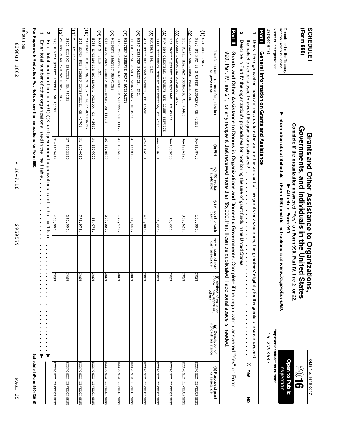| PAGE 35                      |             | 2959579                                       | V 16-7.16       |           |
|------------------------------|-------------|-----------------------------------------------|-----------------|-----------|
| Schedule I (Form 990) (2016) |             |                                               |                 | Form 990. |
|                              |             |                                               | ne line 1 taple |           |
|                              |             | nent organizations listed in the line 1 taple |                 |           |
| ECONOMIC DEVELOPMENT         | cost        | 400,000.                                      |                 | 15612     |
| ECONOMIC DEVELOPMENT         | <b>COST</b> | 250,000.                                      |                 | 2150      |
| ECONOMIC DEVELOPMENT         | <b>COST</b> | 775,976.                                      |                 | 0800      |
| ECONOMIC DEVELOPMENT         | cost        | 55,075.                                       |                 | 16029     |
| ECONOMIC DEVELOPMENT         | costr       | 200,000.                                      |                 | 0088      |
| ECONOMIC DEVELOPMENT         | <b>COST</b> | 199,478.                                      |                 | 86662     |
| ECONOMIC DEVELOPMENT         | cost        | 30,000.                                       |                 | 66101     |
| ECONOMIC DEVELOPMENT         | costr       | 400,000.                                      |                 | 10591     |

| N<br>Describe in Part IV the organization's procedures for monitoring the use of grant funds in the United States<br>the selection criteria used to award the grants or assistance?                                                                                                                                                        |            |                                    |                             |                                       |                                                             | ċ                                             | <b>X</b> yes<br>ᅙ                     |
|--------------------------------------------------------------------------------------------------------------------------------------------------------------------------------------------------------------------------------------------------------------------------------------------------------------------------------------------|------------|------------------------------------|-----------------------------|---------------------------------------|-------------------------------------------------------------|-----------------------------------------------|---------------------------------------|
| <b>Part II</b><br>Grants and Other Assistance to Domestic Organizations and Domestic Governments. Comple<br>990, Part IV, line addinated that the series of the series of the series of the series of the series of the series of the series of the series of the series of the series of the series of the series of the series of the se |            |                                    |                             |                                       | f additional space is needed.                               | te if the organization answered "Yes" on Lorm |                                       |
| 1 (a) Name and address of organization<br>or government                                                                                                                                                                                                                                                                                    | (b) EIN    | (c) IRC section<br>(if applicable) | (d) Amount of cash<br>grant | (e) Amount of non-<br>cash assistance | (f) Method of valuation<br>(book, FMV, appraisal,<br>other) | (g) Description of<br>noncash assistance      | (h) Purpose of grant<br>or assistance |
| (1) UNI-GRIP INC                                                                                                                                                                                                                                                                                                                           |            |                                    |                             |                                       |                                                             |                                               |                                       |
| 823<br>ST KWH TR<br>N UPPER SANDUSKY,<br>$\overline{B}$<br>43351                                                                                                                                                                                                                                                                           | 34-1108705 |                                    | 100,000.                    |                                       | <b>COST</b>                                                 |                                               | ECONOMIC DEVELOPMENT                  |
| (2) VELUSCEK AND HEBAN PROPERTIES                                                                                                                                                                                                                                                                                                          |            |                                    |                             |                                       |                                                             |                                               |                                       |
| 200 DIXIE HIGHWAY ROSSFORD, OH 43460                                                                                                                                                                                                                                                                                                       | 34-1776126 |                                    | 307,622.                    |                                       | cost                                                        |                                               | ECONOMIC DEVELOPMENT                  |
| $(3)$ venture<br>PACKAGING MIDWEST,<br>INC                                                                                                                                                                                                                                                                                                 |            |                                    |                             |                                       |                                                             |                                               |                                       |
| 101 OAKLEY STREET EVANSVILLE, IN 47710                                                                                                                                                                                                                                                                                                     | 34-1809003 |                                    | 45,000.                     |                                       | cosu                                                        |                                               | ECONOMIC DEVELOPMENT                  |
| (4) W&W DRY CLEANERS, LAUNDRY AND LINEN SERVICE                                                                                                                                                                                                                                                                                            |            |                                    |                             |                                       |                                                             |                                               |                                       |
| 1440 JEFFERSON STREET GREENFIELD, OH 45123                                                                                                                                                                                                                                                                                                 | 46-5690691 |                                    | 50,000.                     |                                       | cos                                                         |                                               | ECONOMIC DEVELOPMENT                  |
| (5) MAVERLY 3PL,<br>DTI                                                                                                                                                                                                                                                                                                                    |            |                                    |                             |                                       |                                                             |                                               |                                       |
| 424 HOPEWELL ROAD WAVERLY,<br>$\Omega$<br>45690                                                                                                                                                                                                                                                                                            | 47-1846501 |                                    | 400,000.                    |                                       | cos                                                         |                                               | ECONOMIC DEVELOPMENT                  |
| (6) WEST CHESTER HOLDINGS,<br>INC.                                                                                                                                                                                                                                                                                                         |            |                                    |                             |                                       |                                                             |                                               |                                       |
| 11500 CANAL ROAD SHARONVILLE,<br>$\overline{H}$<br>45241                                                                                                                                                                                                                                                                                   | 31-1440199 |                                    | 30,000                      |                                       | $\overline{\text{cos}}$                                     |                                               | ECONOMIC DEVELOPMENT                  |
| (7) WESTERN RESERVE PORT AUTHORITY                                                                                                                                                                                                                                                                                                         |            |                                    |                             |                                       |                                                             |                                               |                                       |
| 1453 YOUNGSTWN KINGSVLE RD VIENNA, OH 44473                                                                                                                                                                                                                                                                                                | 34-1696662 |                                    | 199,478.                    |                                       | cos                                                         |                                               | ECONOMIC DEVELOPMENT                  |
| (8) MILBERT PLASTIC<br>SERVICES                                                                                                                                                                                                                                                                                                            |            |                                    |                             |                                       |                                                             |                                               |                                       |
| 635 SOUTHWEST STREET BELLEVUE, OH 44811                                                                                                                                                                                                                                                                                                    | 36-1178800 |                                    | 200,000.                    |                                       | cos                                                         |                                               | ECONOMIC DEVELOPMENT                  |
| (9) WRAP N' SHIP, INC                                                                                                                                                                                                                                                                                                                      |            |                                    |                             |                                       |                                                             |                                               |                                       |
| 5055<br>ENTERPRISE BOULEVARD TOLEDO,<br>OH 43612                                                                                                                                                                                                                                                                                           | 34-1376029 |                                    | 55,075                      |                                       | cost                                                        |                                               | ECONOMIC DEVELOPMENT                  |
| (10) ZANESVILLE MUSKINSUM COUNTY PORT AUTHORITY                                                                                                                                                                                                                                                                                            |            |                                    |                             |                                       |                                                             |                                               |                                       |
| 205 NORTH STREET ZANESVILLE, OH 43701                                                                                                                                                                                                                                                                                                      | 31-6400080 |                                    | 775,976.                    |                                       | cosu                                                        |                                               | ECONOMIC DEVELOPMENT                  |
| $NITATT1$ (11)                                                                                                                                                                                                                                                                                                                             |            |                                    |                             |                                       |                                                             |                                               |                                       |
| 2601 ELLIOT SEATTLE,<br>WN<br>12186                                                                                                                                                                                                                                                                                                        | 27-1202150 |                                    | 250,000.                    |                                       | cos                                                         |                                               | ECONOMIC DEVELOPMENT                  |
| (12) ATHENS MOLD AND MACHINE, INC                                                                                                                                                                                                                                                                                                          |            |                                    |                             |                                       |                                                             |                                               |                                       |
| 180 R MILL STREET ATHENS, OH 4570:                                                                                                                                                                                                                                                                                                         | 31-1145612 |                                    | 400,000.                    |                                       | cosu                                                        |                                               | ECONOMIC DEVELOPMENT                  |
| Z<br>Enter total<br>number of section 501(c)(3) and government organizations listed in the line 1 table                                                                                                                                                                                                                                    |            |                                    |                             |                                       |                                                             |                                               |                                       |
| ω<br>mater total number of other organizations listed in the line 1 table.                                                                                                                                                                                                                                                                 |            |                                    | ä,                          |                                       |                                                             |                                               |                                       |

o<br>S No.

À $\circledcirc$ 

**Open to**

**Inspection**

Inspection

**Employer**

**identification**

45-2798687

45-2798687

**number**

 $1545-0047$  **Subsequently and**  $1545-0047$  **is the sequence of**  $1545-0047$  **is the sequence of**  $1545-0047$  **is the sequence of**  $1545-0047$  **is the sequence of**  $1545-0047$  **is the sequence of**  $1545-0047$  **is the sequence of 1545** 

**Assistance**

**to**

**Organizations,**

**Grants**

**Governments,**

**and**

**Individuals**

**Attach to Form** ■ Attach to Form 990.

**Port of the Treasury Nitach to Form 990.**<br>Department of the Treasury Nitach to Department of the Treasury of the Treasury of the Treasury of the Treasury

Complete if the organization answered "Yes" on Form 990, Part IV, line 21 or 22.

**in the**

**United**

 $\epsilon$  Governments, and individuals in the United States  $\mathbb{Z}_0$   $\mathbf{16}$ 

**States**

**and**

**Other**

**(Form**

Internal

Name of the

JOBSOHIO

**JOBSOHIO** 

organization

**General**

**1**

Does ទី

organization

maintain

records

to

substantiate

the

amount

q ទី

grants or

assistance,

ទី

grantees'

eligibility

for ទី grants or

assistance,

an<br>B

**Information**

**on**

**Barrie General International Massistance**<br>**Party in Particular States and Particular States in Party Center** 

**Grants**

**and**

Revenue

Service

 $\blacktriangledown$ 

**Information**

**about**

**Schedule**

**I (Form**

**990) and its**

**instructions**

**is at**

*www.irs.gov/form990***.**

**990)**

SCHEDULE<sup>1</sup>

JSA 6E1288

**For**

**Paperwork**

**Reduction**

**Act**

**Notice,**

**see the**

**Instructions**

**for**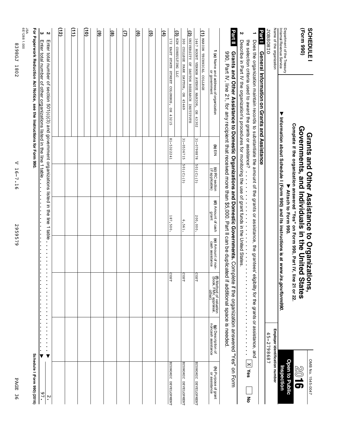| PAGE<br>96                                         |                                              |                                                           | 2959579                                                                 |                                                                                                                                                                                  | ≺<br>$16 - 7.16$                   |            |                                                                                                                                                                                                                                                                                                                                              | JSA<br>6E1288 1.000<br>8398GL<br>1802                  |
|----------------------------------------------------|----------------------------------------------|-----------------------------------------------------------|-------------------------------------------------------------------------|----------------------------------------------------------------------------------------------------------------------------------------------------------------------------------|------------------------------------|------------|----------------------------------------------------------------------------------------------------------------------------------------------------------------------------------------------------------------------------------------------------------------------------------------------------------------------------------------------|--------------------------------------------------------|
| Schedule I (Form 990) (2016)                       |                                              |                                                           |                                                                         |                                                                                                                                                                                  |                                    |            | For Paperwork Reduction and the linstructions for Dan 200.                                                                                                                                                                                                                                                                                   |                                                        |
| 97.                                                |                                              |                                                           |                                                                         |                                                                                                                                                                                  |                                    |            | Enter total number of other organizations listed in the line 1 table                                                                                                                                                                                                                                                                         | ω                                                      |
| $\ddot{\phantom{0}}$                               | ▼                                            |                                                           |                                                                         |                                                                                                                                                                                  |                                    |            | Enter total number of section 501(c)(3) and government organizations listed in the line 1 table                                                                                                                                                                                                                                              | Z                                                      |
|                                                    |                                              |                                                           |                                                                         |                                                                                                                                                                                  |                                    |            |                                                                                                                                                                                                                                                                                                                                              | (12                                                    |
|                                                    |                                              |                                                           |                                                                         |                                                                                                                                                                                  |                                    |            |                                                                                                                                                                                                                                                                                                                                              | 冝                                                      |
|                                                    |                                              |                                                           |                                                                         |                                                                                                                                                                                  |                                    |            |                                                                                                                                                                                                                                                                                                                                              | Θ                                                      |
|                                                    |                                              |                                                           |                                                                         |                                                                                                                                                                                  |                                    |            |                                                                                                                                                                                                                                                                                                                                              | ම                                                      |
|                                                    |                                              |                                                           |                                                                         |                                                                                                                                                                                  |                                    |            |                                                                                                                                                                                                                                                                                                                                              | ම                                                      |
|                                                    |                                              |                                                           |                                                                         |                                                                                                                                                                                  |                                    |            |                                                                                                                                                                                                                                                                                                                                              | Θ                                                      |
|                                                    |                                              |                                                           |                                                                         |                                                                                                                                                                                  |                                    |            |                                                                                                                                                                                                                                                                                                                                              | ම                                                      |
|                                                    |                                              |                                                           |                                                                         |                                                                                                                                                                                  |                                    |            |                                                                                                                                                                                                                                                                                                                                              | তি                                                     |
|                                                    |                                              |                                                           |                                                                         |                                                                                                                                                                                  |                                    |            |                                                                                                                                                                                                                                                                                                                                              | Ð                                                      |
| ECONOMIC DEVELOPMENT                               |                                              | COST                                                      |                                                                         | 187,500.                                                                                                                                                                         |                                    | 81-5322241 | 172 EAST STATE STREET COLUMBUS, OH 43215                                                                                                                                                                                                                                                                                                     | (3) HZW CONSULTING LLC                                 |
|                                                    |                                              |                                                           |                                                                         |                                                                                                                                                                                  |                                    |            |                                                                                                                                                                                                                                                                                                                                              |                                                        |
| ECONOMIC DEVELOPMENT                               |                                              | COST                                                      |                                                                         | 6,561.                                                                                                                                                                           | 501(C)(3)                          | 31-0536715 | (2) UNIVERSITY OF DAYTON RESEARCH INSTITUTE<br>OH 45469                                                                                                                                                                                                                                                                                      | 300<br>COLLEGE PARK DAYTON,                            |
| ECONOMIC DEVELOPMENT                               |                                              | cost                                                      |                                                                         | 200,000                                                                                                                                                                          | 501(C)(3)                          | 31-0798878 | 1467 MOUNT VERNON AVENUE MARION, OH 43302                                                                                                                                                                                                                                                                                                    | (1) MARION TECHNICAL COLLEGE                           |
| (h) Purpose of grant<br>or assistance              | (g) Description of<br>noncash assistance     | f) Method of valuation<br>book, FMV, appraisal,<br>other) | (e) Amount of non-<br>cash assistance                                   | (d) Amount of cash<br>grant                                                                                                                                                      | (c) IRC section<br>(if applicable) | $(d)$ EIN  | 1 (a) Name and address of organization<br>or government                                                                                                                                                                                                                                                                                      |                                                        |
|                                                    |                                              | if additional space is needed.                            |                                                                         |                                                                                                                                                                                  |                                    |            | Grants and Other Assistance to Domestic Organizations and Domestic Governments. Complete if the organization answered "Yes" on Form<br>990, Part IV, inea 1, tor and least 1 can be the term of the form of the construct of the 2.1, the 2.1, incert                                                                                        | Part II                                                |
| $X$ yes<br>ᅙ                                       |                                              |                                                           | $\begin{array}{c} \bullet \\ \bullet \\ \bullet \\ \bullet \end{array}$ |                                                                                                                                                                                  |                                    |            | Does the organization maintain records to substantiate the amount of the grants or assistance, the grantees eligibility for the grants or assistance, and<br>the selection criteria used to award the grants or assistance?<br>Describe in Part IV the organization's procedures for monitoring the use of grant funds in the United States. | ∸<br>N                                                 |
|                                                    |                                              |                                                           |                                                                         |                                                                                                                                                                                  |                                    |            | General Information on Grants and Assistance                                                                                                                                                                                                                                                                                                 | Part <sup>1</sup>                                      |
|                                                    | Employer identification number<br>45-2798687 |                                                           |                                                                         |                                                                                                                                                                                  |                                    |            |                                                                                                                                                                                                                                                                                                                                              | Name of the organization<br><b>JOBSOHIO</b>            |
| Inspection                                         |                                              |                                                           |                                                                         | ▶ Information about Schedule I (Form 990) and its instructions is at <i>www.irs.gov/form990</i> .<br>Attach to Form 990.                                                         |                                    |            |                                                                                                                                                                                                                                                                                                                                              | Internal Revenue Service<br>Department of the Treasury |
| OMB No. 1545-0047<br>Open to Public<br><b>9102</b> |                                              | <b>States</b>                                             |                                                                         | Complete if the organization answered "Yes" on Form 990, Part IV, line 21 or 22.<br>Governments, and Individuals in the United<br>Grants and Otrour Assistance to Organizations, |                                    |            |                                                                                                                                                                                                                                                                                                                                              | (Form 990)<br>SCHEDULE I                               |
|                                                    |                                              |                                                           |                                                                         |                                                                                                                                                                                  |                                    |            |                                                                                                                                                                                                                                                                                                                                              |                                                        |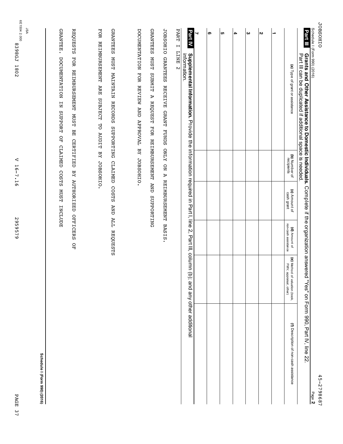V 16-7.16

V 16-7.16

8398GJ 1802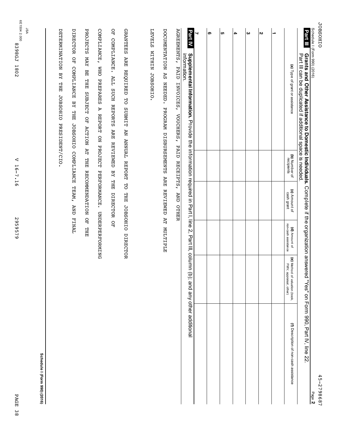| Schedule I (Form 990) (2016)<br>Part III<br>Grants and Other Assistance to Domestic Individuals.<br>Part III can be duplicated it additional space is needed. |                               |                                     |                                      |                                                          | Complete if the organization answered "Yes" on Form 990, Part IV, line 22<br>Page 2 |
|---------------------------------------------------------------------------------------------------------------------------------------------------------------|-------------------------------|-------------------------------------|--------------------------------------|----------------------------------------------------------|-------------------------------------------------------------------------------------|
| (a) Type of grant or assistance                                                                                                                               | (b) Number of<br>recipients   | (c) Amount of<br>cash grant         | non-cash assistance<br>(d) Amount of | (e) Method of valuation (book,<br>FMV, appraisal, other) | (f) Description of non-cash assistance                                              |
| ∸                                                                                                                                                             |                               |                                     |                                      |                                                          |                                                                                     |
| $\mathbf{v}$                                                                                                                                                  |                               |                                     |                                      |                                                          |                                                                                     |
| $\boldsymbol{\omega}$                                                                                                                                         |                               |                                     |                                      |                                                          |                                                                                     |
| 4                                                                                                                                                             |                               |                                     |                                      |                                                          |                                                                                     |
| <b>UT</b>                                                                                                                                                     |                               |                                     |                                      |                                                          |                                                                                     |
| ၜ                                                                                                                                                             |                               |                                     |                                      |                                                          |                                                                                     |
| ⇃                                                                                                                                                             |                               |                                     |                                      |                                                          |                                                                                     |
| <b>Part IV</b><br>information.<br>Supplemental Information. The article in Part I, line 2 and interview in Part I, line 2, Part III, colom                    |                               |                                     |                                      |                                                          | b); and any other additional                                                        |
| <b>AGREMENTS,</b><br>DOCUMENTATION<br>PAID<br>$\mathbb{R}^{\mathbb{S}}$<br>NEEDED.<br>INVOICES, VOUCHERS, PAID RECEIPTS, AND OTHER<br>PROGRAM DISBURSEMENTS   | <b>ARE</b>                    | <b>REVIEWED</b>                     | <b>AT MULTIPLE</b>                   |                                                          |                                                                                     |
| <b>LEVELS</b><br><b>NIHILM</b><br>JOBSOHIO.                                                                                                                   |                               |                                     |                                      |                                                          |                                                                                     |
| <b>GRANTEES</b><br><b>ARE</b><br><b>REQUIRED</b><br>50<br><b>SUBMIT</b>                                                                                       | AN ANNUAL REPORT              | 5O<br><b>THE</b><br><b>JOBSOHIO</b> | DIRECTOR                             |                                                          |                                                                                     |
| OF COMPLIANCE.<br>ALL SUCH REPORTS<br><b>ARE REVIEWED</b>                                                                                                     | BY THE                        | DIRECTOR                            | å                                    |                                                          |                                                                                     |
| COMPLIANCE,<br><b>OHM</b><br>PREPARES<br>A<br><b>REPORT</b><br>$\overline{a}$                                                                                 | <b>PROJECT</b>                | PERFORMANCE.                        | <b>UNDERPERPONING</b>                |                                                          |                                                                                     |
| <b>PROJECTS</b><br>YAN<br>멻<br><b>THE</b><br><b>SUBJECT</b><br>å<br><b>ACTION AT</b>                                                                          | THE                           | <b>RECOMMENDATION</b>               | å<br><b>THE</b>                      |                                                          |                                                                                     |
| <b>DIRECTOR</b><br>្អ<br>អ្<br>COMPLIANCE<br>$\overline{M}$<br><b>THE</b>                                                                                     | JOBSOHIO COMPLIANCE TEAM, AND |                                     | <b>FINNLE</b>                        |                                                          |                                                                                     |
| DETERMINATION<br>$\overline{AB}$<br><b>THE</b><br><b>JOBSOHIO</b><br>PRESIDENT/CIO.                                                                           |                               |                                     |                                      |                                                          |                                                                                     |
|                                                                                                                                                               |                               |                                     |                                      |                                                          | Schedule I (Form 990) (2016)                                                        |

2959579 2959579

V 16-7.16

V 16-7.16

6E1504 2.000

8398GJ 1802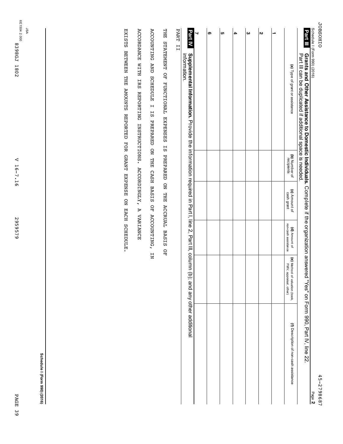|         | ↵<br>ப<br>ı<br>N<br>◡         |
|---------|-------------------------------|
| ള്<br>N | ص<br>$^\infty$<br>σ<br>∞<br>◡ |

| ¢<br>I<br>İ<br>t<br>3 |  |
|-----------------------|--|
|                       |  |

| ouledule<br>Į<br>ı                            |  |
|-----------------------------------------------|--|
| י הייי ה<br>π<br>I<br>١<br>j                  |  |
| $\frac{1}{2}$<br>١<br>$\frac{1}{2}$<br>b<br>١ |  |
|                                               |  |
|                                               |  |
|                                               |  |

| - A H H A H A A A A A H A H A A H A A H A H A H A H A A H A H A H A H A H A H A H A H A H A H A H A H A H A H A<br>ロコーポ ミッシュ・ショップ | <b>Part III</b> Grants and Other Assistance to Domestic projection if the computer of the computation and Other Assistance of the computation of the computation of the computation of the computation and Other Assistance of $\sim$ |
|-----------------------------------------------------------------------------------------------------------------------------------|---------------------------------------------------------------------------------------------------------------------------------------------------------------------------------------------------------------------------------------|
|                                                                                                                                   |                                                                                                                                                                                                                                       |
|                                                                                                                                   | ì                                                                                                                                                                                                                                     |
|                                                                                                                                   |                                                                                                                                                                                                                                       |

| リリー・コート |                                                                                                                              | ┙ | <b>၈</b> | <mark>ບາ</mark> | $\boldsymbol{\omega}$ | N |                                                          |  |
|---------|------------------------------------------------------------------------------------------------------------------------------|---|----------|-----------------|-----------------------|---|----------------------------------------------------------|--|
|         | Part N. Occupa entail information. Provide the information required in Part I, line 2, Part III, column (p);<br>information. |   |          |                 |                       |   | (a) Type of grant or assistance                          |  |
|         |                                                                                                                              |   |          |                 |                       |   | (b) Number of<br>recipients                              |  |
|         |                                                                                                                              |   |          |                 |                       |   | (c) Amount of<br>cash grant                              |  |
|         |                                                                                                                              |   |          |                 |                       |   | non-cash assistance<br>(d) Amount of                     |  |
|         |                                                                                                                              |   |          |                 |                       |   | (e) Method of valuation (book,<br>FMV, appraisal, other) |  |
|         | and any other additional                                                                                                     |   |          |                 |                       |   | (f) Description of non-cash assistance                   |  |

PART II PART II

THE STATEMENT OF FUNCTIONAL EXPENSES IS PREPARED ON THE ACCRUAL BASIS OF THE STATEMENT OF FUNCTIONAL EXPENSES IS PREPARED ON THE ACCRUAL BASIS OF

ACCOUNTING AND SCHEDULE I IS PREPARED ON THE CASH BASIS OF ACCOUNTING, IN ACCOUNTING AND SCHEDULE I IS PREPARED ON THE CASH BASIS OF ACCOUNTING, IN

ACCORDANCE WITH IRS REPORTING INSTRUCTIONS. ACCORDINGLY, A VARIANCE ACCORDANCE WITH IRS REPORTING INSTRUCTIONS. ACCORDINGLY, A VARIANCE

EXISTS BETWEEN THE AMOUNTS REPORTED FOR GRANT EXPENSE ON EACH SCHEDULE. EXISTS BETWEEN THE AMOUNTS REPORTED FOR GRANT EXPENSE ON EACH SCHEDULE.

**Schedule**

**I (Form 990) (2016)**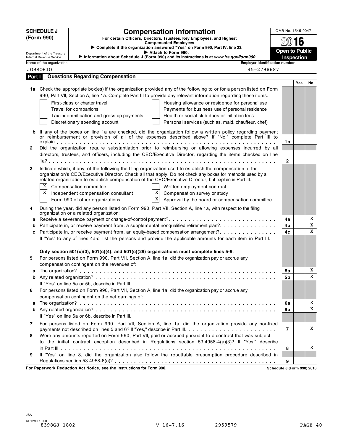|                         | <b>SCHEDULE J</b>                           |                                                                                                  | <b>Compensation Information</b>                                                                                                                                                                                                                                                                                                   | OMB No. 1545-0047              |            |    |
|-------------------------|---------------------------------------------|--------------------------------------------------------------------------------------------------|-----------------------------------------------------------------------------------------------------------------------------------------------------------------------------------------------------------------------------------------------------------------------------------------------------------------------------------|--------------------------------|------------|----|
|                         | (Form 990)                                  |                                                                                                  | For certain Officers, Directors, Trustees, Key Employees, and Highest                                                                                                                                                                                                                                                             |                                |            |    |
|                         |                                             |                                                                                                  | <b>Compensated Employees</b><br>> Complete if the organization answered "Yes" on Form 990, Part IV, line 23.                                                                                                                                                                                                                      |                                | 2016       |    |
|                         | Department of the Treasury                  |                                                                                                  | Attach to Form 990.                                                                                                                                                                                                                                                                                                               | <b>Open to Public</b>          |            |    |
|                         | Internal Revenue Service                    |                                                                                                  | Information about Schedule J (Form 990) and its instructions is at www.irs.gov/form990.                                                                                                                                                                                                                                           |                                | Inspection |    |
|                         | Name of the organization<br><b>JOBSOHIO</b> |                                                                                                  | 45-2798687                                                                                                                                                                                                                                                                                                                        | Employer identification number |            |    |
| Part I                  |                                             | <b>Questions Regarding Compensation</b>                                                          |                                                                                                                                                                                                                                                                                                                                   |                                |            |    |
|                         |                                             |                                                                                                  |                                                                                                                                                                                                                                                                                                                                   |                                | Yes        | No |
|                         |                                             |                                                                                                  | 1a Check the appropriate box(es) if the organization provided any of the following to or for a person listed on Form                                                                                                                                                                                                              |                                |            |    |
|                         |                                             |                                                                                                  | 990, Part VII, Section A, line 1a. Complete Part III to provide any relevant information regarding these items.                                                                                                                                                                                                                   |                                |            |    |
|                         |                                             | First-class or charter travel                                                                    | Housing allowance or residence for personal use                                                                                                                                                                                                                                                                                   |                                |            |    |
|                         |                                             | Travel for companions                                                                            | Payments for business use of personal residence                                                                                                                                                                                                                                                                                   |                                |            |    |
|                         |                                             | Tax indemnification and gross-up payments                                                        | Health or social club dues or initiation fees                                                                                                                                                                                                                                                                                     |                                |            |    |
|                         |                                             | Discretionary spending account                                                                   | Personal services (such as, maid, chauffeur, chef)                                                                                                                                                                                                                                                                                |                                |            |    |
| b                       |                                             |                                                                                                  | If any of the boxes on line 1a are checked, did the organization follow a written policy regarding payment<br>or reimbursement or provision of all of the expenses described above? If "No," complete Part III to                                                                                                                 |                                |            |    |
|                         |                                             |                                                                                                  |                                                                                                                                                                                                                                                                                                                                   | 1b                             |            |    |
| $\mathbf{2}$            |                                             |                                                                                                  | Did the organization require substantiation prior to reimbursing or allowing expenses incurred by all                                                                                                                                                                                                                             |                                |            |    |
|                         |                                             |                                                                                                  | directors, trustees, and officers, including the CEO/Executive Director, regarding the items checked on line                                                                                                                                                                                                                      | $\mathbf{2}$                   |            |    |
|                         |                                             |                                                                                                  |                                                                                                                                                                                                                                                                                                                                   |                                |            |    |
| 3                       |                                             |                                                                                                  | Indicate which, if any, of the following the filing organization used to establish the compensation of the<br>organization's CEO/Executive Director. Check all that apply. Do not check any boxes for methods used by a<br>related organization to establish compensation of the CEO/Executive Director, but explain in Part III. |                                |            |    |
|                         | X                                           | Compensation committee                                                                           | Written employment contract                                                                                                                                                                                                                                                                                                       |                                |            |    |
|                         | $\mathbf X$                                 | Independent compensation consultant                                                              | X <br>Compensation survey or study                                                                                                                                                                                                                                                                                                |                                |            |    |
|                         |                                             | Form 990 of other organizations                                                                  | X <br>Approval by the board or compensation committee                                                                                                                                                                                                                                                                             |                                |            |    |
| 4                       |                                             | organization or a related organization:                                                          | During the year, did any person listed on Form 990, Part VII, Section A, line 1a, with respect to the filing                                                                                                                                                                                                                      |                                |            |    |
| a                       |                                             |                                                                                                  |                                                                                                                                                                                                                                                                                                                                   | 4a                             |            | Χ  |
| b                       |                                             |                                                                                                  | Participate in, or receive payment from, a supplemental nonqualified retirement plan?                                                                                                                                                                                                                                             | 4b                             |            | X  |
| c                       |                                             |                                                                                                  | Participate in, or receive payment from, an equity-based compensation arrangement?                                                                                                                                                                                                                                                | 4c                             |            | X  |
|                         |                                             |                                                                                                  | If "Yes" to any of lines 4a-c, list the persons and provide the applicable amounts for each item in Part III.                                                                                                                                                                                                                     |                                |            |    |
|                         |                                             | Only section $501(c)(3)$ , $501(c)(4)$ , and $501(c)(29)$ organizations must complete lines 5-9. |                                                                                                                                                                                                                                                                                                                                   |                                |            |    |
| 5                       |                                             |                                                                                                  | For persons listed on Form 990, Part VII, Section A, line 1a, did the organization pay or accrue any                                                                                                                                                                                                                              |                                |            |    |
|                         |                                             | compensation contingent on the revenues of:                                                      |                                                                                                                                                                                                                                                                                                                                   |                                |            |    |
| а                       |                                             |                                                                                                  |                                                                                                                                                                                                                                                                                                                                   | 5а                             |            | Χ  |
|                         |                                             |                                                                                                  |                                                                                                                                                                                                                                                                                                                                   | 5b                             |            | X  |
|                         |                                             | If "Yes" on line 5a or 5b, describe in Part III.                                                 |                                                                                                                                                                                                                                                                                                                                   |                                |            |    |
| 6                       |                                             |                                                                                                  | For persons listed on Form 990, Part VII, Section A, line 1a, did the organization pay or accrue any                                                                                                                                                                                                                              |                                |            |    |
|                         |                                             | compensation contingent on the net earnings of:                                                  |                                                                                                                                                                                                                                                                                                                                   |                                |            |    |
| a                       |                                             |                                                                                                  |                                                                                                                                                                                                                                                                                                                                   | 6a                             |            | X  |
| b                       |                                             |                                                                                                  |                                                                                                                                                                                                                                                                                                                                   | 6b                             |            | X  |
|                         |                                             | If "Yes" on line 6a or 6b, describe in Part III.                                                 |                                                                                                                                                                                                                                                                                                                                   |                                |            |    |
| $\overline{\mathbf{r}}$ |                                             |                                                                                                  | For persons listed on Form 990, Part VII, Section A, line 1a, did the organization provide any nonfixed                                                                                                                                                                                                                           | $\overline{7}$                 |            | X  |
| 8                       |                                             |                                                                                                  | Were any amounts reported on Form 990, Part VII, paid or accrued pursuant to a contract that was subject                                                                                                                                                                                                                          |                                |            |    |
|                         |                                             |                                                                                                  | to the initial contract exception described in Regulations section 53.4958-4(a)(3)? If "Yes," describe                                                                                                                                                                                                                            |                                |            |    |
|                         |                                             |                                                                                                  |                                                                                                                                                                                                                                                                                                                                   | 8                              |            | X  |
| 9                       |                                             |                                                                                                  | If "Yes" on line 8, did the organization also follow the rebuttable presumption procedure described in                                                                                                                                                                                                                            |                                |            |    |
|                         |                                             |                                                                                                  |                                                                                                                                                                                                                                                                                                                                   | 9                              |            |    |
|                         |                                             | For Paperwork Reduction Act Notice, see the Instructions for Form 990.                           |                                                                                                                                                                                                                                                                                                                                   | Schedule J (Form 990) 2016     |            |    |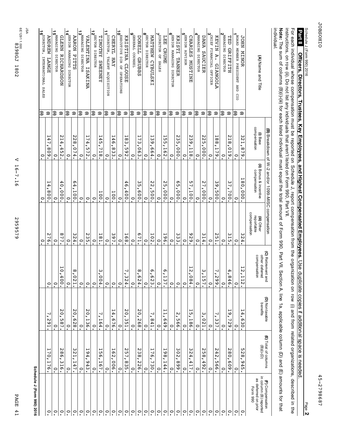PAGE 41

PAGE 41

2959579 2959579

JSA

| Schedule J (Form 990) 2016                 |                                                   |                                            |                                             |                            |                                                    |                                    |                                                         |
|--------------------------------------------|---------------------------------------------------|--------------------------------------------|---------------------------------------------|----------------------------|----------------------------------------------------|------------------------------------|---------------------------------------------------------|
|                                            |                                                   |                                            |                                             | $\cdot$                    | $\circ$                                            | $\circ$                            | 16 <sup>DIRECTOR,</sup><br>INTERNATIONAL SALES<br>€     |
| $\circ$                                    | ┙<br>$\circ$<br>H<br>O                            | ◡<br>Z<br>G<br>I                           | $\circ$                                     | N<br>$\overline{91}$       | 14<br>008                                          | 4<br>┙<br>608                      | <b>ANDREW</b><br><b>LANGE</b><br>⊜                      |
| $\circ$                                    | $\circ$                                           | $\cdot$                                    | $\circ$                                     | $\circ$                    | $\circ$                                            | $\circ$                            | 18 MANAGING DIRECTOR<br>€                               |
| $\tilde{\cdot}$                            | 982<br>ω<br>$\overline{9}$                        | N<br>$\circ$<br>U<br>23.7                  | 10,4<br>$\overline{0}$                      | 77                         | 40,<br>000                                         | N<br>14<br>452                     | <b>GLENN</b><br><b>RICHARDSON</b><br>⊜                  |
| $\tilde{\phantom{0}}$                      | $\circ$                                           | $\cdot$                                    | $\ddot{\circ}$                              | $\circ$                    | $\circ$                                            | $\cdot$                            | 14 SENIOR MANAGING DIRECTOR<br>€                        |
| $\tilde{\cdot}$                            | 122<br>۰<br>$\overline{ }$<br>$\frac{4}{7}$       | N<br>$\circ$<br>$\sigma$<br>$\overline{8}$ | $\frac{8}{0}$<br>51.                        | 324.                       | 64,<br>100.                                        | N<br>28,<br>$\overline{0}$<br>Á,   | <b>AARON PITTS</b><br>⊜                                 |
| $\tilde{\cdot}$                            | $\circ$                                           | $\cdot$                                    | $\cdot$                                     | $\ddot{\cdot}$             | $\circ$                                            | $\cdot$                            | 13 <sup>MANAGING</sup> DIRECTOR<br>€                    |
| $\tilde{\cdot}$                            | ی<br>4<br>G<br>$\frac{4}{3}$                      | N<br>$\circ$<br>۰.<br>136.                 | $\ddot{\cdot}$                              | N<br>ςi<br>•               | $\circ$                                            | $\overline{1}$<br>4,<br>U<br>72    | VALENTINA ISAKINA<br>Ξ                                  |
| $\tilde{\cdot}$                            | $\circ$                                           | $\cdot$                                    | $\ddot{\cdot}$                              | $\ddot{\cdot}$             | $\circ$                                            | $\cdot$                            | 12 <sup>SECTOR</sup> DIRECTOR<br>€                      |
| $\tilde{\cdot}$                            | ÜЛ<br>ِّقِ.<br>$-167.$                            | $\overline{a}$<br>164.                     | $\frac{8}{10}$<br>04.                       | 181.                       | 100                                                | 45,718.                            | <b>TIMOTHY SWEENEY</b><br>$\widehat{\phantom{a}}$       |
| $\ddot{\cdot}$                             | $\circ$                                           | $\cdot$                                    | $\cdot$                                     | $\ddot{\cdot}$             | $\circ$                                            | $\frac{1}{1}$                      | 1 PIRECTOR, TALENT ACQUISITION<br>€                     |
| $\ddot{\cdot}$                             | Ō<br>$\sim$<br>۰.<br>900                          | 4<br>G<br>$-50.$                           | $\ddot{\cdot}$                              | 397                        | 1001                                               | 4<br>ة.<br>833.                    | <b>CHERYL</b><br><b>IRAY</b><br>$\widehat{\phantom{a}}$ |
| $\tilde{\cdot}$                            | $\circ$                                           | $\ddot{\cdot}$                             | $\ddot{\circ}$                              | $\ddot{\cdot}$             | $\circ$                                            | $\frac{1}{1}$                      | 10 EXECUTIVE DIR OF OPERATIONS<br>€                     |
| $\tilde{\cdot}$                            | N<br>is7.<br><b>835</b>                           | N<br>$\circ$<br>۰.<br>351.                 | $\frac{7}{3}$<br>24                         | 168                        | 4<br>$\sigma$<br>400.                              | 83.<br>592.                        | KRISTINA CLOUSE<br>$\widehat{\phantom{a}}$              |
| $\ddot{\circ}$                             | $\circ$                                           | $\cdot$                                    | $\ddot{\cdot}$                              | $\ddot{\cdot}$             | $\circ$                                            | $\cdot$                            | OENERAL COUNSEL<br>€                                    |
| $\tilde{\cdot}$                            | N<br>ω<br>$\infty$<br>$\mathsf{N}$<br>$\sim$<br>Ō | N<br>$\circ$<br>N<br>$\overline{8}$        | $\infty$<br>ò<br>24                         | Ō<br>$\overline{L}$        | 33<br>,<br>009                                     | $\tilde{\cdot}$<br><b>C90</b>      | DONELL GRUBBS<br>⊜                                      |
| $\ddot{\circ}$                             | $\circ$                                           | $\cdot$                                    | $\circ$                                     | $\circ$                    | $\circ$                                            | $\circ$<br>$\bullet$               | 8 <sup>ECTOR</sup> DIRECTOR<br>€                        |
| $\tilde{\cdot}$                            | ┙<br>G<br>,<br>J<br>$\tilde{\varepsilon}$         | ┙<br>.178                                  | Q<br>$\mathbf{r}$<br>ΣŚ                     | <b>102</b>                 | 22<br>005                                          | ω<br>$\ddot{\circ}$<br>664         | MATTHEW CYBULSKI<br>$\widehat{\phantom{a}}$             |
| $\ddot{\cdot}$                             | $\circ$                                           | $\cdot$                                    | $\ddot{\cdot}$                              | $\circ$                    | $\circ$                                            | $\cdot$                            | <b>DIRECTOR OF SALES</b><br>€                           |
| $\tilde{\cdot}$                            | 19<br>${}^{\circ}$<br>I<br>4<br>4                 | I<br>G<br>$\frac{4}{9}$                    | Ō<br>ľ<br>37                                | 961                        | 25<br>000                                          | UП<br>LΠ<br><b>162</b>             | LEE<br><b>CRUME</b><br>⊜                                |
| $\tilde{\cdot}$                            | $\circ$                                           | $\tilde{\cdot}$                            | $\circ$                                     | $\tilde{\cdot}$            | $\circ$                                            | $\circ$                            | SENIOR MANAGING DIRECTOR<br>€                           |
| $\tilde{\cdot}$                            | 302<br>668                                        | Z<br>UЛ<br>99                              | $\circ$                                     | 33                         | ς9<br>000                                          | N<br>33<br>000                     | KRISTI<br>TANNER<br>⊜                                   |
| $\tilde{\cdot}$                            | $\circ$                                           | $\circ$                                    | $\circ$                                     | $\circ$                    | $\circ$                                            | $\circ$                            | BENIOR ADVISOR<br>€                                     |
| $\tilde{C}$                                | ς<br>4<br>4<br>$\overline{11}$                    | 55<br>186                                  | 12, 0<br>84                                 | 626                        | 57<br>100                                          | N<br>ن<br>9<br>H<br>$\overline{8}$ | <b>CHARLES</b><br><b>NUSTINE</b><br>⊜                   |
| $\tilde{C}$                                | $\circ$                                           | $\cdot$                                    | $\circ$                                     | $\circ$                    | $\circ$                                            | $\circ$                            | MANAGING DIRECTOR<br>€                                  |
| $\tilde{\cdot}$                            | 258<br>492                                        | ω<br>.170                                  | $\frac{3}{1}$<br>57.                        | 314.                       | 27,<br>000.                                        | 225,<br>000.                       | <b>DANA</b><br>SAUCIER<br>∍                             |
| $\tilde{\cdot}$                            | $\circ$                                           | $\cdot$                                    | $\circ$                                     | $\circ$                    | $\circ$                                            | $\cdot$                            | SCHIEF FINANCIAL OFFICER<br>3<br>€                      |
| $\tilde{\cdot}$                            | N<br>42<br>995                                    | $\overline{\phantom{a}}$<br>337.           | $\frac{7}{2}$<br>99                         | <b>251.</b>                | 39,500.                                            | 188,<br>179                        | KEVIN<br>A. GIANGOLA<br>∍                               |
| $\tilde{\cdot}$                            | $\circ$                                           | $\cdot$                                    | $\circ$                                     | $\circ$                    | $\circ$                                            | $\cdot$                            | PAANAGING DIRECTOR<br>€                                 |
| $\tilde{\cdot}$                            | 280,609.                                          | H<br>$\frac{1}{2}$<br>729.                 | 4, 8<br>46                                  | 315                        | 37,700.                                            | N<br>$-81$<br>.610                 | TED GRIFFITH<br>Э                                       |
| $\circ$                                    | $\circ$                                           | $\cdot$                                    | $\ddot{\cdot}$                              | $\ddot{\cdot}$             | $\circ$                                            | $\frac{1}{1}$                      | BOARD MEMBER PRESIDENT AND CIO<br>€                     |
| $\circ$                                    | UТ<br>28'<br>$-945$                               | $\ddot{a}$ ,<br>630.                       | 12,1<br>$\frac{1}{2}$                       | 324.                       | 180,000.                                           | 321,879.                           | <b>JOHN MINOR</b><br>$\widehat{\phantom{a}}$            |
| as deferred on prior<br>Form 990           |                                                   |                                            | compensation                                | compensation<br>reportable | compensation                                       | compensation                       |                                                         |
| in column (B) reported<br>(F) Compensation | (E) Total of columns<br>(B) (i) (i) (D)           | (D) Nontaxable<br>benefits                 | <b>(C)</b> Retirement and<br>other deferred | (iii) Other                | (ii) Bonus & incentive                             | $(1)$ Base                         | (A) Name and Title                                      |
|                                            |                                                   |                                            |                                             |                            | (B) Breakdown of W-2 and/or 1099-MISC compensation |                                    |                                                         |

Page **2** JOBSOHIO

**JOBSOHIO** 

Schedule

J (Form

990) 2016

**Officers,**

]<br>ዓ each

instructions,

**Note:**

individual.

individual.

ነት<br>አ sum q

columns

(B)(i)-(iii)

for each

listed

individual

must

equal e<br>1 total

amount

q Form

990, Part ≧,

Section

A, line أه

applicable

column

(D) and  $\widehat{\mathbb{C}}$ 

amounts

for that

on row (ii). Do not list any

individual

whose

compensation

must ទ<br>ល

individuals

that

aren't

listed on Form

990, ሥ<br>አ  $\leqq$  reported

on

Schedule

J, report

compensation

from e<br>S

organization

on row  $\widehat{\text{}}$ and from **Directors,**

**Trustees,**

**Key**

**Employees,**

**and**

**Highest**

**Compensated**

**2011 Decess. Trustees: Trustees: Trustees: Separator Business. Use and Highest Composes. Use and Highest Compiled Employees. Use and Highes is a decled in the section of the section of the section of the section of**  $\sim$ 

**Employees.**

ទ<br>ទ

duplicate

copies if

additional

space is

related

organizations,

described

 $\Xi^{\cdot}$ the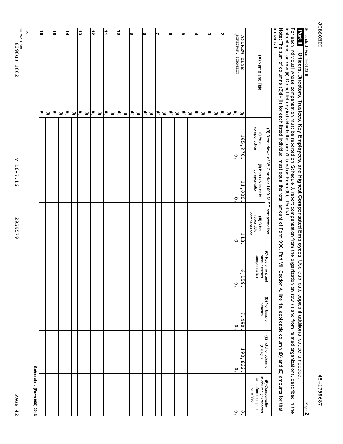| n   |
|-----|
| : Е |
|     |
| ᄗ   |
|     |
| ≏   |
| N   |
|     |

2959579 2959579

| individual.           |                         |                          |                                                    |                                           |                                                      |                |                                             |                                                            |
|-----------------------|-------------------------|--------------------------|----------------------------------------------------|-------------------------------------------|------------------------------------------------------|----------------|---------------------------------------------|------------------------------------------------------------|
|                       |                         |                          | (B) Breakdown of W-2 and/or 1099-MISC compensation |                                           |                                                      | (D) Nontaxable | (E) Total of columns                        | (F) Compensation                                           |
| (A) Name and Title    |                         | (i) Base<br>compensation | <b>(ii)</b> Bonus & incentive<br>compensation      | compensation<br>(iii) Other<br>reportable | (C) Retirement and<br>other deferred<br>compensation | benefits       | $(\mathsf{B})(\mathsf{i})$ - $(\mathsf{D})$ | in column (B) reported<br>as deferred on prior<br>Form 990 |
| <b>ANDREW</b><br>DEYE | $\widehat{\phantom{a}}$ | 165,<br>870.             | 11,000.                                            | 113.                                      | 6.1<br>ن<br>60                                       | 7,<br>490.     | 190,<br>632.                                | $\ddot{\cdot}$                                             |
| PIRECTOR, STRATEGY    | Ι∋                      | $\ddot{\circ}$           | $\tilde{C}$                                        | $\ddot{\cdot}$                            | $\ddot{\circ}$                                       | $\ddot{\circ}$ | $\circ$                                     | $\ddot{\circ}$                                             |
|                       | $\widehat{\phantom{a}}$ |                          |                                                    |                                           |                                                      |                |                                             |                                                            |
| $\boldsymbol{\kappa}$ | €                       |                          |                                                    |                                           |                                                      |                |                                             |                                                            |
|                       | $\widehat{\phantom{a}}$ |                          |                                                    |                                           |                                                      |                |                                             |                                                            |
| $\boldsymbol{\omega}$ | €                       |                          |                                                    |                                           |                                                      |                |                                             |                                                            |
|                       | $\widehat{\phantom{a}}$ |                          |                                                    |                                           |                                                      |                |                                             |                                                            |
| 4                     | ⊜                       |                          |                                                    |                                           |                                                      |                |                                             |                                                            |
|                       | $\Rightarrow$           |                          |                                                    |                                           |                                                      |                |                                             |                                                            |
| c                     | ε                       |                          |                                                    |                                           |                                                      |                |                                             |                                                            |
|                       | $\widehat{\phantom{m}}$ |                          |                                                    |                                           |                                                      |                |                                             |                                                            |
| თ                     | €                       |                          |                                                    |                                           |                                                      |                |                                             |                                                            |
|                       | $\widehat{\phantom{a}}$ |                          |                                                    |                                           |                                                      |                |                                             |                                                            |
| ┙                     | િ                       |                          |                                                    |                                           |                                                      |                |                                             |                                                            |
|                       | $\widehat{\phantom{a}}$ |                          |                                                    |                                           |                                                      |                |                                             |                                                            |
| $\infty$              | િ                       |                          |                                                    |                                           |                                                      |                |                                             |                                                            |
|                       | $\widehat{\phantom{a}}$ |                          |                                                    |                                           |                                                      |                |                                             |                                                            |
| $\bullet$             | €                       |                          |                                                    |                                           |                                                      |                |                                             |                                                            |
|                       | $\widehat{\phantom{a}}$ |                          |                                                    |                                           |                                                      |                |                                             |                                                            |
| a                     | િ                       |                          |                                                    |                                           |                                                      |                |                                             |                                                            |
|                       | $\widehat{\phantom{a}}$ |                          |                                                    |                                           |                                                      |                |                                             |                                                            |
| Ë,                    | ⊜                       |                          |                                                    |                                           |                                                      |                |                                             |                                                            |
|                       | $\widehat{\phantom{a}}$ |                          |                                                    |                                           |                                                      |                |                                             |                                                            |
| $\overline{5}$        | ⊜                       |                          |                                                    |                                           |                                                      |                |                                             |                                                            |
|                       | $\widehat{\phantom{a}}$ |                          |                                                    |                                           |                                                      |                |                                             |                                                            |
| $\frac{1}{2}$         | િ                       |                          |                                                    |                                           |                                                      |                |                                             |                                                            |
|                       | $\widehat{\phantom{a}}$ |                          |                                                    |                                           |                                                      |                |                                             |                                                            |
| $\frac{1}{4}$         | િ                       |                          |                                                    |                                           |                                                      |                |                                             |                                                            |
|                       | $\Rightarrow$           |                          |                                                    |                                           |                                                      |                |                                             |                                                            |
| G1                    | િ                       |                          |                                                    |                                           |                                                      |                |                                             |                                                            |
|                       | $\widehat{\phantom{m}}$ |                          |                                                    |                                           |                                                      |                |                                             |                                                            |
| $\frac{16}{2}$        | €                       |                          |                                                    |                                           |                                                      |                |                                             |                                                            |
|                       |                         |                          |                                                    |                                           |                                                      |                |                                             | Schedule J (Form 990) 2016                                 |
| 9Sr                   |                         |                          |                                                    |                                           |                                                      |                |                                             |                                                            |

Page **2**

Schedule

]<br>ዓ each

individual

whose

compensation

must ទ<br>ល

reported

on

Schedule

J, report

compensation

from e<br>S

organization

on row  $\widehat{\text{}}$ and from J (Form

990) 2016 **Officers,**

**Directors,**

**Trustees,**

**Key**

**Employees,**

**and**

**Highest**

**Compensated**

**2011 Decess. Trustees: Trustees: Trustees: Separator Business. Use and Highest Composes. Use and Highest Compiled Employees. Use and Highes is a decled in the section of the section of the section of the section of**  $\sim$ 

**Employees.**

ទ<br>ទ

duplicate

copies if

additional

space is

related

organizations,

described

 $\Xi^{\cdot}$ the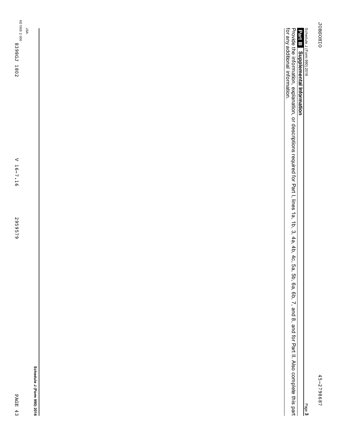Page **3**

**Supplemental Information Part III** Provide the information, explanation, ۹ descriptions required for Part I, lines بو<br>پ 1b, بي 4a, 4b, 4c, 5a, 5b, 6a, 6b, ا. and 8, a<br>Do for Part<br>E = Also complete this part for any additional information.

6E1505 2.000 8398GJ 1802

JSA

**Schedule J (Form 990) 2016**

PAGE 43

PAGE 43

2959579 2959579

V 16-7.16 V 16-7.16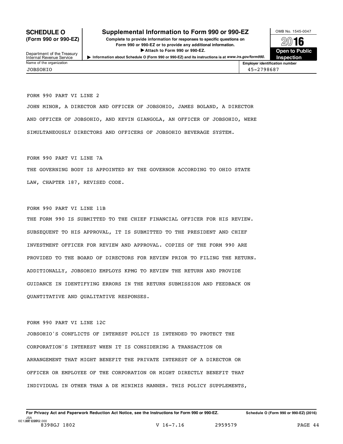# **SCHEDULE O** Supplemental Information to Form 990 or 990-EZ **DIG NO. 1545-0047**

(Form 990 or 990-EZ) Complete to provide information for responses to specific questions on  $\sim$  2016 Form 990 or 990-EZ or to provide any additional information.<br>
Attach to Form 990 or 990-EZ.<br> **Open to Public** 

**Inspection**

Department of the Treasury<br>Internal Revenue Service Internal Revenue Service I**Information about Schedule <sup>O</sup> (Form <sup>990</sup> or 990-EZ) and its instructions is at** *www.irs.gov/form990.*

**Employer identification number** JOBSOHIO 45-2798687

FORM 990 PART VI LINE 2

JOHN MINOR, A DIRECTOR AND OFFICER OF JOBSOHIO, JAMES BOLAND, A DIRECTOR AND OFFICER OF JOBSOHIO, AND KEVIN GIANGOLA, AN OFFICER OF JOBSOHIO, WERE SIMULTANEOUSLY DIRECTORS AND OFFICERS OF JOBSOHIO BEVERAGE SYSTEM.

FORM 990 PART VI LINE 7A

THE GOVERNING BODY IS APPOINTED BY THE GOVERNOR ACCORDING TO OHIO STATE LAW, CHAPTER 187, REVISED CODE.

FORM 990 PART VI LINE 11B

THE FORM 990 IS SUBMITTED TO THE CHIEF FINANCIAL OFFICER FOR HIS REVIEW. SUBSEQUENT TO HIS APPROVAL, IT IS SUBMITTED TO THE PRESIDENT AND CHIEF INVESTMENT OFFICER FOR REVIEW AND APPROVAL. COPIES OF THE FORM 990 ARE PROVIDED TO THE BOARD OF DIRECTORS FOR REVIEW PRIOR TO FILING THE RETURN. ADDITIONALLY, JOBSOHIO EMPLOYS KPMG TO REVIEW THE RETURN AND PROVIDE GUIDANCE IN IDENTIFYING ERRORS IN THE RETURN SUBMISSION AND FEEDBACK ON QUANTITATIVE AND QUALITATIVE RESPONSES.

FORM 990 PART VI LINE 12C

JOBSOHIO'S CONFLICTS OF INTEREST POLICY IS INTENDED TO PROTECT THE CORPORATION'S INTEREST WHEN IT IS CONSIDERING A TRANSACTION OR ARRANGEMENT THAT MIGHT BENEFIT THE PRIVATE INTEREST OF A DIRECTOR OR OFFICER OR EMPLOYEE OF THE CORPORATION OR MIGHT DIRECTLY BENEFIT THAT INDIVIDUAL IN OTHER THAN A DE MINIMIS MANNER. THIS POLICY SUPPLEMENTS,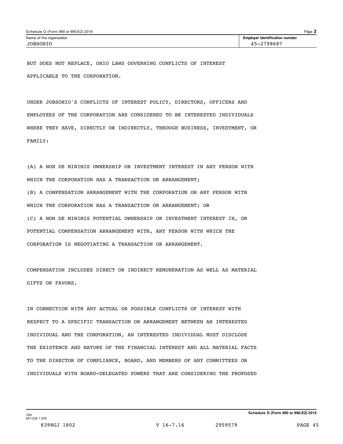BUT DOES NOT REPLACE, OHIO LAWS GOVERNING CONFLICTS OF INTEREST APPLICABLE TO THE CORPORATION.

UNDER JOBSOHIO'S CONFLICTS OF INTEREST POLICY, DIRECTORS, OFFICERS AND EMPLOYEES OF THE CORPORATION ARE CONSIDERED TO BE INTERESTED INDIVIDUALS WHERE THEY HAVE, DIRECTLY OR INDIRECTLY, THROUGH BUSINESS, INVESTMENT, OR FAMILY:

(A) A NON DE MINIMIS OWNERSHIP OR INVESTMENT INTEREST IN ANY PERSON WITH WHICH THE CORPORATION HAS A TRANSACTION OR ARRANGEMENT; (B) A COMPENSATION ARRANGEMENT WITH THE CORPORATION OR ANY PERSON WITH WHICH THE CORPORATION HAS A TRANSACTION OR ARRANGEMENT; OR (C) A NON DE MINIMIS POTENTIAL OWNERSHIP OR INVESTMENT INTEREST IN, OR POTENTIAL COMPENSATION ARRANGEMENT WITH, ANY PERSON WITH WHICH THE CORPORATION IS NEGOTIATING A TRANSACTION OR ARRANGEMENT.

COMPENSATION INCLUDES DIRECT OR INDIRECT REMUNERATION AS WELL AS MATERIAL GIFTS OR FAVORS.

IN CONNECTION WITH ANY ACTUAL OR POSSIBLE CONFLICTS OF INTEREST WITH RESPECT TO A SPECIFIC TRANSACTION OR ARRANGEMENT BETWEEN AN INTERESTED INDIVIDUAL AND THE CORPORATION, AN INTERESTED INDIVIDUAL MUST DISCLOSE THE EXISTENCE AND NATURE OF THE FINANCIAL INTEREST AND ALL MATERIAL FACTS TO THE DIRECTOR OF COMPLIANCE, BOARD, AND MEMBERS OF ANY COMMITTEES OR INDIVIDUALS WITH BOARD-DELEGATED POWERS THAT ARE CONSIDERING THE PROPOSED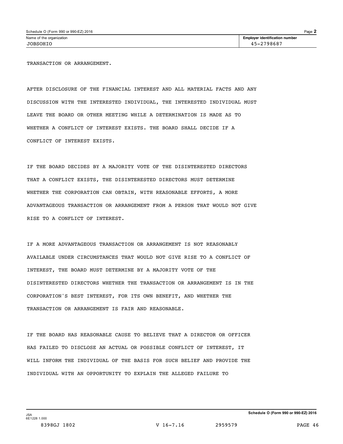TRANSACTION OR ARRANGEMENT.

AFTER DISCLOSURE OF THE FINANCIAL INTEREST AND ALL MATERIAL FACTS AND ANY DISCUSSION WITH THE INTERESTED INDIVIDUAL, THE INTERESTED INDIVIDUAL MUST LEAVE THE BOARD OR OTHER MEETING WHILE A DETERMINATION IS MADE AS TO WHETHER A CONFLICT OF INTEREST EXISTS. THE BOARD SHALL DECIDE IF A CONFLICT OF INTEREST EXISTS.

IF THE BOARD DECIDES BY A MAJORITY VOTE OF THE DISINTERESTED DIRECTORS THAT A CONFLICT EXISTS, THE DISINTERESTED DIRECTORS MUST DETERMINE WHETHER THE CORPORATION CAN OBTAIN, WITH REASONABLE EFFORTS, A MORE ADVANTAGEOUS TRANSACTION OR ARRANGEMENT FROM A PERSON THAT WOULD NOT GIVE RISE TO A CONFLICT OF INTEREST.

IF A MORE ADVANTAGEOUS TRANSACTION OR ARRANGEMENT IS NOT REASONABLY AVAILABLE UNDER CIRCUMSTANCES THAT WOULD NOT GIVE RISE TO A CONFLICT OF INTEREST, THE BOARD MUST DETERMINE BY A MAJORITY VOTE OF THE DISINTERESTED DIRECTORS WHETHER THE TRANSACTION OR ARRANGEMENT IS IN THE CORPORATION'S BEST INTEREST, FOR ITS OWN BENEFIT, AND WHETHER THE TRANSACTION OR ARRANGEMENT IS FAIR AND REASONABLE.

IF THE BOARD HAS REASONABLE CAUSE TO BELIEVE THAT A DIRECTOR OR OFFICER HAS FAILED TO DISCLOSE AN ACTUAL OR POSSIBLE CONFLICT OF INTEREST, IT WILL INFORM THE INDIVIDUAL OF THE BASIS FOR SUCH BELIEF AND PROVIDE THE INDIVIDUAL WITH AN OPPORTUNITY TO EXPLAIN THE ALLEGED FAILURE TO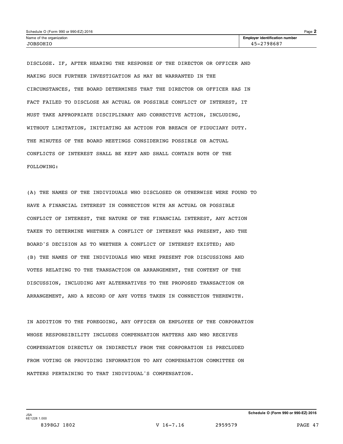| Schedule O (Form 990 or 990-EZ) 2016 |                                       | $P$ age $\lambda$ |
|--------------------------------------|---------------------------------------|-------------------|
| Name of the organization             | <b>Employer identification number</b> |                   |
| JOBSOHIO                             | 45-2798687                            |                   |

DISCLOSE. IF, AFTER HEARING THE RESPONSE OF THE DIRECTOR OR OFFICER AND MAKING SUCH FURTHER INVESTIGATION AS MAY BE WARRANTED IN THE CIRCUMSTANCES, THE BOARD DETERMINES THAT THE DIRECTOR OR OFFICER HAS IN FACT FAILED TO DISCLOSE AN ACTUAL OR POSSIBLE CONFLICT OF INTEREST, IT MUST TAKE APPROPRIATE DISCIPLINARY AND CORRECTIVE ACTION, INCLUDING, WITHOUT LIMITATION, INITIATING AN ACTION FOR BREACH OF FIDUCIARY DUTY. THE MINUTES OF THE BOARD MEETINGS CONSIDERING POSSIBLE OR ACTUAL CONFLICTS OF INTEREST SHALL BE KEPT AND SHALL CONTAIN BOTH OF THE FOLLOWING:

(A) THE NAMES OF THE INDIVIDUALS WHO DISCLOSED OR OTHERWISE WERE FOUND TO HAVE A FINANCIAL INTEREST IN CONNECTION WITH AN ACTUAL OR POSSIBLE CONFLICT OF INTEREST, THE NATURE OF THE FINANCIAL INTEREST, ANY ACTION TAKEN TO DETERMINE WHETHER A CONFLICT OF INTEREST WAS PRESENT, AND THE BOARD'S DECISION AS TO WHETHER A CONFLICT OF INTEREST EXISTED; AND (B) THE NAMES OF THE INDIVIDUALS WHO WERE PRESENT FOR DISCUSSIONS AND VOTES RELATING TO THE TRANSACTION OR ARRANGEMENT, THE CONTENT OF THE DISCUSSION, INCLUDING ANY ALTERNATIVES TO THE PROPOSED TRANSACTION OR ARRANGEMENT, AND A RECORD OF ANY VOTES TAKEN IN CONNECTION THEREWITH.

IN ADDITION TO THE FOREGOING, ANY OFFICER OR EMPLOYEE OF THE CORPORATION WHOSE RESPONSIBILITY INCLUDES COMPENSATION MATTERS AND WHO RECEIVES COMPENSATION DIRECTLY OR INDIRECTLY FROM THE CORPORATION IS PRECLUDED FROM VOTING OR PROVIDING INFORMATION TO ANY COMPENSATION COMMITTEE ON MATTERS PERTAINING TO THAT INDIVIDUAL'S COMPENSATION.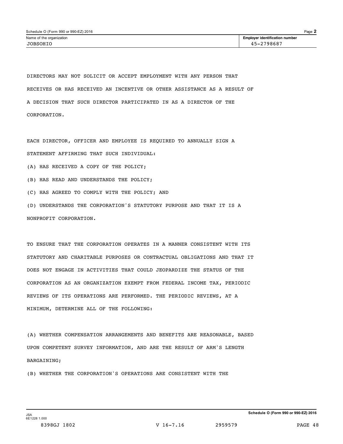DIRECTORS MAY NOT SOLICIT OR ACCEPT EMPLOYMENT WITH ANY PERSON THAT RECEIVES OR HAS RECEIVED AN INCENTIVE OR OTHER ASSISTANCE AS A RESULT OF A DECISION THAT SUCH DIRECTOR PARTICIPATED IN AS A DIRECTOR OF THE CORPORATION.

EACH DIRECTOR, OFFICER AND EMPLOYEE IS REQUIRED TO ANNUALLY SIGN A STATEMENT AFFIRMING THAT SUCH INDIVIDUAL: (A) HAS RECEIVED A COPY OF THE POLICY; (B) HAS READ AND UNDERSTANDS THE POLICY; (C) HAS AGREED TO COMPLY WITH THE POLICY; AND (D) UNDERSTANDS THE CORPORATION'S STATUTORY PURPOSE AND THAT IT IS A NONPROFIT CORPORATION.

TO ENSURE THAT THE CORPORATION OPERATES IN A MANNER CONSISTENT WITH ITS STATUTORY AND CHARITABLE PURPOSES OR CONTRACTUAL OBLIGATIONS AND THAT IT DOES NOT ENGAGE IN ACTIVITIES THAT COULD JEOPARDIZE THE STATUS OF THE CORPORATION AS AN ORGANIZATION EXEMPT FROM FEDERAL INCOME TAX, PERIODIC REVIEWS OF ITS OPERATIONS ARE PERFORMED. THE PERIODIC REVIEWS, AT A MINIMUM, DETERMINE ALL OF THE FOLLOWING:

(A) WHETHER COMPENSATION ARRANGEMENTS AND BENEFITS ARE REASONABLE, BASED UPON COMPETENT SURVEY INFORMATION, AND ARE THE RESULT OF ARM'S LENGTH BARGAINING;

(B) WHETHER THE CORPORATION'S OPERATIONS ARE CONSISTENT WITH THE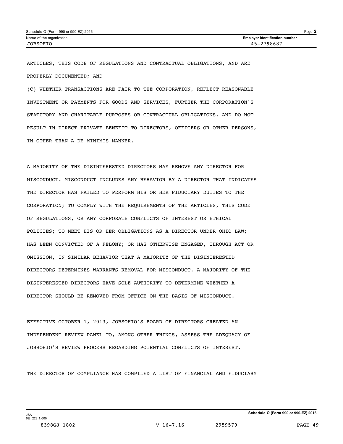| Schedule O (Form 990 or 990-EZ) 2016 |                                       | $P$ age $\mathbf{\dot{z}}$ |
|--------------------------------------|---------------------------------------|----------------------------|
| Name of the organization             | <b>Employer identification number</b> |                            |
| JOBSOHIO                             | 45-2798687                            |                            |

ARTICLES, THIS CODE OF REGULATIONS AND CONTRACTUAL OBLIGATIONS, AND ARE PROPERLY DOCUMENTED; AND

(C) WHETHER TRANSACTIONS ARE FAIR TO THE CORPORATION, REFLECT REASONABLE INVESTMENT OR PAYMENTS FOR GOODS AND SERVICES, FURTHER THE CORPORATION'S STATUTORY AND CHARITABLE PURPOSES OR CONTRACTUAL OBLIGATIONS, AND DO NOT RESULT IN DIRECT PRIVATE BENEFIT TO DIRECTORS, OFFICERS OR OTHER PERSONS, IN OTHER THAN A DE MINIMIS MANNER.

A MAJORITY OF THE DISINTERESTED DIRECTORS MAY REMOVE ANY DIRECTOR FOR MISCONDUCT. MISCONDUCT INCLUDES ANY BEHAVIOR BY A DIRECTOR THAT INDICATES THE DIRECTOR HAS FAILED TO PERFORM HIS OR HER FIDUCIARY DUTIES TO THE CORPORATION; TO COMPLY WITH THE REQUIREMENTS OF THE ARTICLES, THIS CODE OF REGULATIONS, OR ANY CORPORATE CONFLICTS OF INTEREST OR ETHICAL POLICIES; TO MEET HIS OR HER OBLIGATIONS AS A DIRECTOR UNDER OHIO LAW; HAS BEEN CONVICTED OF A FELONY; OR HAS OTHERWISE ENGAGED, THROUGH ACT OR OMISSION, IN SIMILAR BEHAVIOR THAT A MAJORITY OF THE DISINTERESTED DIRECTORS DETERMINES WARRANTS REMOVAL FOR MISCONDUCT. A MAJORITY OF THE DISINTERESTED DIRECTORS HAVE SOLE AUTHORITY TO DETERMINE WHETHER A DIRECTOR SHOULD BE REMOVED FROM OFFICE ON THE BASIS OF MISCONDUCT.

EFFECTIVE OCTOBER 1, 2013, JOBSOHIO'S BOARD OF DIRECTORS CREATED AN INDEPENDENT REVIEW PANEL TO, AMONG OTHER THINGS, ASSESS THE ADEQUACY OF JOBSOHIO'S REVIEW PROCESS REGARDING POTENTIAL CONFLICTS OF INTEREST.

THE DIRECTOR OF COMPLIANCE HAS COMPILED A LIST OF FINANCIAL AND FIDUCIARY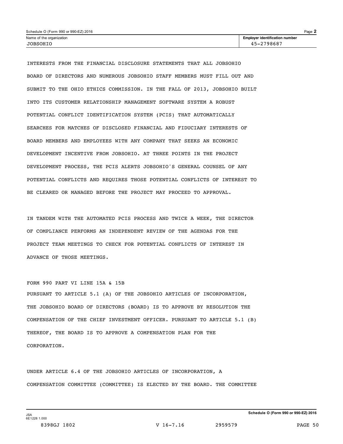| Schedule O (Form 990 or 990-EZ) 2016 |                                       | $P$ age $\angle$ |
|--------------------------------------|---------------------------------------|------------------|
| Name of the organization             | <b>Employer identification number</b> |                  |
| TOBSOHTO                             | .2798687                              |                  |

INTERESTS FROM THE FINANCIAL DISCLOSURE STATEMENTS THAT ALL JOBSOHIO BOARD OF DIRECTORS AND NUMEROUS JOBSOHIO STAFF MEMBERS MUST FILL OUT AND SUBMIT TO THE OHIO ETHICS COMMISSION. IN THE FALL OF 2013, JOBSOHIO BUILT INTO ITS CUSTOMER RELATIONSHIP MANAGEMENT SOFTWARE SYSTEM A ROBUST POTENTIAL CONFLICT IDENTIFICATION SYSTEM (PCIS) THAT AUTOMATICALLY SEARCHES FOR MATCHES OF DISCLOSED FINANCIAL AND FIDUCIARY INTERESTS OF BOARD MEMBERS AND EMPLOYEES WITH ANY COMPANY THAT SEEKS AN ECONOMIC DEVELOPMENT INCENTIVE FROM JOBSOHIO. AT THREE POINTS IN THE PROJECT DEVELOPMENT PROCESS, THE PCIS ALERTS JOBSOHIO'S GENERAL COUNSEL OF ANY POTENTIAL CONFLICTS AND REQUIRES THOSE POTENTIAL CONFLICTS OF INTEREST TO BE CLEARED OR MANAGED BEFORE THE PROJECT MAY PROCEED TO APPROVAL.

IN TANDEM WITH THE AUTOMATED PCIS PROCESS AND TWICE A WEEK, THE DIRECTOR OF COMPLIANCE PERFORMS AN INDEPENDENT REVIEW OF THE AGENDAS FOR THE PROJECT TEAM MEETINGS TO CHECK FOR POTENTIAL CONFLICTS OF INTEREST IN ADVANCE OF THOSE MEETINGS.

FORM 990 PART VI LINE 15A & 15B PURSUANT TO ARTICLE 5.1 (A) OF THE JOBSOHIO ARTICLES OF INCORPORATION, THE JOBSOHIO BOARD OF DIRECTORS (BOARD) IS TO APPROVE BY RESOLUTION THE COMPENSATION OF THE CHIEF INVESTMENT OFFICER. PURSUANT TO ARTICLE 5.1 (B) THEREOF, THE BOARD IS TO APPROVE A COMPENSATION PLAN FOR THE CORPORATION.

UNDER ARTICLE 6.4 OF THE JOBSOHIO ARTICLES OF INCORPORATION, A COMPENSATION COMMITTEE (COMMITTEE) IS ELECTED BY THE BOARD. THE COMMITTEE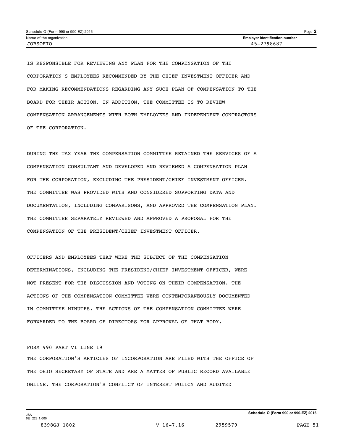| Schedule O (Form 990 or 990-EZ) 2016 |                                       | $P$ age $\geq$ |
|--------------------------------------|---------------------------------------|----------------|
| Name of the organization             | <b>Employer identification number</b> |                |
| JOBSOHIO                             | 45-2798687                            |                |

IS RESPONSIBLE FOR REVIEWING ANY PLAN FOR THE COMPENSATION OF THE CORPORATION'S EMPLOYEES RECOMMENDED BY THE CHIEF INVESTMENT OFFICER AND FOR MAKING RECOMMENDATIONS REGARDING ANY SUCH PLAN OF COMPENSATION TO THE BOARD FOR THEIR ACTION. IN ADDITION, THE COMMITTEE IS TO REVIEW COMPENSATION ARRANGEMENTS WITH BOTH EMPLOYEES AND INDEPENDENT CONTRACTORS OF THE CORPORATION.

DURING THE TAX YEAR THE COMPENSATION COMMITTEE RETAINED THE SERVICES OF A COMPENSATION CONSULTANT AND DEVELOPED AND REVIEWED A COMPENSATION PLAN FOR THE CORPORATION, EXCLUDING THE PRESIDENT/CHIEF INVESTMENT OFFICER. THE COMMITTEE WAS PROVIDED WITH AND CONSIDERED SUPPORTING DATA AND DOCUMENTATION, INCLUDING COMPARISONS, AND APPROVED THE COMPENSATION PLAN. THE COMMITTEE SEPARATELY REVIEWED AND APPROVED A PROPOSAL FOR THE COMPENSATION OF THE PRESIDENT/CHIEF INVESTMENT OFFICER.

OFFICERS AND EMPLOYEES THAT WERE THE SUBJECT OF THE COMPENSATION DETERMINATIONS, INCLUDING THE PRESIDENT/CHIEF INVESTMENT OFFICER, WERE NOT PRESENT FOR THE DISCUSSION AND VOTING ON THEIR COMPENSATION. THE ACTIONS OF THE COMPENSATION COMMITTEE WERE CONTEMPORANEOUSLY DOCUMENTED IN COMMITTEE MINUTES. THE ACTIONS OF THE COMPENSATION COMMITTEE WERE FORWARDED TO THE BOARD OF DIRECTORS FOR APPROVAL OF THAT BODY.

# FORM 990 PART VI LINE 19

THE CORPORATION'S ARTICLES OF INCORPORATION ARE FILED WITH THE OFFICE OF THE OHIO SECRETARY OF STATE AND ARE A MATTER OF PUBLIC RECORD AVAILABLE ONLINE. THE CORPORATION'S CONFLICT OF INTEREST POLICY AND AUDITED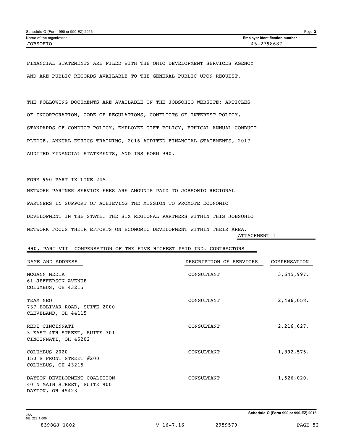| Schedule O (Form 990 or 990-EZ) 2016 |                                       | $Page$ $\angle$ |
|--------------------------------------|---------------------------------------|-----------------|
| Name of the organization             | <b>Employer identification number</b> |                 |
| JOBSOHIO                             | 45-2798687                            |                 |

FINANCIAL STATEMENTS ARE FILED WITH THE OHIO DEVELOPMENT SERVICES AGENCY AND ARE PUBLIC RECORDS AVAILABLE TO THE GENERAL PUBLIC UPON REQUEST.

THE FOLLOWING DOCUMENTS ARE AVAILABLE ON THE JOBSOHIO WEBSITE: ARTICLES OF INCORPORATION, CODE OF REGULATIONS, CONFLICTS OF INTEREST POLICY, STANDARDS OF CONDUCT POLICY, EMPLOYEE GIFT POLICY, ETHICAL ANNUAL CONDUCT PLEDGE, ANNUAL ETHICS TRAINING, 2016 AUDITED FINANCIAL STATEMENTS, 2017 AUDITED FINANCIAL STATEMENTS, AND IRS FORM 990.

FORM 990 PART IX LINE 24A

NETWORK PARTNER SERVICE FEES ARE AMOUNTS PAID TO JOBSOHIO REGIONAL PARTNERS IN SUPPORT OF ACHIEVING THE MISSION TO PROMOTE ECONOMIC DEVELOPMENT IN THE STATE. THE SIX REGIONAL PARTNERS WITHIN THIS JOBSOHIO NETWORK FOCUS THEIR EFFORTS ON ECONOMIC DEVELOPMENT WITHIN THEIR AREA.

ATTACHMENT 1

# 990, PART VII- COMPENSATION OF THE FIVE HIGHEST PAID IND. CONTRACTORS

| NAME AND ADDRESS                                                                | DESCRIPTION OF SERVICES | COMPENSATION |
|---------------------------------------------------------------------------------|-------------------------|--------------|
| MCGANN MEDIA<br>61 JEFFERSON AVENUE<br>COLUMBUS, OH 43215                       | CONSULTANT              | 3,645,997.   |
| TEAM NEO<br>737 BOLIVAR ROAD, SUITE 2000<br>CLEVELAND, OH 44115                 | CONSULTANT              | 2,486,058.   |
| REDI CINCINNATI<br>3 EAST 4TH STREET, SUITE 301<br>CINCINNATI, OH 45202         | CONSULTANT              | 2,216,627.   |
| COLUMBUS 2020<br>150 S FRONT STREET $#200$<br>COLUMBUS, OH 43215                | CONSULTANT              | 1,892,575.   |
| DAYTON DEVELOPMENT COALITION<br>40 N MAIN STREET, SUITE 900<br>DAYTON, OH 45423 | CONSULTANT              | 1,526,020.   |

**Schedule O (Form 990 or 990-EZ) 2016** JSA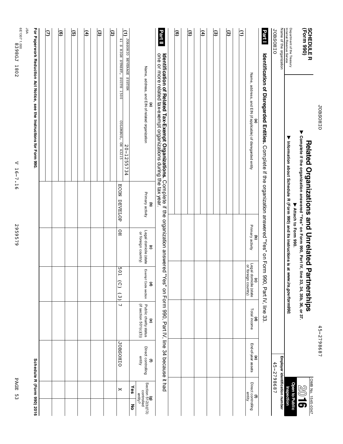| ſ |
|---|
|   |
|   |
|   |
|   |
|   |
|   |

45-2798687 45-2798687

À $\circledcirc$  $\vec{v}$ 

**Open to Public Inspection**

| ≥D<br>♪                       | telated Organizations and Unrelated Parti<br><b>Herships</b> | $\begin{array}{c} \hline \rule{0pt}{2ex} \rule{0pt}{2ex} \rule{0pt}{2ex} \rule{0pt}{2ex} \rule{0pt}{2ex} \rule{0pt}{2ex} \rule{0pt}{2ex} \rule{0pt}{2ex} \rule{0pt}{2ex} \rule{0pt}{2ex} \rule{0pt}{2ex} \rule{0pt}{2ex} \rule{0pt}{2ex} \rule{0pt}{2ex} \rule{0pt}{2ex} \rule{0pt}{2ex} \rule{0pt}{2ex} \rule{0pt}{2ex} \rule{0pt}{2ex} \rule{0pt}{2ex} \rule{0pt}{2ex} \rule{0pt}{2ex} \rule{0pt}{2ex} \rule{$<br>ה ישנות ביותר<br>Ville Cres |
|-------------------------------|--------------------------------------------------------------|-------------------------------------------------------------------------------------------------------------------------------------------------------------------------------------------------------------------------------------------------------------------------------------------------------------------------------------------------------------------------------------------------------------------------------------------------|
| $\frac{2}{5}$<br>NO. 1545-004 | I<br>s                                                       |                                                                                                                                                                                                                                                                                                                                                                                                                                                 |

Related Organizations and Unrelated Partnerships<br>▶ Complete if the organization answered "Yes" on Form 990, Part IV, line 33, 34, 35b, 36, or ▶ Complete if the organization answered "Yes" on Form 990, Part IV, line 33, 34, 35b, 36, or 37.  $\blacktriangledown$ **Attach to Form 990.**

**Information about Schedule R (Form 990) and its instructions is at** *www.irs.gov/form990.*

OIHOSHOL Name JOBSOHIO of the organization

**(Form**

Department

Internal

Revenue

Service

 $\blacktriangledown$ 

of the Treasury **990)**

**Employer** 45-2798687 45-2798687 **identification**

**number**

| ම | ত্র | E | ම | ত |                                                                                                             |          |                                                                                | Part II                                                                                                                                                                                                           | ම | ভি | $\mathbf{f}$ | ම | <u>છે</u> | Ξ |                                                                   | <b>Part1</b>                                                                                                       |
|---|-----|---|---|---|-------------------------------------------------------------------------------------------------------------|----------|--------------------------------------------------------------------------------|-------------------------------------------------------------------------------------------------------------------------------------------------------------------------------------------------------------------|---|----|--------------|---|-----------|---|-------------------------------------------------------------------|--------------------------------------------------------------------------------------------------------------------|
|   |     |   |   |   | MELSAS EDVERATE OIHOSHOL <sup>(1)</sup><br>41 S HIGH STREET, SUITE 1500<br>COLUMBUS, OH 43215<br>20-1255734 |          | Name, address, and EIN of related organization<br>ම                            | one or more related tax-exempt organizations during the tax year.<br>Identification of Related Tax-Exempt Organizations. Complete if the organization answered "Yes" on Form 990, Part IV, line 34 because it had |   |    |              |   |           |   | Name, address, and EIN (if applicable) of disregarded entity<br>ම | Identification of Disregarded Entities. Complete if the organization answered "Yes" on Form 990, Part IV, line 33. |
|   |     |   |   |   | <b>ECON</b><br><b>DEVELOP</b>                                                                               |          | Primary activity<br>$\widehat{\mathbf{c}}$                                     |                                                                                                                                                                                                                   |   |    |              |   |           |   |                                                                   |                                                                                                                    |
|   |     |   |   |   | GН                                                                                                          |          | Legal domicile (state<br>or foreign country)<br>$\widehat{\mathbf{c}}$         |                                                                                                                                                                                                                   |   |    |              |   |           |   | Primary activity<br>$\widehat{\mathsf{e}}$                        |                                                                                                                    |
|   |     |   |   |   | 109<br>$(2)$ (3)                                                                                            |          | Exempt Code section<br>ê                                                       |                                                                                                                                                                                                                   |   |    |              |   |           |   | (c)<br>Legal domicile (state<br>or foreign country)               |                                                                                                                    |
|   |     |   |   |   | $\overline{\phantom{0}}$                                                                                    |          | Public charity status<br>$(if$ section 501 $(c)(3))$<br>$\widehat{\mathbf{e}}$ |                                                                                                                                                                                                                   |   |    |              |   |           |   | Total income<br>ê                                                 |                                                                                                                    |
|   |     |   |   |   | <b>JOBSOHIO</b>                                                                                             |          | Direct controlling<br>entity<br>$\widehat{\mathbf{z}}$                         |                                                                                                                                                                                                                   |   |    |              |   |           |   | End-of-year assets<br>T                                           |                                                                                                                    |
|   |     |   |   |   | ×                                                                                                           | Yes<br>ᅙ | (g)<br>Section 512(b)(13)<br>controlled<br>entity?                             |                                                                                                                                                                                                                   |   |    |              |   |           |   | (f)<br>Direct controlling<br>entity                               |                                                                                                                    |

**Paperwork Reduction Act Notice, see the Instructions for Form 990.**

**(7)**

**For**

JSA 6E1307 1.000

PAGE 53

PAGE 53

V 16-7.16

V 16-7.16

8398GJ 1802

**Schedule**

**R (Form**

**990) 2016**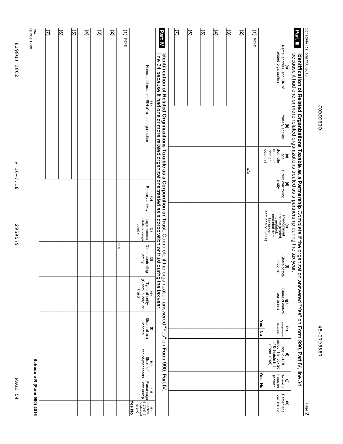| ٢<br>ŗ |
|--------|
|        |
|        |
|        |
|        |

45-2798687 45-2798687

Page **2**

| č<br>f<br>č<br>ine. |
|---------------------|
|                     |
|                     |
| č                   |
| i                   |
|                     |

**Part III** we have a final product of the state of the state of the state of the state of the state of the form of the form o<br>**Part III** Pecause it had one or more related organizations treated as a partnership during the tax year. because **Identification** it had <u>ሷ</u> o<br>a **Related** or more **Organizations** related organizations **Taxable as a** treated **Partnership** as a partnership Complete during if the the organization tax answered "Yes" on Form 990, Part IV, line م<br>4

| JSA<br>6E1308 1.000        | β | ම | <u>ତ</u> | € | $\circledcirc$ | তি |     | Ξ<br><b>HONE</b> |        |                                                                                                           | Part IV                                                                                                                                                                                                                                           | হি | ම | তি | E | ত্ত | তি |     | $\frac{1}{\sqrt{1}}$ |                      |                                                                                                                                                                                                                                                                                |                                                          |
|----------------------------|---|---|----------|---|----------------|----|-----|------------------|--------|-----------------------------------------------------------------------------------------------------------|---------------------------------------------------------------------------------------------------------------------------------------------------------------------------------------------------------------------------------------------------|----|---|----|---|-----|----|-----|----------------------|----------------------|--------------------------------------------------------------------------------------------------------------------------------------------------------------------------------------------------------------------------------------------------------------------------------|----------------------------------------------------------|
|                            |   |   |          |   |                |    |     |                  |        | Name, address, and EIN of related organization<br>©                                                       | line 34 because it had one or more related organizations treated as a corporation or trust during<br>Identification of Related Organizations Taxable as a Corporation or Trust. Complete if the organization answered "Yes" on Form 990, Part IV, |    |   |    |   |     |    |     |                      |                      |                                                                                                                                                                                                                                                                                | (a)<br>Name, address, and EIN of<br>related organization |
|                            |   |   |          |   |                |    |     |                  |        |                                                                                                           |                                                                                                                                                                                                                                                   |    |   |    |   |     |    |     |                      |                      |                                                                                                                                                                                                                                                                                | Primary activity<br>$\widehat{\mathbf{c}}$               |
|                            |   |   |          |   |                |    |     |                  |        |                                                                                                           |                                                                                                                                                                                                                                                   |    |   |    |   |     |    |     |                      | country)             | (state or<br>foreign                                                                                                                                                                                                                                                           | (c)<br>Legal<br>domicile                                 |
|                            |   |   |          |   |                |    |     |                  |        | Primary activity<br>T                                                                                     |                                                                                                                                                                                                                                                   |    |   |    |   |     |    | N/A |                      |                      |                                                                                                                                                                                                                                                                                | (d)<br>Direct controlling<br>entity                      |
|                            |   |   |          |   |                |    |     |                  |        |                                                                                                           |                                                                                                                                                                                                                                                   |    |   |    |   |     |    |     |                      |                      |                                                                                                                                                                                                                                                                                |                                                          |
|                            |   |   |          |   |                |    |     |                  |        | (state or foreign<br>Legal domicile<br>country)<br>$\widehat{\mathbf{c}}$                                 |                                                                                                                                                                                                                                                   |    |   |    |   |     |    |     |                      |                      | $\begin{array}{l} \mathsf{predomimant} \\ \mathsf{in}\ \mathsf{predomimant} \\ \mathsf{in}\ \mathsf{indated}, \\ \mathsf{excluded}\ \mathsf{from} \\ \mathsf{excluded}\ \mathsf{from} \\ \mathsf{tax\ under} \\ \mathsf{tax\ under} \\ \mathsf{setions}\ 512-514) \end{array}$ |                                                          |
|                            |   |   |          |   |                |    | N/A |                  |        | Direct controlling<br>entity<br>ê                                                                         |                                                                                                                                                                                                                                                   |    |   |    |   |     |    |     |                      |                      |                                                                                                                                                                                                                                                                                | (f)<br>Share of total<br>income                          |
|                            |   |   |          |   |                |    |     |                  |        | Type of entity<br>(C corp, S corp, or<br>trust)<br>$\widehat{\mathbf{e}}$                                 | the tax year.                                                                                                                                                                                                                                     |    |   |    |   |     |    |     |                      |                      |                                                                                                                                                                                                                                                                                | <b>(g)</b><br>Share of end-of-<br>year assets            |
|                            |   |   |          |   |                |    |     |                  |        | Share of total<br>income<br>Э                                                                             |                                                                                                                                                                                                                                                   |    |   |    |   |     |    |     |                      | Yes<br>종             | allocations?                                                                                                                                                                                                                                                                   | Disproportionate<br>Ĵ                                    |
|                            |   |   |          |   |                |    |     |                  |        | end-of-year assets<br>Share of<br>©                                                                       |                                                                                                                                                                                                                                                   |    |   |    |   |     |    |     |                      |                      | of Schedule K-1<br>(Form 1065)                                                                                                                                                                                                                                                 | amount in box 20<br>$\frac{1}{2}$<br>Code V - UBI        |
|                            |   |   |          |   |                |    |     |                  |        |                                                                                                           |                                                                                                                                                                                                                                                   |    |   |    |   |     |    |     |                      | Yes<br>$\frac{2}{5}$ | managing<br>partner?                                                                                                                                                                                                                                                           | General or<br>$\oplus$                                   |
| Schedule R (Form 990) 2016 |   |   |          |   |                |    |     |                  | Yes No | ownership 512(b)(13)<br>ownership controlled<br>controlled<br>Percentage<br>Ê<br>Section<br>$\widehat{=}$ |                                                                                                                                                                                                                                                   |    |   |    |   |     |    |     |                      |                      |                                                                                                                                                                                                                                                                                | Percentage<br>ownership<br>$\widehat{\mathcal{Z}}$       |

PAGE 54 PAGE 54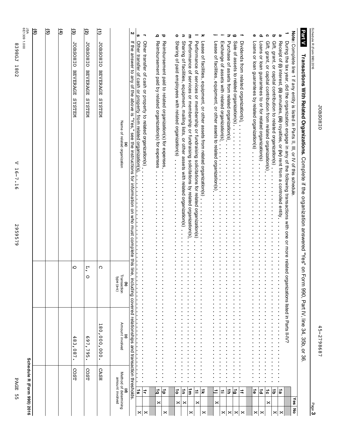|         | ςq  | PAGE                                                   |                                       |                                                     | 2959579                                                                                | <b>8398GJ</b><br>1802<br>⊲<br>$\frac{1}{2}$<br>$\ddot{ }$<br>$\overline{9}$                                                                                                                                                                   |                           |
|---------|-----|--------------------------------------------------------|---------------------------------------|-----------------------------------------------------|----------------------------------------------------------------------------------------|-----------------------------------------------------------------------------------------------------------------------------------------------------------------------------------------------------------------------------------------------|---------------------------|
|         |     | Schedule R (Form 990) 2016                             |                                       |                                                     |                                                                                        |                                                                                                                                                                                                                                               | JSA<br>6E1309 1.000<br>ၜြ |
|         |     |                                                        |                                       |                                                     |                                                                                        |                                                                                                                                                                                                                                               | G)                        |
|         |     |                                                        |                                       |                                                     |                                                                                        |                                                                                                                                                                                                                                               | ક                         |
|         |     | COST                                                   | $\frac{8}{3}$<br>۰.<br>.280           | Ю                                                   |                                                                                        | <b>JOBSOHIO</b><br><b>BEVERAGE</b><br><b>NELSAS</b>                                                                                                                                                                                           | $\widehat{\mathbf{e}}$    |
|         |     | COST                                                   | Ō<br>57.<br>795<br>$\bullet$          | $\zeta$<br>$\circ$                                  |                                                                                        | <b>JOBSOHIO</b><br><b>BEVERAGE</b><br>NELSIS                                                                                                                                                                                                  | $\overline{6}$            |
|         |     | <b>CASH</b>                                            | ى<br>$\frac{8}{9}$<br>000<br>000      | C                                                   |                                                                                        | <b>JOBSOHIO</b><br><b>BEVERAGE</b><br><b>NELSAS</b>                                                                                                                                                                                           | Ξ                         |
|         |     | <b>(d)</b><br>Method of determining<br>amount involved | Amount involved<br>ô                  | Transaction<br>type (a-s)<br>$\widehat{\mathbf{c}}$ |                                                                                        | Name of related organization                                                                                                                                                                                                                  |                           |
|         |     | transaction thresholds                                 | ncluding covered relationships<br>and | line, ii                                            |                                                                                        | If the answer to any of the above is "Yes," see the instructions for information on who must complete this                                                                                                                                    | N                         |
| ×       |     |                                                        |                                       | ı.                                                  | $\left  \cdot \right $<br>$\left  \cdot \right $<br>ŀ<br>$\vert \cdot$                 | Other transfer of cash or property from related organization(s).<br> <br> <br>ŀ                                                                                                                                                               | s                         |
| ×       |     | ≑                                                      |                                       | $\blacksquare$                                      | $\ddot{\cdot}$<br>$\ddot{\phantom{a}}$<br>$\ddot{\phantom{a}}$<br>$\ddot{\phantom{0}}$ | Other transfer of cash or property to related organization(s)<br>$\begin{array}{c} \bullet \\ \bullet \\ \bullet \\ \bullet \end{array}$                                                                                                      | $\overline{\phantom{a}}$  |
|         | ×   | ة                                                      |                                       |                                                     | $\ddot{\phantom{0}}$                                                                   | Reimbursement paid by related organization(s) for expenses                                                                                                                                                                                    | ء                         |
| ×       |     | 능                                                      |                                       |                                                     | $\ddot{\phantom{a}}$                                                                   | Reimbursement paid to related organization(s) for expenses.                                                                                                                                                                                   | ರ                         |
|         |     |                                                        |                                       |                                                     |                                                                                        | Sharing of paid employees with related organization(s).                                                                                                                                                                                       |                           |
|         | ×   | $\vec{\circ}$                                          |                                       |                                                     |                                                                                        |                                                                                                                                                                                                                                               | ۰                         |
|         | ×   | $\vec{a}$<br>Ë,                                        |                                       |                                                     |                                                                                        | Sharing of facilities, equipment, mailing lists, or other assets with related organization(s).<br>Performance of services or membership or fundraising solicitations by related organization(s).                                              | Ξ<br>з                    |
| ×       |     |                                                        |                                       |                                                     |                                                                                        | Performance of services or membership or fundraising solicitations for related organization(s)                                                                                                                                                |                           |
| ×       | ×   | $\vec{x}$<br>≐                                         |                                       |                                                     | $\ddot{\phantom{0}}$                                                                   | Lease of facilities, equipment, or other assets from related organization(s)                                                                                                                                                                  | ㅈ                         |
|         |     |                                                        |                                       |                                                     |                                                                                        |                                                                                                                                                                                                                                               |                           |
|         | ×   | $\equiv$                                               |                                       |                                                     |                                                                                        | Lease of facilities, equipment, or other assets to related organization(s).                                                                                                                                                                   |                           |
| ×       |     | ≐                                                      |                                       |                                                     |                                                                                        | Exchange of assets with related organization(s)<br><b>**********</b>                                                                                                                                                                          |                           |
| ×       |     | $\vec{r}$                                              |                                       |                                                     |                                                                                        | Purchase of assets from related organization(s).                                                                                                                                                                                              | ᢖ                         |
| $\Join$ |     | ھا                                                     |                                       |                                                     |                                                                                        | Sale of assets to related organization(s)                                                                                                                                                                                                     | G                         |
| ×       |     | $\ddot{=}$                                             |                                       |                                                     |                                                                                        | Dividends from related organization(s)                                                                                                                                                                                                        | ÷                         |
| ×       |     | $\vec{\bullet}$                                        |                                       |                                                     |                                                                                        | Loans or loan guarantees by related organization(s)                                                                                                                                                                                           | ወ                         |
| ×       |     | $\vec{a}$                                              |                                       |                                                     |                                                                                        | Loans or loan guarantees to or for related organization(s)                                                                                                                                                                                    | Q                         |
|         | ×   | $\vec{c}$                                              |                                       |                                                     |                                                                                        | Gift, grant, or capital condition from the divided organization(s).                                                                                                                                                                           | ດ                         |
| ×       |     | $\vec{\sigma}$                                         |                                       |                                                     |                                                                                        | Gift, grant, or capital contribution to related organization(s)                                                                                                                                                                               | $\, \sigma$               |
| ×       |     | $\vec{a}$                                              |                                       | $\ddot{\cdot}$                                      |                                                                                        | Receipt of (i) interest, (ii) annuities, (iii) royalties, or (iv) rent from a controlled entity.                                                                                                                                              | മ                         |
| ᅙ       | Yes |                                                        |                                       |                                                     |                                                                                        | Note: Complete line 1 if any entity is listed in Parts II, III, or IV of this schedule<br>During the tax year, did the organization engage in any of the following transactions with one or more related organizations listed in Parts II-IV? | ÷                         |
|         |     |                                                        |                                       |                                                     |                                                                                        | Transactions With Related Organizations. Complete if the organization answered "Yes" on Form 990, Part IV, line 34, 35b, or 36                                                                                                                | <b>Part V</b>             |
| Page 3  |     |                                                        |                                       |                                                     |                                                                                        | Schedule R (Form 990) 2016                                                                                                                                                                                                                    |                           |

JOBSOHIO

**JOBSOHIO** 

45-2798687

45-2798687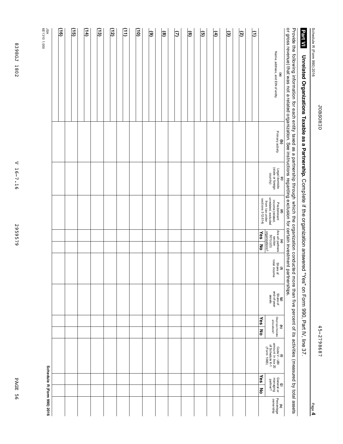Schedule

R (Form

990) 2016

Page **4**

# **Unrelated Organizations Taxable as a Partnership.** Complete if the organization answered "Yes" s Form 990.<br>م Part<br>F IV, line **With the distributions Taxable as a Parthership Computership. Compicalization answered "Yes" on Form 990, Part IV, line 37.**

Provide e<br>S following information for each entity taxed as a partnership through ≫hich ទី organization conducted more than ب<br>آح percent ቧ its activities (measured হ total assets or gross revenue) that was not a related organization. See instructions regarding exclusion for certain investment partnerships.

| היוה יהיה והההות<br>in in<br>å<br>ומו מומוממים הוא הודמונ | ć                       |                                                        | יייסייה לאינטייה והאז יסיימים האז האז האז האז האז הייטוריה וייטוריה וואסי                                    |                                                                                                                  |                                 |                                          |                                                                   |   |                                                                           |                                         |                                                   |
|-----------------------------------------------------------|-------------------------|--------------------------------------------------------|--------------------------------------------------------------------------------------------------------------|------------------------------------------------------------------------------------------------------------------|---------------------------------|------------------------------------------|-------------------------------------------------------------------|---|---------------------------------------------------------------------------|-----------------------------------------|---------------------------------------------------|
| Name, address, and EIN of entity<br>$\mathbf{e}$          | (b)<br>Primary activity | (c)<br>Legal domicile<br>(state or foreign<br>country) | <b>(d)</b><br>Predominant<br>income (related,<br>un related, excluded<br>from tax under<br>sections 512-514) | (e)<br>Are all partners<br>section<br>$501(0)(3)$<br>organizations?<br>$\overline{\text{Yes}}$<br>$\overline{z}$ | (f)<br>Share of<br>total income | (g)<br>Share of<br>end-of-year<br>assets | Disproportionate<br>allocations?<br>Yes<br>$\widehat{\mathbf{z}}$ | š | (i)<br>Code V - UBI<br>amount in box 20<br>of Schedule K-1<br>(Form 1065) | Yes<br>(j)<br>managing<br>partner?<br>종 | Percentage<br>ownership<br>$\widehat{\mathbf{z}}$ |
| β                                                         |                         |                                                        |                                                                                                              |                                                                                                                  |                                 |                                          |                                                                   |   |                                                                           |                                         |                                                   |
| তি                                                        |                         |                                                        |                                                                                                              |                                                                                                                  |                                 |                                          |                                                                   |   |                                                                           |                                         |                                                   |
| ভি                                                        |                         |                                                        |                                                                                                              |                                                                                                                  |                                 |                                          |                                                                   |   |                                                                           |                                         |                                                   |
| E                                                         |                         |                                                        |                                                                                                              |                                                                                                                  |                                 |                                          |                                                                   |   |                                                                           |                                         |                                                   |
| ত্র                                                       |                         |                                                        |                                                                                                              |                                                                                                                  |                                 |                                          |                                                                   |   |                                                                           |                                         |                                                   |
| ම                                                         |                         |                                                        |                                                                                                              |                                                                                                                  |                                 |                                          |                                                                   |   |                                                                           |                                         |                                                   |
| Θ                                                         |                         |                                                        |                                                                                                              |                                                                                                                  |                                 |                                          |                                                                   |   |                                                                           |                                         |                                                   |
| ම                                                         |                         |                                                        |                                                                                                              |                                                                                                                  |                                 |                                          |                                                                   |   |                                                                           |                                         |                                                   |
| ම                                                         |                         |                                                        |                                                                                                              |                                                                                                                  |                                 |                                          |                                                                   |   |                                                                           |                                         |                                                   |
| $\widehat{\mathsf{5}}$                                    |                         |                                                        |                                                                                                              |                                                                                                                  |                                 |                                          |                                                                   |   |                                                                           |                                         |                                                   |
| (11)                                                      |                         |                                                        |                                                                                                              |                                                                                                                  |                                 |                                          |                                                                   |   |                                                                           |                                         |                                                   |
| $\left(12\right)$                                         |                         |                                                        |                                                                                                              |                                                                                                                  |                                 |                                          |                                                                   |   |                                                                           |                                         |                                                   |
| (13)                                                      |                         |                                                        |                                                                                                              |                                                                                                                  |                                 |                                          |                                                                   |   |                                                                           |                                         |                                                   |
| $\Xi$                                                     |                         |                                                        |                                                                                                              |                                                                                                                  |                                 |                                          |                                                                   |   |                                                                           |                                         |                                                   |
| (a                                                        |                         |                                                        |                                                                                                              |                                                                                                                  |                                 |                                          |                                                                   |   |                                                                           |                                         |                                                   |
| <u>(၂၉)</u>                                               |                         |                                                        |                                                                                                              |                                                                                                                  |                                 |                                          |                                                                   |   |                                                                           |                                         |                                                   |
| ΛSL                                                       |                         |                                                        |                                                                                                              |                                                                                                                  |                                 |                                          |                                                                   |   |                                                                           |                                         | Schedule R (Form 990) 2016                        |

83986J 1802 8398GJ 1802

6E1310 1.000

V 16-7.16 V 16-7.16